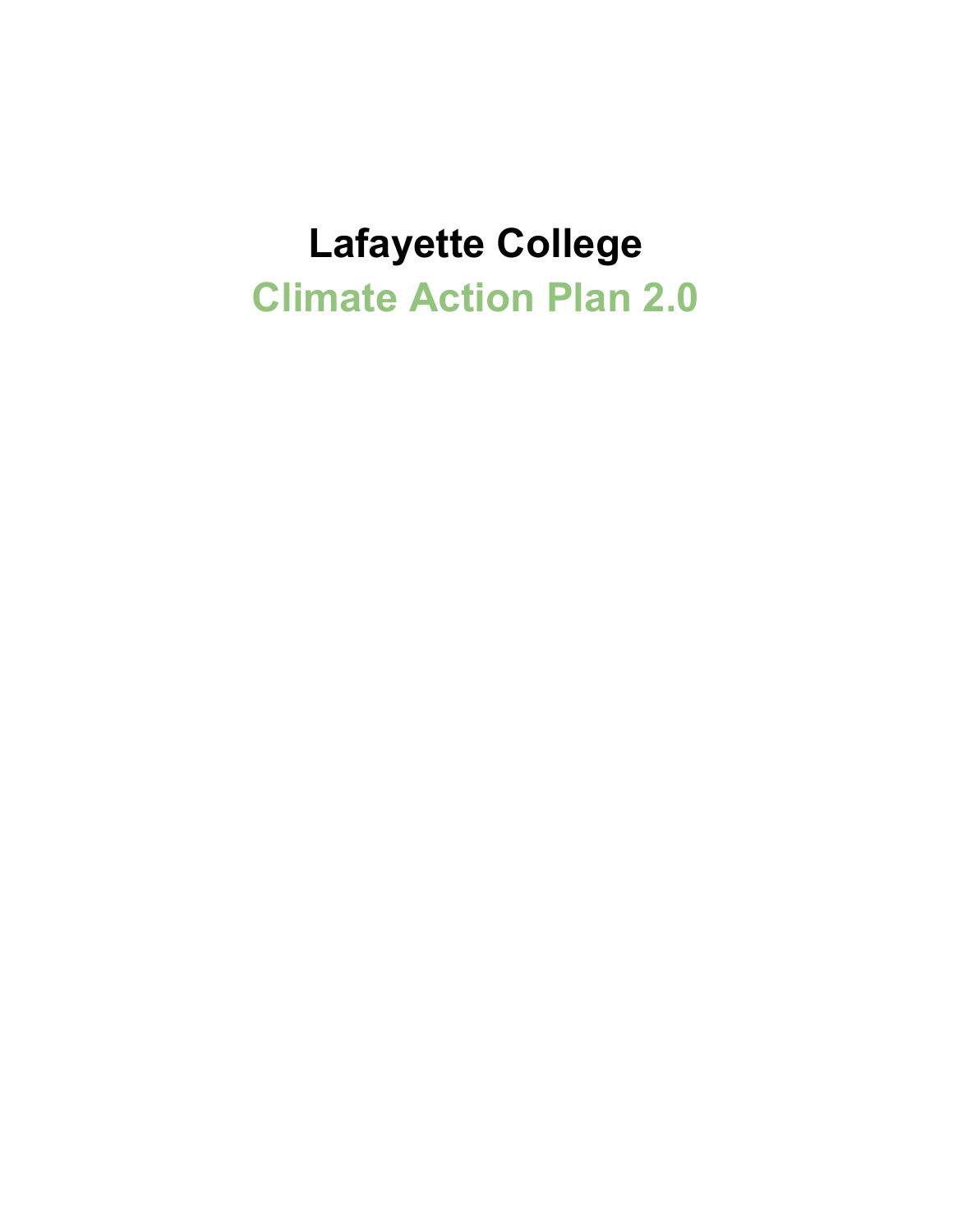# **Lafayette College Climate Action Plan 2.0**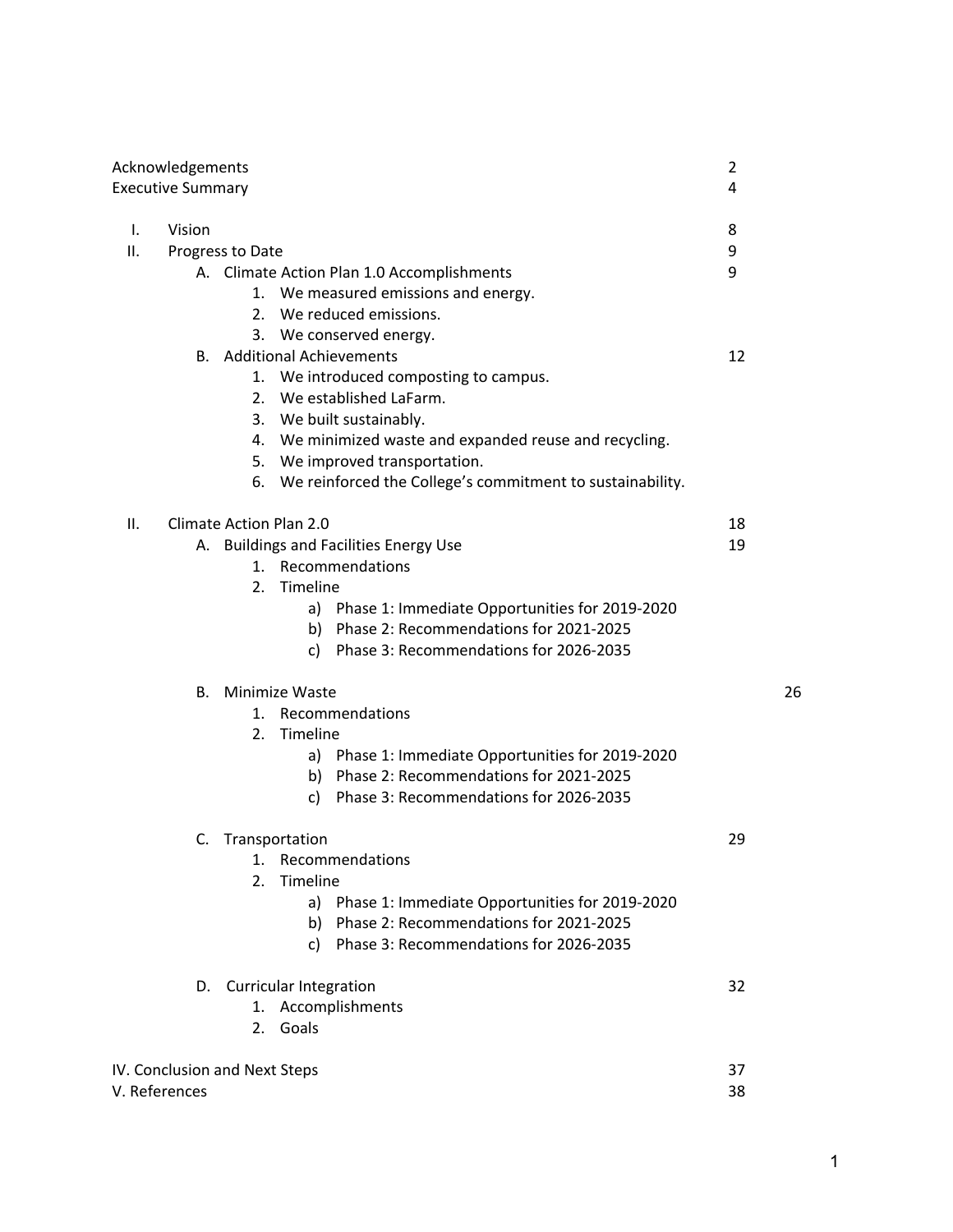| Acknowledgements<br><b>Executive Summary</b> |                                                                                                                                                                                                                                                                                                      |          |    |
|----------------------------------------------|------------------------------------------------------------------------------------------------------------------------------------------------------------------------------------------------------------------------------------------------------------------------------------------------------|----------|----|
| Vision<br>Ι.                                 |                                                                                                                                                                                                                                                                                                      | 8        |    |
| ΙΙ.                                          | Progress to Date                                                                                                                                                                                                                                                                                     | 9        |    |
|                                              | A. Climate Action Plan 1.0 Accomplishments<br>1. We measured emissions and energy.<br>2. We reduced emissions.<br>3. We conserved energy.                                                                                                                                                            | 9        |    |
|                                              | <b>B.</b> Additional Achievements<br>1. We introduced composting to campus.<br>2. We established LaFarm.<br>3. We built sustainably.<br>4. We minimized waste and expanded reuse and recycling.<br>5. We improved transportation.<br>We reinforced the College's commitment to sustainability.<br>6. | 12       |    |
| ΙΙ.                                          | <b>Climate Action Plan 2.0</b>                                                                                                                                                                                                                                                                       | 18       |    |
|                                              | A. Buildings and Facilities Energy Use<br>1. Recommendations<br>Timeline<br>2.<br>a) Phase 1: Immediate Opportunities for 2019-2020<br>b) Phase 2: Recommendations for 2021-2025<br>Phase 3: Recommendations for 2026-2035<br>C).                                                                    | 19       |    |
|                                              | B. Minimize Waste                                                                                                                                                                                                                                                                                    |          | 26 |
|                                              | 1. Recommendations<br>Timeline<br>2.<br>a) Phase 1: Immediate Opportunities for 2019-2020<br>b) Phase 2: Recommendations for 2021-2025<br>c) Phase 3: Recommendations for 2026-2035                                                                                                                  |          |    |
|                                              | C. Transportation<br>1. Recommendations<br>Timeline<br>2.<br>Phase 1: Immediate Opportunities for 2019-2020<br>a)<br>b) Phase 2: Recommendations for 2021-2025<br>c) Phase 3: Recommendations for 2026-2035                                                                                          | 29       |    |
|                                              | D. Curricular Integration<br>1. Accomplishments<br>2. Goals                                                                                                                                                                                                                                          | 32       |    |
| V. References                                | IV. Conclusion and Next Steps                                                                                                                                                                                                                                                                        | 37<br>38 |    |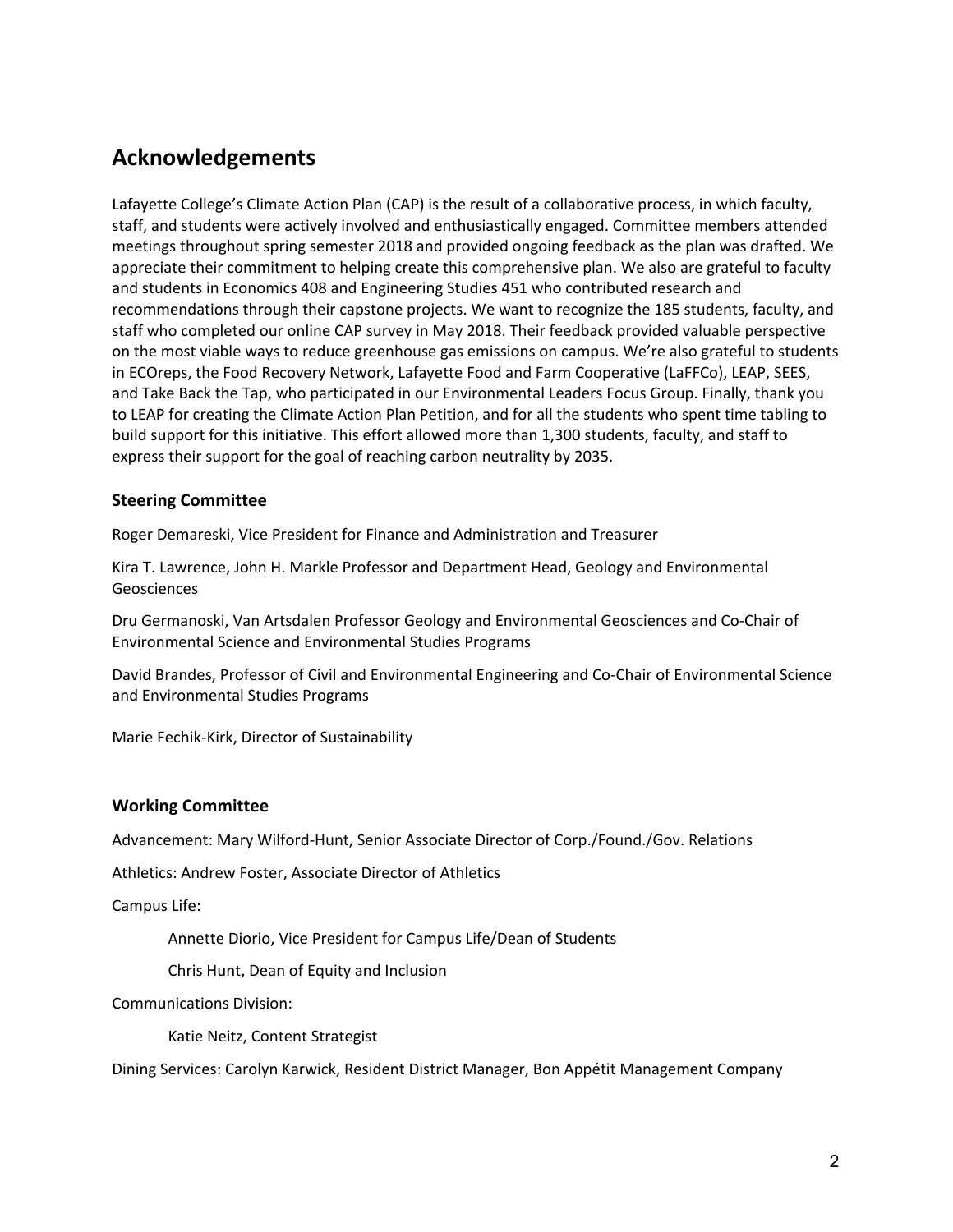# **Acknowledgements**

Lafayette College's Climate Action Plan (CAP) is the result of a collaborative process, in which faculty, staff, and students were actively involved and enthusiastically engaged. Committee members attended meetings throughout spring semester 2018 and provided ongoing feedback as the plan was drafted. We appreciate their commitment to helping create this comprehensive plan. We also are grateful to faculty and students in Economics 408 and Engineering Studies 451 who contributed research and recommendations through their capstone projects. We want to recognize the 185 students, faculty, and staff who completed our online CAP survey in May 2018. Their feedback provided valuable perspective on the most viable ways to reduce greenhouse gas emissions on campus. We're also grateful to students in ECOreps, the Food Recovery Network, Lafayette Food and Farm Cooperative (LaFFCo), LEAP, SEES, and Take Back the Tap, who participated in our Environmental Leaders Focus Group. Finally, thank you to LEAP for creating the Climate Action Plan Petition, and for all the students who spent time tabling to build support for this initiative. This effort allowed more than 1,300 students, faculty, and staff to express their support for the goal of reaching carbon neutrality by 2035.

#### **Steering Committee**

Roger Demareski, Vice President for Finance and Administration and Treasurer

Kira T. Lawrence, John H. Markle Professor and Department Head, Geology and Environmental Geosciences

Dru Germanoski, Van Artsdalen Professor Geology and Environmental Geosciences and Co-Chair of Environmental Science and Environmental Studies Programs

David Brandes, Professor of Civil and Environmental Engineering and Co-Chair of Environmental Science and Environmental Studies Programs

Marie Fechik-Kirk, Director of Sustainability

#### **Working Committee**

Advancement: Mary Wilford-Hunt, Senior Associate Director of Corp./Found./Gov. Relations

Athletics: Andrew Foster, Associate Director of Athletics

Campus Life:

Annette Diorio, Vice President for Campus Life/Dean of Students

Chris Hunt, Dean of Equity and Inclusion

Communications Division:

Katie Neitz, Content Strategist

Dining Services: Carolyn Karwick, Resident District Manager, Bon Appétit Management Company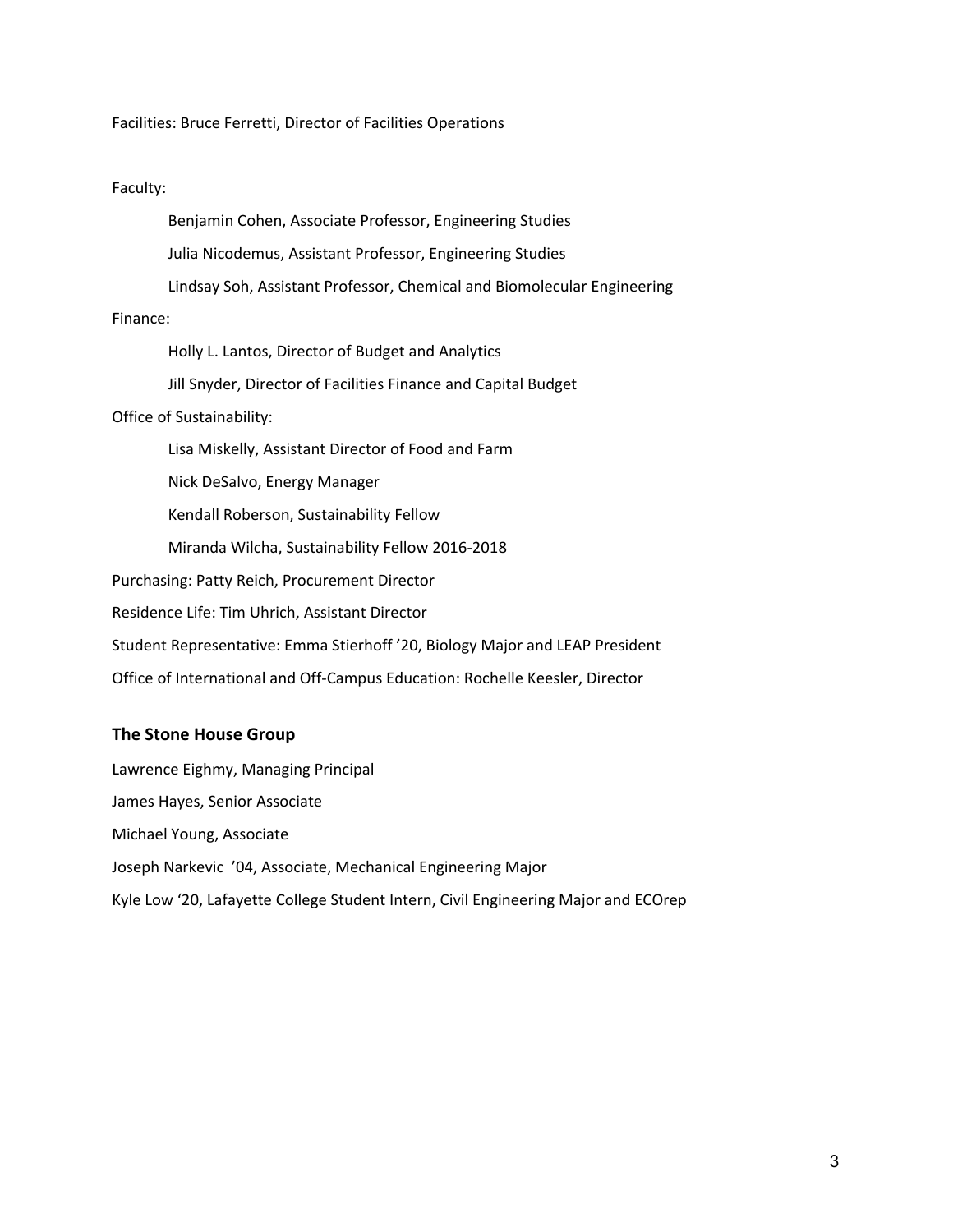Facilities: Bruce Ferretti, Director of Facilities Operations

#### Faculty:

Finance: Holly L. Lantos, Director of Budget and Analytics Jill Snyder, Director of Facilities Finance and Capital Budget Office of Sustainability: Lisa Miskelly, Assistant Director of Food and Farm Nick DeSalvo, Energy Manager Kendall Roberson, Sustainability Fellow Miranda Wilcha, Sustainability Fellow 2016-2018 Purchasing: Patty Reich, Procurement Director Residence Life: Tim Uhrich, Assistant Director Student Representative: Emma Stierhoff '20, Biology Major and LEAP President Office of International and Off-Campus Education: Rochelle Keesler, Director

Benjamin Cohen, Associate Professor, Engineering Studies

Julia Nicodemus, Assistant Professor, Engineering Studies

Lindsay Soh, Assistant Professor, Chemical and Biomolecular Engineering

#### **The Stone House Group**

Lawrence Eighmy, Managing Principal James Hayes, Senior Associate Michael Young, Associate Joseph Narkevic '04, Associate, Mechanical Engineering Major Kyle Low '20, Lafayette College Student Intern, Civil Engineering Major and ECOrep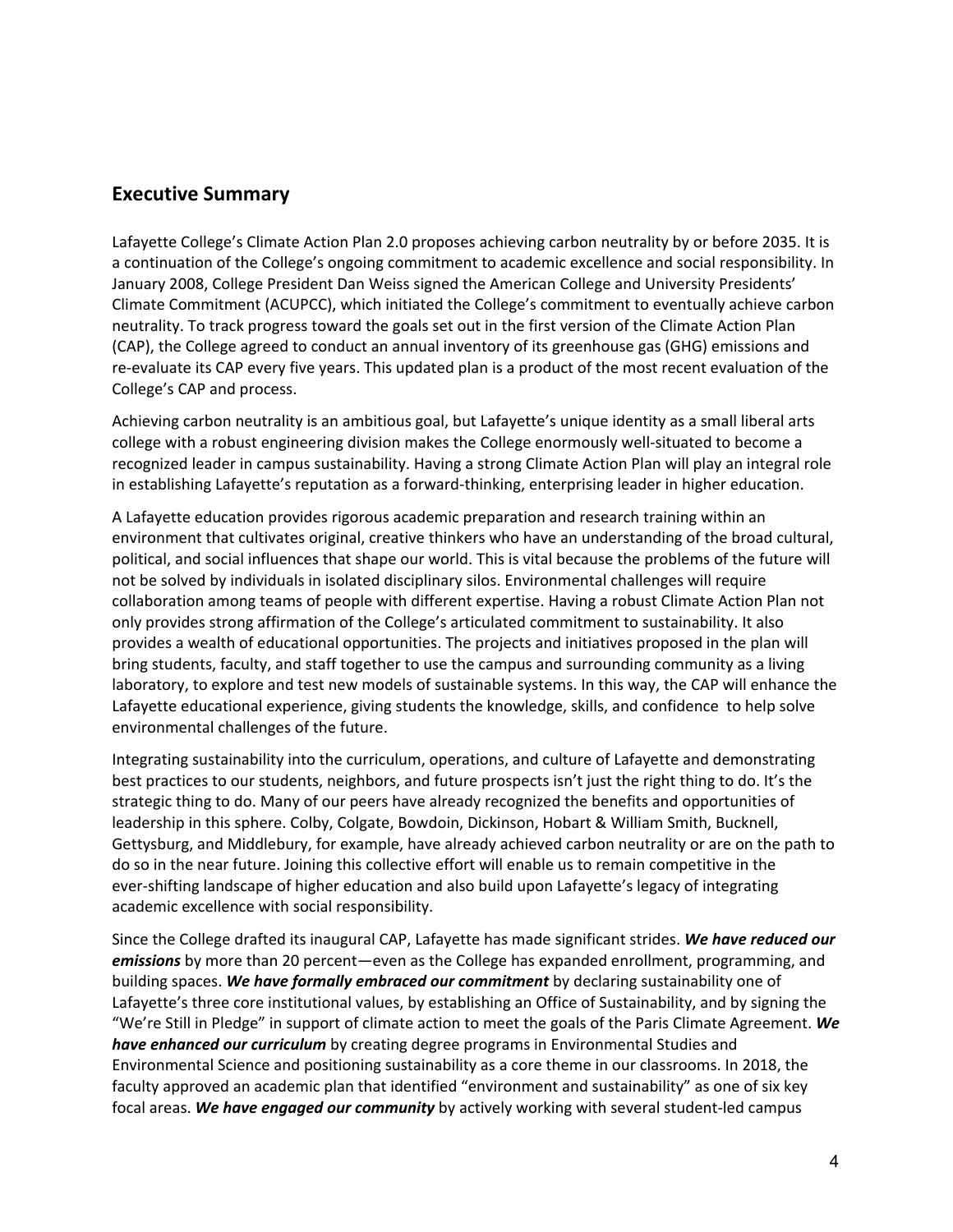## **Executive Summary**

Lafayette College's Climate Action Plan 2.0 proposes achieving carbon neutrality by or before 2035. It is a continuation of the College's ongoing commitment to academic excellence and social responsibility. In January 2008, College President Dan Weiss signed the American College and University Presidents' Climate Commitment (ACUPCC), which initiated the College's commitment to eventually achieve carbon neutrality. To track progress toward the goals set out in the first version of the Climate Action Plan (CAP), the College agreed to conduct an annual inventory of its greenhouse gas (GHG) emissions and re-evaluate its CAP every five years. This updated plan is a product of the most recent evaluation of the College's CAP and process.

Achieving carbon neutrality is an ambitious goal, but Lafayette's unique identity as a small liberal arts college with a robust engineering division makes the College enormously well-situated to become a recognized leader in campus sustainability. Having a strong Climate Action Plan will play an integral role in establishing Lafayette's reputation as a forward-thinking, enterprising leader in higher education.

A Lafayette education provides rigorous academic preparation and research training within an environment that cultivates original, creative thinkers who have an understanding of the broad cultural, political, and social influences that shape our world. This is vital because the problems of the future will not be solved by individuals in isolated disciplinary silos. Environmental challenges will require collaboration among teams of people with different expertise. Having a robust Climate Action Plan not only provides strong affirmation of the College's articulated commitment to sustainability. It also provides a wealth of educational opportunities. The projects and initiatives proposed in the plan will bring students, faculty, and staff together to use the campus and surrounding community as a living laboratory, to explore and test new models of sustainable systems. In this way, the CAP will enhance the Lafayette educational experience, giving students the knowledge, skills, and confidence to help solve environmental challenges of the future.

Integrating sustainability into the curriculum, operations, and culture of Lafayette and demonstrating best practices to our students, neighbors, and future prospects isn't just the right thing to do. It's the strategic thing to do. Many of our peers have already recognized the benefits and opportunities of leadership in this sphere. Colby, Colgate, Bowdoin, Dickinson, Hobart & William Smith, Bucknell, Gettysburg, and Middlebury, for example, have already achieved carbon neutrality or are on the path to do so in the near future. Joining this collective effort will enable us to remain competitive in the ever-shifting landscape of higher education and also build upon Lafayette's legacy of integrating academic excellence with social responsibility.

Since the College drafted its inaugural CAP, Lafayette has made significant strides. *We have reduced our emissions* by more than 20 percent—even as the College has expanded enrollment, programming, and building spaces. *We have formally embraced our commitment* by declaring sustainability one of Lafayette's three core institutional values, by establishing an Office of Sustainability, and by signing the "We're Still in Pledge" in support of climate action to meet the goals of the Paris Climate Agreement. *We have enhanced our curriculum* by creating degree programs in Environmental Studies and Environmental Science and positioning sustainability as a core theme in our classrooms. In 2018, the faculty approved an academic plan that identified "environment and sustainability" as one of six key focal areas. *We have engaged our community* by actively working with several student-led campus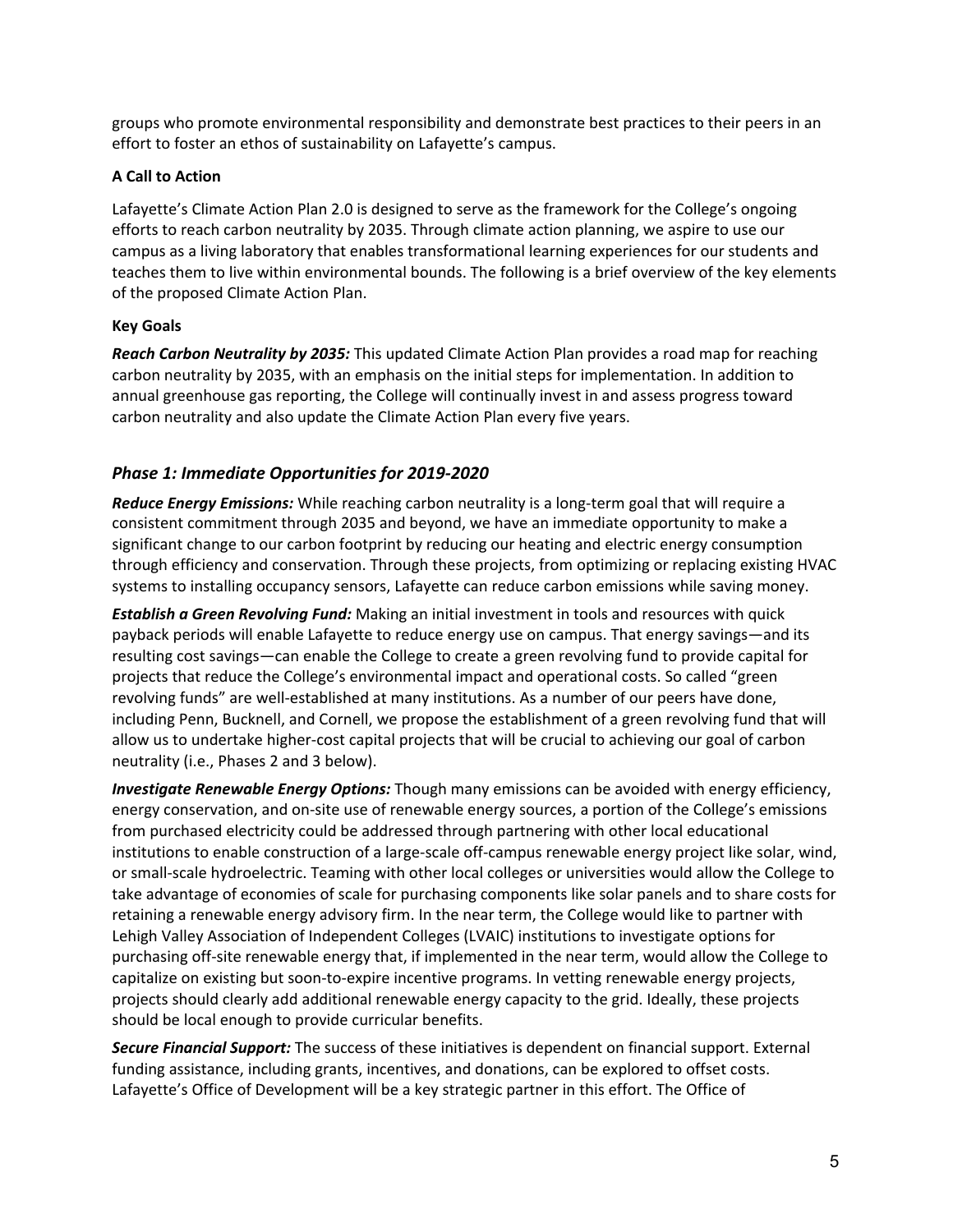groups who promote environmental responsibility and demonstrate best practices to their peers in an effort to foster an ethos of sustainability on Lafayette's campus.

#### **A Call to Action**

Lafayette's Climate Action Plan 2.0 is designed to serve as the framework for the College's ongoing efforts to reach carbon neutrality by 2035. Through climate action planning, we aspire to use our campus as a living laboratory that enables transformational learning experiences for our students and teaches them to live within environmental bounds. The following is a brief overview of the key elements of the proposed Climate Action Plan.

## **Key Goals**

*Reach Carbon Neutrality by 2035:* This updated Climate Action Plan provides a road map for reaching carbon neutrality by 2035, with an emphasis on the initial steps for implementation. In addition to annual greenhouse gas reporting, the College will continually invest in and assess progress toward carbon neutrality and also update the Climate Action Plan every five years.

## *Phase 1: Immediate Opportunities for 2019-2020*

*Reduce Energy Emissions:* While reaching carbon neutrality is a long-term goal that will require a consistent commitment through 2035 and beyond, we have an immediate opportunity to make a significant change to our carbon footprint by reducing our heating and electric energy consumption through efficiency and conservation. Through these projects, from optimizing or replacing existing HVAC systems to installing occupancy sensors, Lafayette can reduce carbon emissions while saving money.

*Establish a Green Revolving Fund:* Making an initial investment in tools and resources with quick payback periods will enable Lafayette to reduce energy use on campus. That energy savings—and its resulting cost savings—can enable the College to create a green revolving fund to provide capital for projects that reduce the College's environmental impact and operational costs. So called "green revolving funds" are well-established at many institutions. As a number of our peers have done, including Penn, Bucknell, and Cornell, we propose the establishment of a green revolving fund that will allow us to undertake higher-cost capital projects that will be crucial to achieving our goal of carbon neutrality (i.e., Phases 2 and 3 below).

*Investigate Renewable Energy Options:* Though many emissions can be avoided with energy efficiency, energy conservation, and on-site use of renewable energy sources, a portion of the College's emissions from purchased electricity could be addressed through partnering with other local educational institutions to enable construction of a large-scale off-campus renewable energy project like solar, wind, or small-scale hydroelectric. Teaming with other local colleges or universities would allow the College to take advantage of economies of scale for purchasing components like solar panels and to share costs for retaining a renewable energy advisory firm. In the near term, the College would like to partner with Lehigh Valley Association of Independent Colleges (LVAIC) institutions to investigate options for purchasing off-site renewable energy that, if implemented in the near term, would allow the College to capitalize on existing but soon-to-expire incentive programs. In vetting renewable energy projects, projects should clearly add additional renewable energy capacity to the grid. Ideally, these projects should be local enough to provide curricular benefits.

*Secure Financial Support:* The success of these initiatives is dependent on financial support. External funding assistance, including grants, incentives, and donations, can be explored to offset costs. Lafayette's Office of Development will be a key strategic partner in this effort. The Office of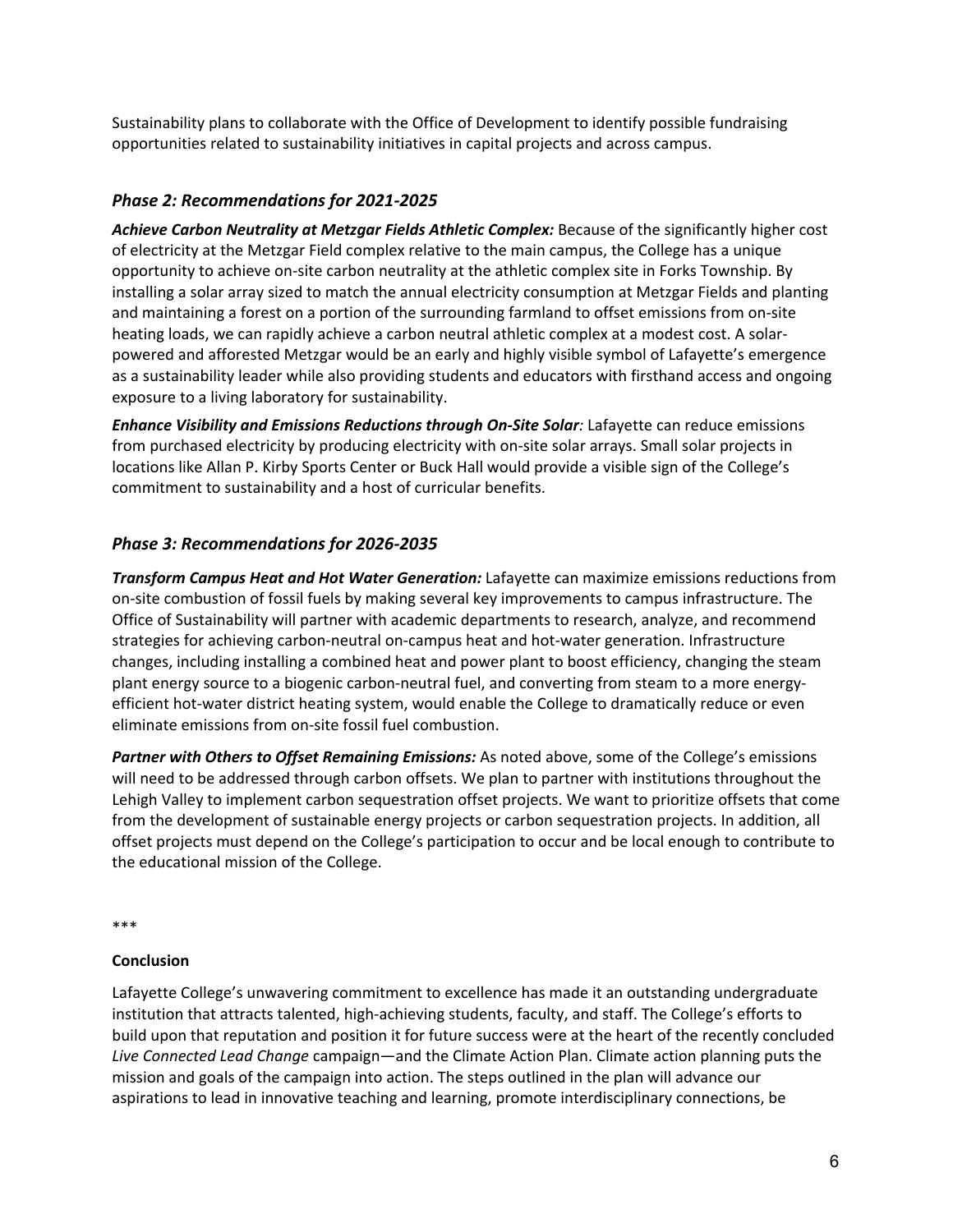Sustainability plans to collaborate with the Office of Development to identify possible fundraising opportunities related to sustainability initiatives in capital projects and across campus.

## *Phase 2: Recommendations for 2021-2025*

*Achieve Carbon Neutrality at Metzgar Fields Athletic Complex:* Because of the significantly higher cost of electricity at the Metzgar Field complex relative to the main campus, the College has a unique opportunity to achieve on-site carbon neutrality at the athletic complex site in Forks Township. By installing a solar array sized to match the annual electricity consumption at Metzgar Fields and planting and maintaining a forest on a portion of the surrounding farmland to offset emissions from on-site heating loads, we can rapidly achieve a carbon neutral athletic complex at a modest cost. A solarpowered and afforested Metzgar would be an early and highly visible symbol of Lafayette's emergence as a sustainability leader while also providing students and educators with firsthand access and ongoing exposure to a living laboratory for sustainability.

*Enhance Visibility and Emissions Reductions through On-Site Solar:* Lafayette can reduce emissions from purchased electricity by producing electricity with on-site solar arrays. Small solar projects in locations like Allan P. Kirby Sports Center or Buck Hall would provide a visible sign of the College's commitment to sustainability and a host of curricular benefits.

## *Phase 3: Recommendations for 2026-2035*

*Transform Campus Heat and Hot Water Generation:* Lafayette can maximize emissions reductions from on-site combustion of fossil fuels by making several key improvements to campus infrastructure. The Office of Sustainability will partner with academic departments to research, analyze, and recommend strategies for achieving carbon-neutral on-campus heat and hot-water generation. Infrastructure changes, including installing a combined heat and power plant to boost efficiency, changing the steam plant energy source to a biogenic carbon-neutral fuel, and converting from steam to a more energyefficient hot-water district heating system, would enable the College to dramatically reduce or even eliminate emissions from on-site fossil fuel combustion.

*Partner with Others to Offset Remaining Emissions:* As noted above, some of the College's emissions will need to be addressed through carbon offsets. We plan to partner with institutions throughout the Lehigh Valley to implement carbon sequestration offset projects. We want to prioritize offsets that come from the development of sustainable energy projects or carbon sequestration projects. In addition, all offset projects must depend on the College's participation to occur and be local enough to contribute to the educational mission of the College.

\*\*\*

#### **Conclusion**

Lafayette College's unwavering commitment to excellence has made it an outstanding undergraduate institution that attracts talented, high-achieving students, faculty, and staff. The College's efforts to build upon that reputation and position it for future success were at the heart of the recently concluded *Live Connected Lead Change* campaign—and the Climate Action Plan. Climate action planning puts the mission and goals of the campaign into action. The steps outlined in the plan will advance our aspirations to lead in innovative teaching and learning, promote interdisciplinary connections, be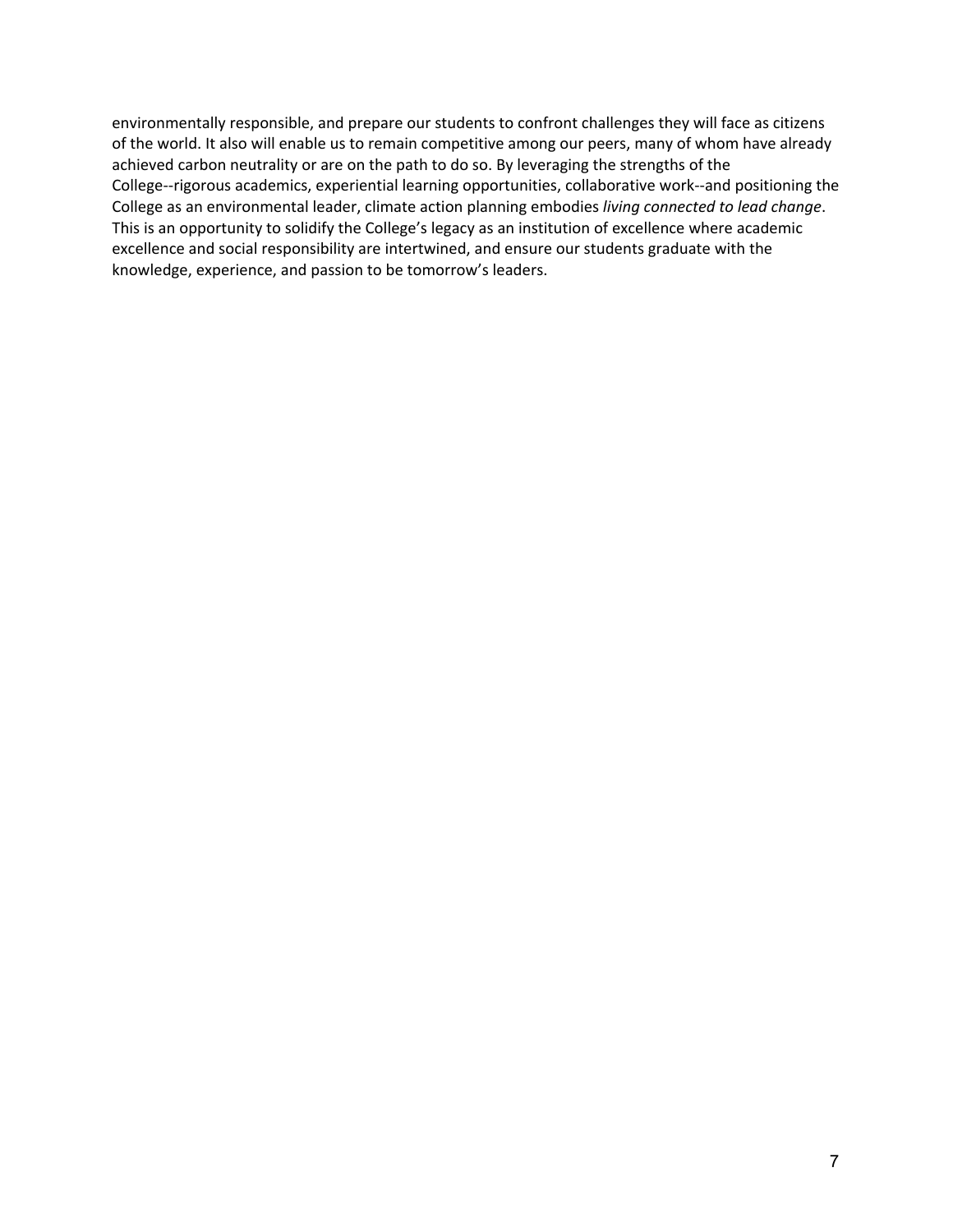environmentally responsible, and prepare our students to confront challenges they will face as citizens of the world. It also will enable us to remain competitive among our peers, many of whom have already achieved carbon neutrality or are on the path to do so. By leveraging the strengths of the College--rigorous academics, experiential learning opportunities, collaborative work--and positioning the College as an environmental leader, climate action planning embodies *living connected to lead change*. This is an opportunity to solidify the College's legacy as an institution of excellence where academic excellence and social responsibility are intertwined, and ensure our students graduate with the knowledge, experience, and passion to be tomorrow's leaders.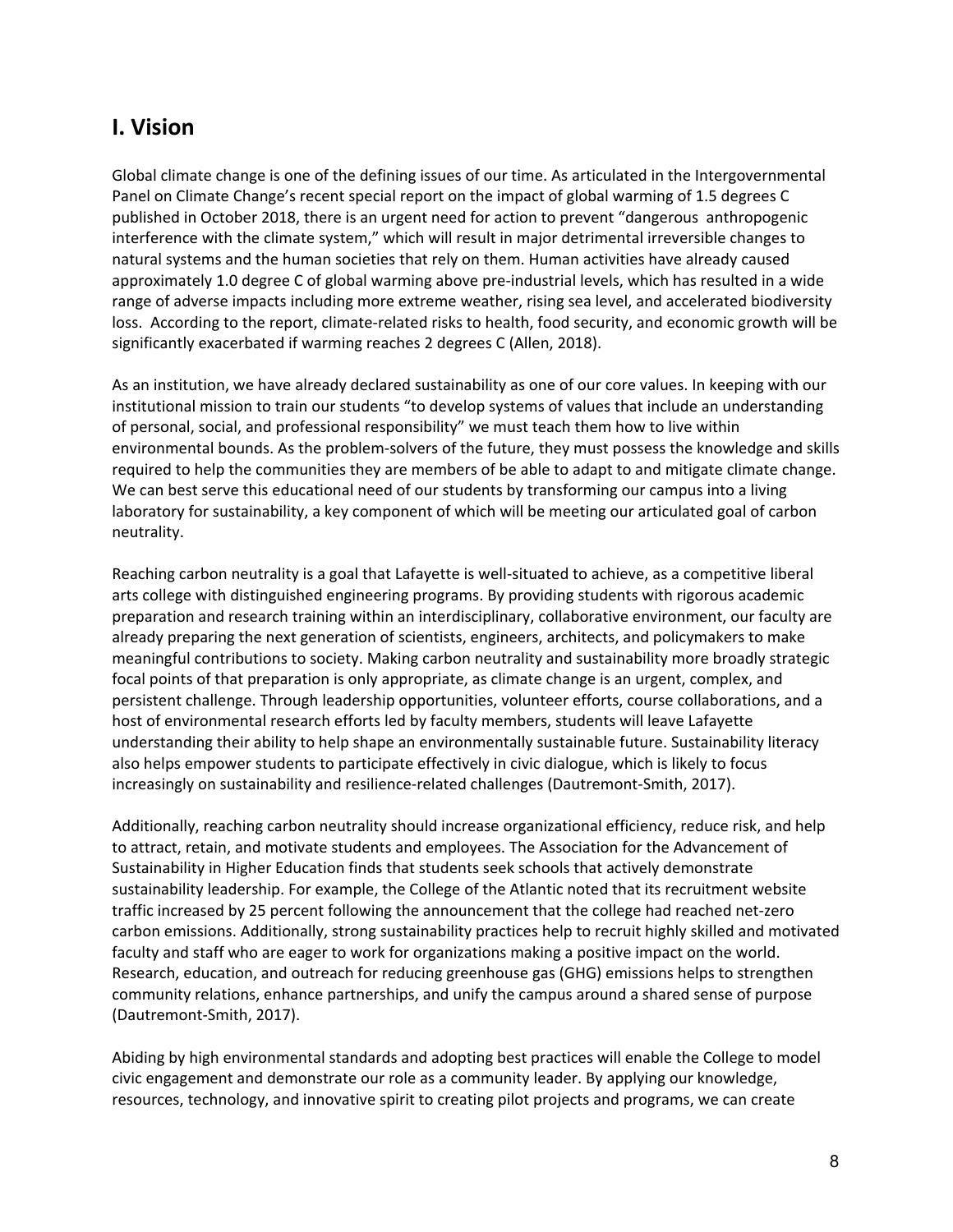# **I. Vision**

Global climate change is one of the defining issues of our time. As articulated in the Intergovernmental Panel on Climate Change's recent special report on the impact of global warming of 1.5 degrees C published in October 2018, there is an urgent need for action to prevent "dangerous anthropogenic interference with the climate system," which will result in major detrimental irreversible changes to natural systems and the human societies that rely on them. Human activities have already caused approximately 1.0 degree C of global warming above pre-industrial levels, which has resulted in a wide range of adverse impacts including more extreme weather, rising sea level, and accelerated biodiversity loss. According to the report, climate-related risks to health, food security, and economic growth will be significantly exacerbated if warming reaches 2 degrees C (Allen, 2018).

As an institution, we have already declared sustainability as one of our core values. In keeping with our institutional mission to train our students "to develop systems of values that include an understanding of personal, social, and professional responsibility" we must teach them how to live within environmental bounds. As the problem-solvers of the future, they must possess the knowledge and skills required to help the communities they are members of be able to adapt to and mitigate climate change. We can best serve this educational need of our students by transforming our campus into a living laboratory for sustainability, a key component of which will be meeting our articulated goal of carbon neutrality.

Reaching carbon neutrality is a goal that Lafayette is well-situated to achieve, as a competitive liberal arts college with distinguished engineering programs. By providing students with rigorous academic preparation and research training within an interdisciplinary, collaborative environment, our faculty are already preparing the next generation of scientists, engineers, architects, and policymakers to make meaningful contributions to society. Making carbon neutrality and sustainability more broadly strategic focal points of that preparation is only appropriate, as climate change is an urgent, complex, and persistent challenge. Through leadership opportunities, volunteer efforts, course collaborations, and a host of environmental research efforts led by faculty members, students will leave Lafayette understanding their ability to help shape an environmentally sustainable future. Sustainability literacy also helps empower students to participate effectively in civic dialogue, which is likely to focus increasingly on sustainability and resilience-related challenges (Dautremont-Smith, 2017).

Additionally, reaching carbon neutrality should increase organizational efficiency, reduce risk, and help to attract, retain, and motivate students and employees. The Association for the Advancement of Sustainability in Higher Education finds that students seek schools that actively demonstrate sustainability leadership. For example, the College of the Atlantic noted that its recruitment website traffic increased by 25 percent following the announcement that the college had reached net-zero carbon emissions. Additionally, strong sustainability practices help to recruit highly skilled and motivated faculty and staff who are eager to work for organizations making a positive impact on the world. Research, education, and outreach for reducing greenhouse gas (GHG) emissions helps to strengthen community relations, enhance partnerships, and unify the campus around a shared sense of purpose (Dautremont-Smith, 2017).

Abiding by high environmental standards and adopting best practices will enable the College to model civic engagement and demonstrate our role as a community leader. By applying our knowledge, resources, technology, and innovative spirit to creating pilot projects and programs, we can create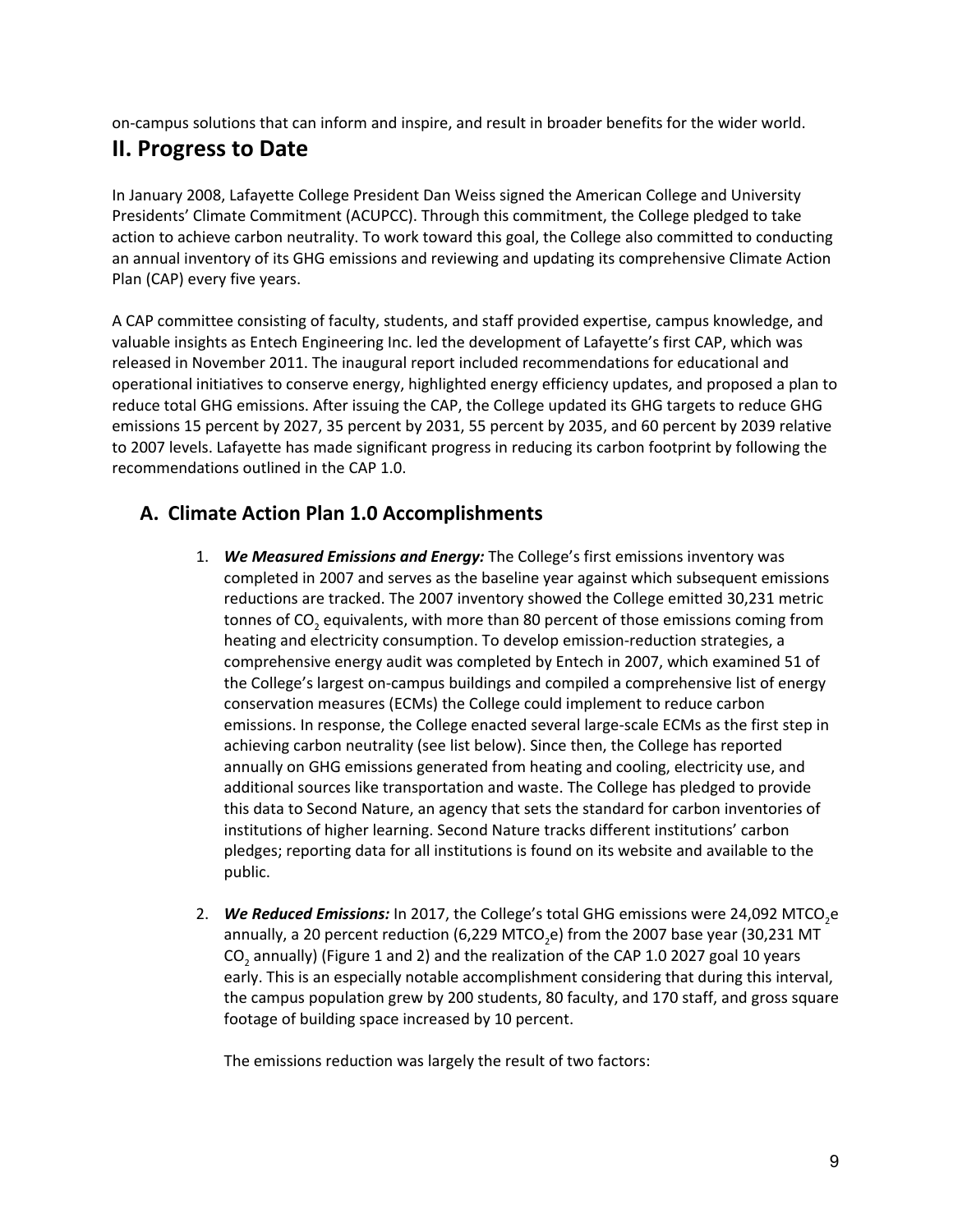on-campus solutions that can inform and inspire, and result in broader benefits for the wider world.

# **II. Progress to Date**

In January 2008, Lafayette College President Dan Weiss signed the American College and University Presidents' Climate Commitment (ACUPCC). Through this commitment, the College pledged to take action to achieve carbon neutrality. To work toward this goal, the College also committed to conducting an annual inventory of its GHG emissions and reviewing and updating its comprehensive Climate Action Plan (CAP) every five years.

A CAP committee consisting of faculty, students, and staff provided expertise, campus knowledge, and valuable insights as Entech Engineering Inc. led the development of Lafayette's first CAP, which was released in November 2011. The inaugural report included recommendations for educational and operational initiatives to conserve energy, highlighted energy efficiency updates, and proposed a plan to reduce total GHG emissions. After issuing the CAP, the College updated its GHG targets to reduce GHG emissions 15 percent by 2027, 35 percent by 2031, 55 percent by 2035, and 60 percent by 2039 relative to 2007 levels. Lafayette has made significant progress in reducing its carbon footprint by following the recommendations outlined in the CAP 1.0.

## **A. Climate Action Plan 1.0 Accomplishments**

- 1. *We Measured Emissions and Energy:* The College's first emissions inventory was completed in 2007 and serves as the baseline year against which subsequent emissions reductions are tracked. The 2007 inventory showed the College emitted 30,231 metric tonnes of CO<sub>2</sub> equivalents, with more than 80 percent of those emissions coming from heating and electricity consumption. To develop emission-reduction strategies, a comprehensive energy audit was completed by Entech in 2007, which examined 51 of the College's largest on-campus buildings and compiled a comprehensive list of energy conservation measures (ECMs) the College could implement to reduce carbon emissions. In response, the College enacted several large-scale ECMs as the first step in achieving carbon neutrality (see list below). Since then, the College has reported annually on GHG emissions generated from heating and cooling, electricity use, and additional sources like transportation and waste. The College has pledged to provide this data to Second Nature, an agency that sets the standard for carbon inventories of institutions of higher learning. Second Nature tracks different institutions' carbon pledges; reporting data for all institutions is found on its website and available to the public.
- 2. **We Reduced Emissions:** In 2017, the College's total GHG emissions were 24,092 MTCO<sub>2</sub>e annually, a 20 percent reduction (6,229 MTCO<sub>2</sub>e) from the 2007 base year (30,231 MT CO<sub>2</sub> annually) (Figure 1 and 2) and the realization of the CAP 1.0 2027 goal 10 years early. This is an especially notable accomplishment considering that during this interval, the campus population grew by 200 students, 80 faculty, and 170 staff, and gross square footage of building space increased by 10 percent.

The emissions reduction was largely the result of two factors: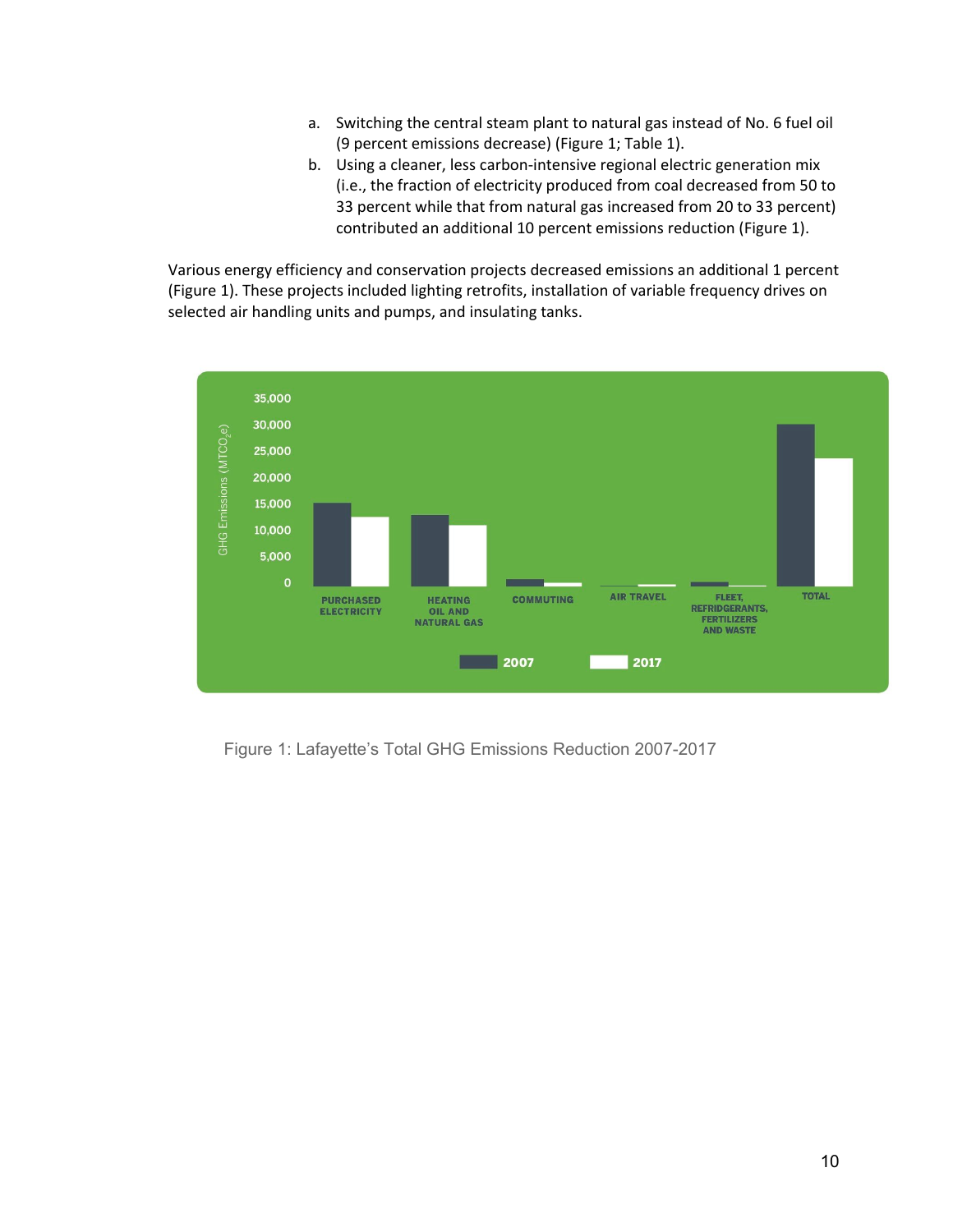- a. Switching the central steam plant to natural gas instead of No. 6 fuel oil (9 percent emissions decrease) (Figure 1; Table 1).
- b. Using a cleaner, less carbon-intensive regional electric generation mix (i.e., the fraction of electricity produced from coal decreased from 50 to 33 percent while that from natural gas increased from 20 to 33 percent) contributed an additional 10 percent emissions reduction (Figure 1).

Various energy efficiency and conservation projects decreased emissions an additional 1 percent (Figure 1). These projects included lighting retrofits, installation of variable frequency drives on selected air handling units and pumps, and insulating tanks.



Figure 1: Lafayette's Total GHG Emissions Reduction 2007-2017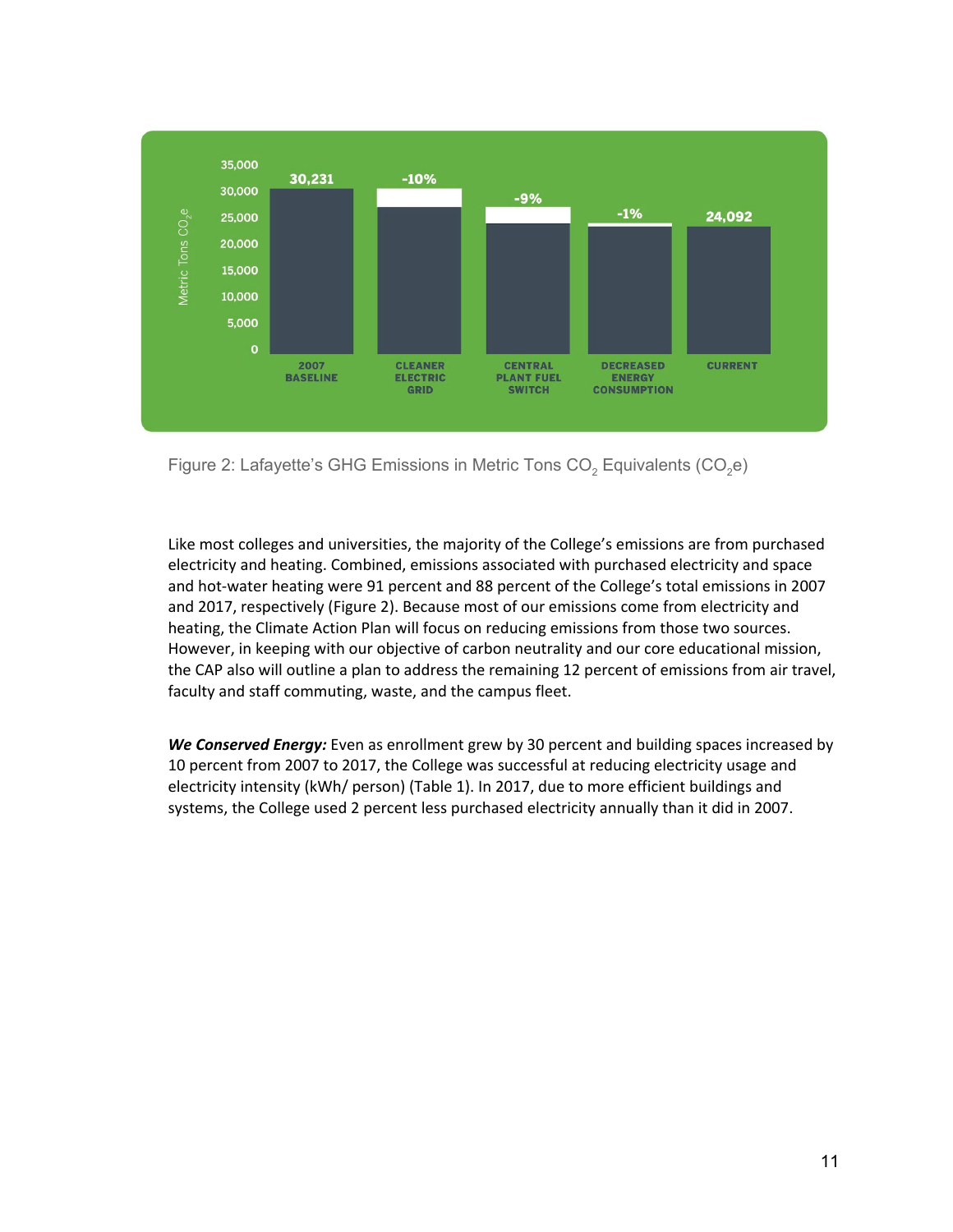

Figure 2: Lafayette's GHG Emissions in Metric Tons  $CO<sub>2</sub>$  Equivalents (CO<sub>2</sub>e)

Like most colleges and universities, the majority of the College's emissions are from purchased electricity and heating. Combined, emissions associated with purchased electricity and space and hot-water heating were 91 percent and 88 percent of the College's total emissions in 2007 and 2017, respectively (Figure 2). Because most of our emissions come from electricity and heating, the Climate Action Plan will focus on reducing emissions from those two sources. However, in keeping with our objective of carbon neutrality and our core educational mission, the CAP also will outline a plan to address the remaining 12 percent of emissions from air travel, faculty and staff commuting, waste, and the campus fleet.

*We Conserved Energy:* Even as enrollment grew by 30 percent and building spaces increased by 10 percent from 2007 to 2017, the College was successful at reducing electricity usage and electricity intensity (kWh/ person) (Table 1). In 2017, due to more efficient buildings and systems, the College used 2 percent less purchased electricity annually than it did in 2007.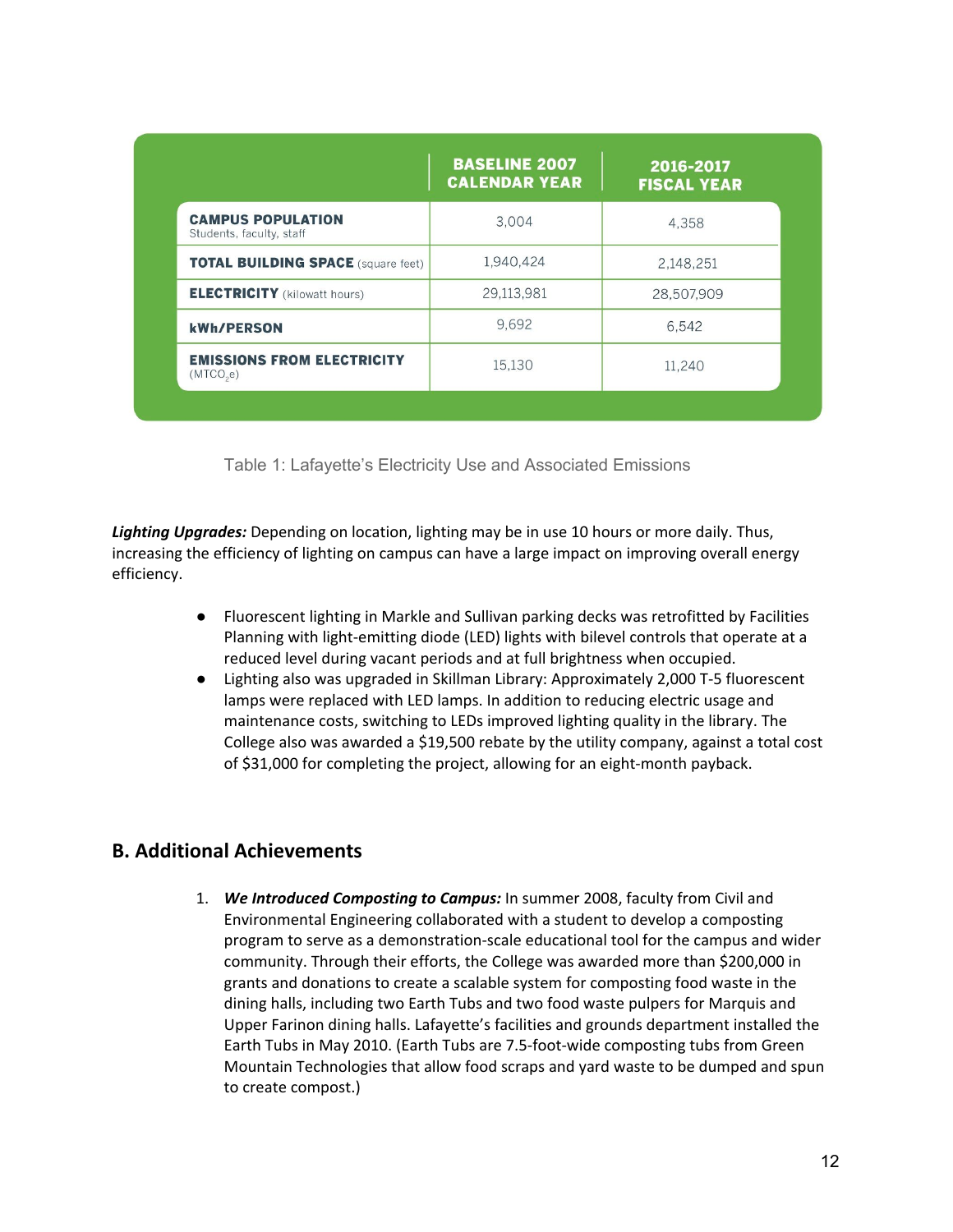|                                                      | <b>BASELINE 2007</b><br><b>CALENDAR YEAR</b> | 2016-2017<br><b>FISCAL YEAR</b> |
|------------------------------------------------------|----------------------------------------------|---------------------------------|
| <b>CAMPUS POPULATION</b><br>Students, faculty, staff | 3,004                                        | 4,358                           |
| <b>TOTAL BUILDING SPACE (square feet)</b>            | 1,940,424                                    | 2,148,251                       |
| <b>ELECTRICITY</b> (kilowatt hours)                  | 29,113,981                                   | 28,507,909                      |
| <b>kWh/PERSON</b>                                    | 9.692                                        | 6.542                           |
| <b>EMISSIONS FROM ELECTRICITY</b><br>(MTCO,e)        | 15,130                                       | 11,240                          |

Table 1: Lafayette's Electricity Use and Associated Emissions

*Lighting Upgrades:* Depending on location, lighting may be in use 10 hours or more daily. Thus, increasing the efficiency of lighting on campus can have a large impact on improving overall energy efficiency.

- Fluorescent lighting in Markle and Sullivan parking decks was retrofitted by Facilities Planning with light-emitting diode (LED) lights with bilevel controls that operate at a reduced level during vacant periods and at full brightness when occupied.
- Lighting also was upgraded in Skillman Library: Approximately 2,000 T-5 fluorescent lamps were replaced with LED lamps. In addition to reducing electric usage and maintenance costs, switching to LEDs improved lighting quality in the library. The College also was awarded a \$19,500 rebate by the utility company, against a total cost of \$31,000 for completing the project, allowing for an eight-month payback.

## **B. Additional Achievements**

1. *We Introduced Composting to Campus:* In summer 2008, faculty from Civil and Environmental Engineering collaborated with a student to develop a composting program to serve as a demonstration-scale educational tool for the campus and wider community. Through their efforts, the College was awarded more than \$200,000 in grants and donations to create a scalable system for composting food waste in the dining halls, including two Earth Tubs and two food waste pulpers for Marquis and Upper Farinon dining halls. Lafayette's facilities and grounds department installed the Earth Tubs in May 2010. (Earth Tubs are 7.5-foot-wide composting tubs from Green Mountain Technologies that allow food scraps and yard waste to be dumped and spun to create compost.)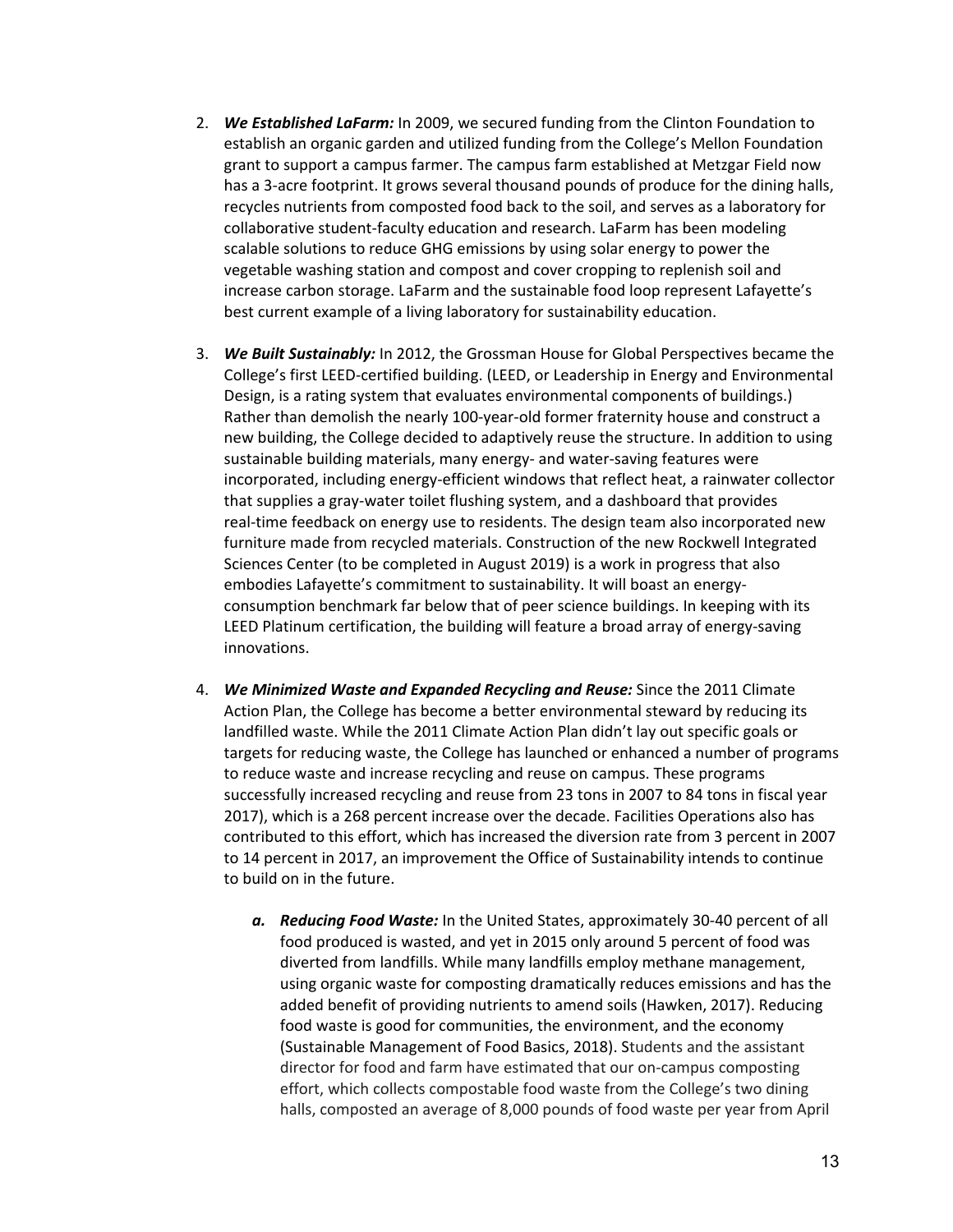- 2. *We Established LaFarm:* In 2009, we secured funding from the Clinton Foundation to establish an organic garden and utilized funding from the College's Mellon Foundation grant to support a campus farmer. The campus farm established at Metzgar Field now has a 3-acre footprint. It grows several thousand pounds of produce for the dining halls, recycles nutrients from composted food back to the soil, and serves as a laboratory for collaborative student-faculty education and research. LaFarm has been modeling scalable solutions to reduce GHG emissions by using solar energy to power the vegetable washing station and compost and cover cropping to replenish soil and increase carbon storage. LaFarm and the sustainable food loop represent Lafayette's best current example of a living laboratory for sustainability education.
- 3. *We Built Sustainably:* In 2012, the Grossman House for Global Perspectives became the College's first LEED-certified building. (LEED, or Leadership in Energy and Environmental Design, is a rating system that evaluates environmental components of buildings.) Rather than demolish the nearly 100-year-old former fraternity house and construct a new building, the College decided to adaptively reuse the structure. In addition to using sustainable building materials, many energy- and water-saving features were incorporated, including energy-efficient windows that reflect heat, a rainwater collector that supplies a gray-water toilet flushing system, and a dashboard that provides real-time feedback on energy use to residents. The design team also incorporated new furniture made from recycled materials. Construction of the new Rockwell Integrated Sciences Center (to be completed in August 2019) is a work in progress that also embodies Lafayette's commitment to sustainability. It will boast an energyconsumption benchmark far below that of peer science buildings. In keeping with its LEED Platinum certification, the building will feature a broad array of energy-saving innovations.
- 4. *We Minimized Waste and Expanded Recycling and Reuse:* Since the 2011 Climate Action Plan, the College has become a better environmental steward by reducing its landfilled waste. While the 2011 Climate Action Plan didn't lay out specific goals or targets for reducing waste, the College has launched or enhanced a number of programs to reduce waste and increase recycling and reuse on campus. These programs successfully increased recycling and reuse from 23 tons in 2007 to 84 tons in fiscal year 2017), which is a 268 percent increase over the decade. Facilities Operations also has contributed to this effort, which has increased the diversion rate from 3 percent in 2007 to 14 percent in 2017, an improvement the Office of Sustainability intends to continue to build on in the future.
	- *a. Reducing Food Waste:* In the United States, approximately 30-40 percent of all food produced is wasted, and yet in 2015 only around 5 percent of food was diverted from landfills. While many landfills employ methane management, using organic waste for composting dramatically reduces emissions and has the added benefit of providing nutrients to amend soils (Hawken, 2017). Reducing food waste is good for communities, the environment, and the economy (Sustainable Management of Food Basics, 2018). Students and the assistant director for food and farm have estimated that our on-campus composting effort, which collects compostable food waste from the College's two dining halls, composted an average of 8,000 pounds of food waste per year from April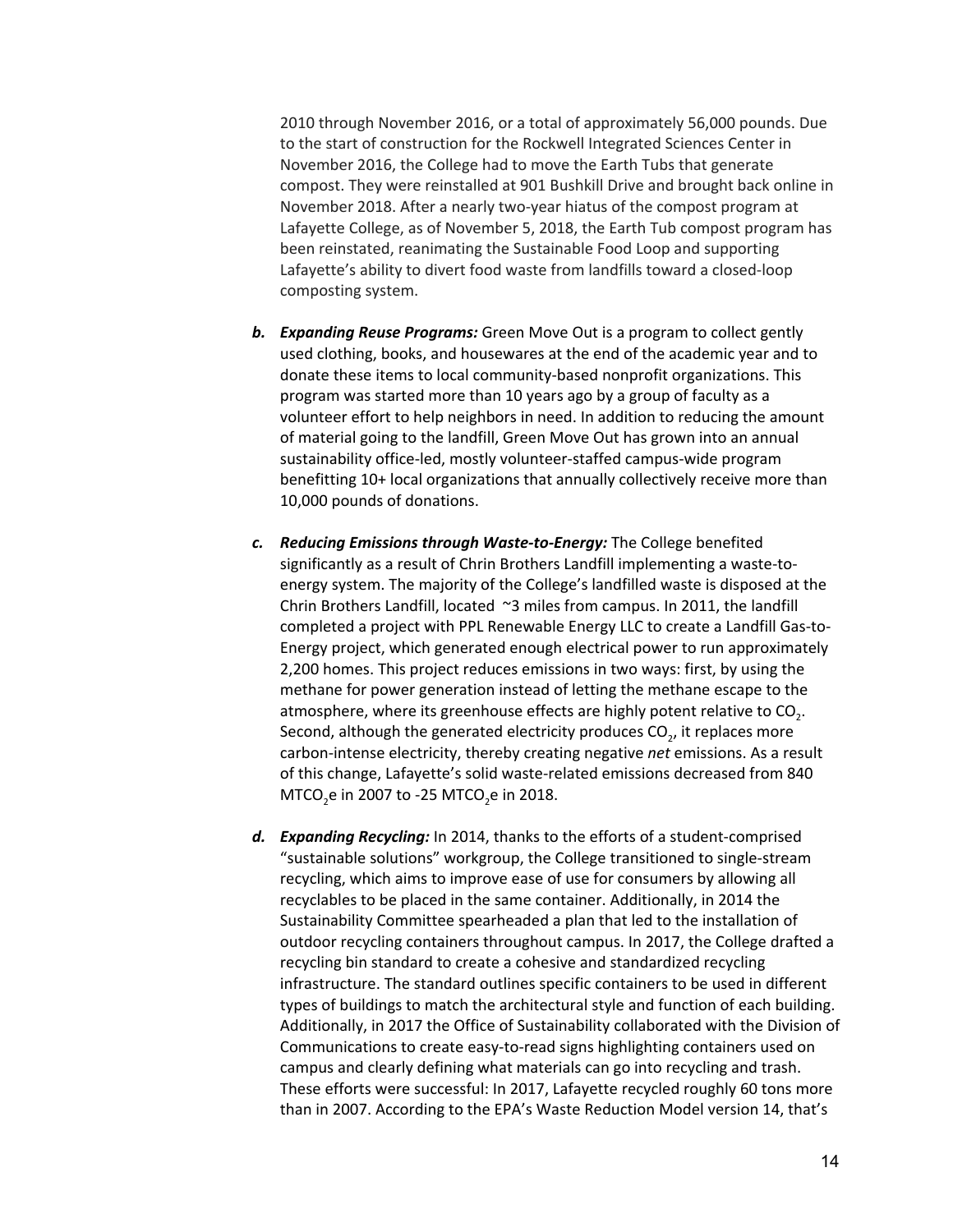2010 through November 2016, or a total of approximately 56,000 pounds. Due to the start of construction for the Rockwell Integrated Sciences Center in November 2016, the College had to move the Earth Tubs that generate compost. They were reinstalled at 901 Bushkill Drive and brought back online in November 2018. After a nearly two-year hiatus of the compost program at Lafayette College, as of November 5, 2018, the Earth Tub compost program has been reinstated, reanimating the Sustainable Food Loop and supporting Lafayette's ability to divert food waste from landfills toward a closed-loop composting system.

- *b. Expanding Reuse Programs:* Green Move Out is a program to collect gently used clothing, books, and housewares at the end of the academic year and to donate these items to local community-based nonprofit organizations. This program was started more than 10 years ago by a group of faculty as a volunteer effort to help neighbors in need. In addition to reducing the amount of material going to the landfill, Green Move Out has grown into an annual sustainability office-led, mostly volunteer-staffed campus-wide program benefitting 10+ local organizations that annually collectively receive more than 10,000 pounds of donations.
- *c. Reducing Emissions through Waste-to-Energy:* The College benefited significantly as a result of Chrin Brothers Landfill implementing a waste-toenergy system. The majority of the College's landfilled waste is disposed at the Chrin Brothers Landfill, located ~3 miles from campus. In 2011, the landfill completed a project with PPL Renewable Energy LLC to create a Landfill Gas-to-Energy project, which generated enough electrical power to run approximately 2,200 homes. This project reduces emissions in two ways: first, by using the methane for power generation instead of letting the methane escape to the atmosphere, where its greenhouse effects are highly potent relative to CO<sub>2</sub>. Second, although the generated electricity produces CO<sub>2</sub>, it replaces more carbon-intense electricity, thereby creating negative *net* emissions. As a result of this change, Lafayette's solid waste-related emissions decreased from 840 MTCO<sub>2</sub>e in 2007 to -25 MTCO<sub>2</sub>e in 2018.
- *d. Expanding Recycling:* In 2014, thanks to the efforts of a student-comprised "sustainable solutions" workgroup, the College transitioned to single-stream recycling, which aims to improve ease of use for consumers by allowing all recyclables to be placed in the same container. Additionally, in 2014 the Sustainability Committee spearheaded a plan that led to the installation of outdoor recycling containers throughout campus. In 2017, the College drafted a recycling bin standard to create a cohesive and standardized recycling infrastructure. The standard outlines specific containers to be used in different types of buildings to match the architectural style and function of each building. Additionally, in 2017 the Office of Sustainability collaborated with the Division of Communications to create easy-to-read signs highlighting containers used on campus and clearly defining what materials can go into recycling and trash. These efforts were successful: In 2017, Lafayette recycled roughly 60 tons more than in 2007. According to the EPA's Waste Reduction Model version 14, that's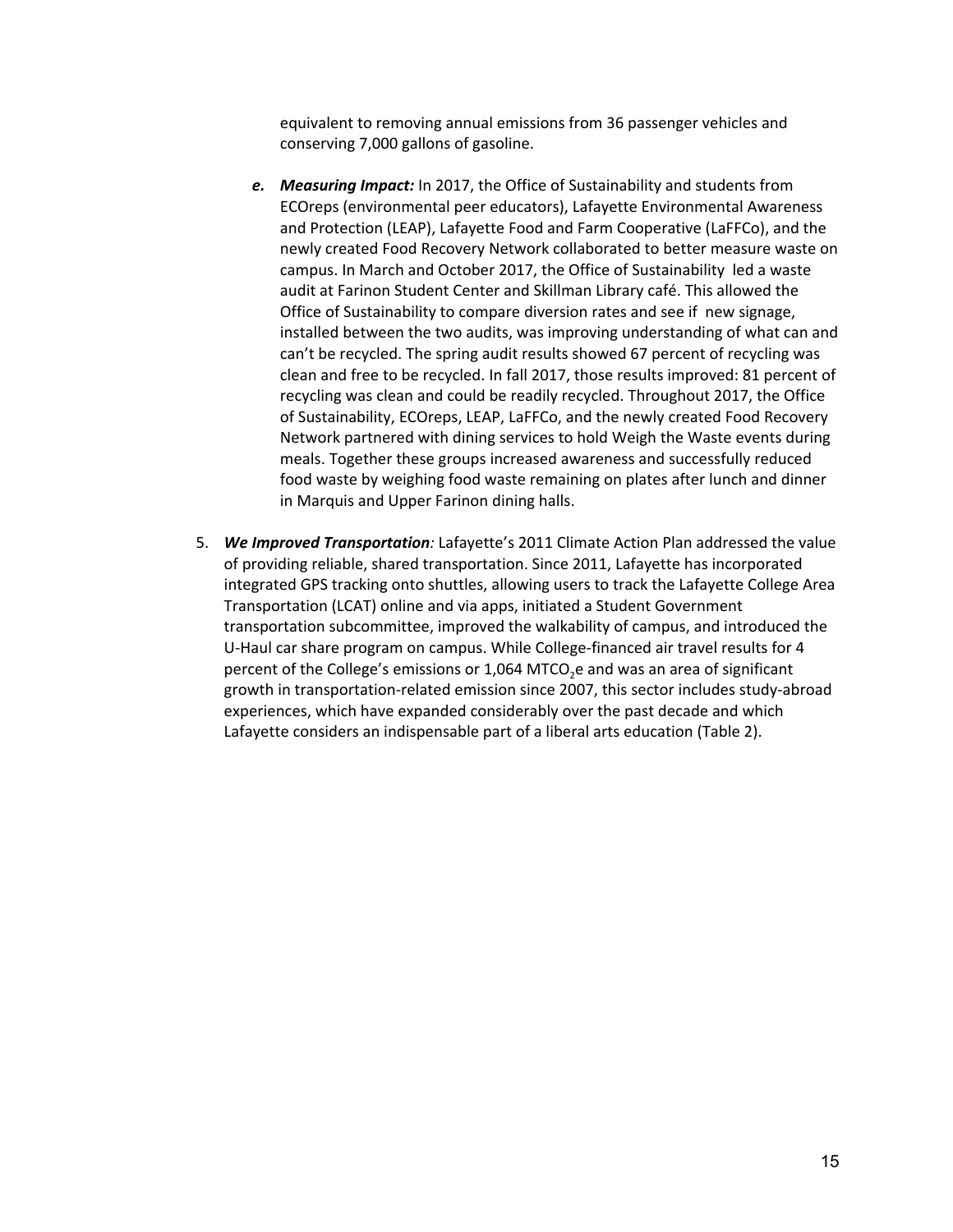equivalent to removing annual emissions from 36 passenger vehicles and conserving 7,000 gallons of gasoline.

- *e. Measuring Impact:* In 2017, the Office of Sustainability and students from ECOreps (environmental peer educators), Lafayette Environmental Awareness and Protection (LEAP), Lafayette Food and Farm Cooperative (LaFFCo), and the newly created Food Recovery Network collaborated to better measure waste on campus. In March and October 2017, the Office of Sustainability led a waste audit at Farinon Student Center and Skillman Library café. This allowed the Office of Sustainability to compare diversion rates and see if new signage, installed between the two audits, was improving understanding of what can and can't be recycled. The spring audit results showed 67 percent of recycling was clean and free to be recycled. In fall 2017, those results improved: 81 percent of recycling was clean and could be readily recycled. Throughout 2017, the Office of Sustainability, ECOreps, LEAP, LaFFCo, and the newly created Food Recovery Network partnered with dining services to hold Weigh the Waste events during meals. Together these groups increased awareness and successfully reduced food waste by weighing food waste remaining on plates after lunch and dinner in Marquis and Upper Farinon dining halls.
- 5. *We Improved Transportation:* Lafayette's 2011 Climate Action Plan addressed the value of providing reliable, shared transportation. Since 2011, Lafayette has incorporated integrated GPS tracking onto shuttles, allowing users to track the Lafayette College Area Transportation (LCAT) online and via apps, initiated a Student Government transportation subcommittee, improved the walkability of campus, and introduced the U-Haul car share program on campus. While College-financed air travel results for 4 percent of the College's emissions or 1,064 MTCO<sub>2</sub>e and was an area of significant growth in transportation-related emission since 2007, this sector includes study-abroad experiences, which have expanded considerably over the past decade and which Lafayette considers an indispensable part of a liberal arts education (Table 2).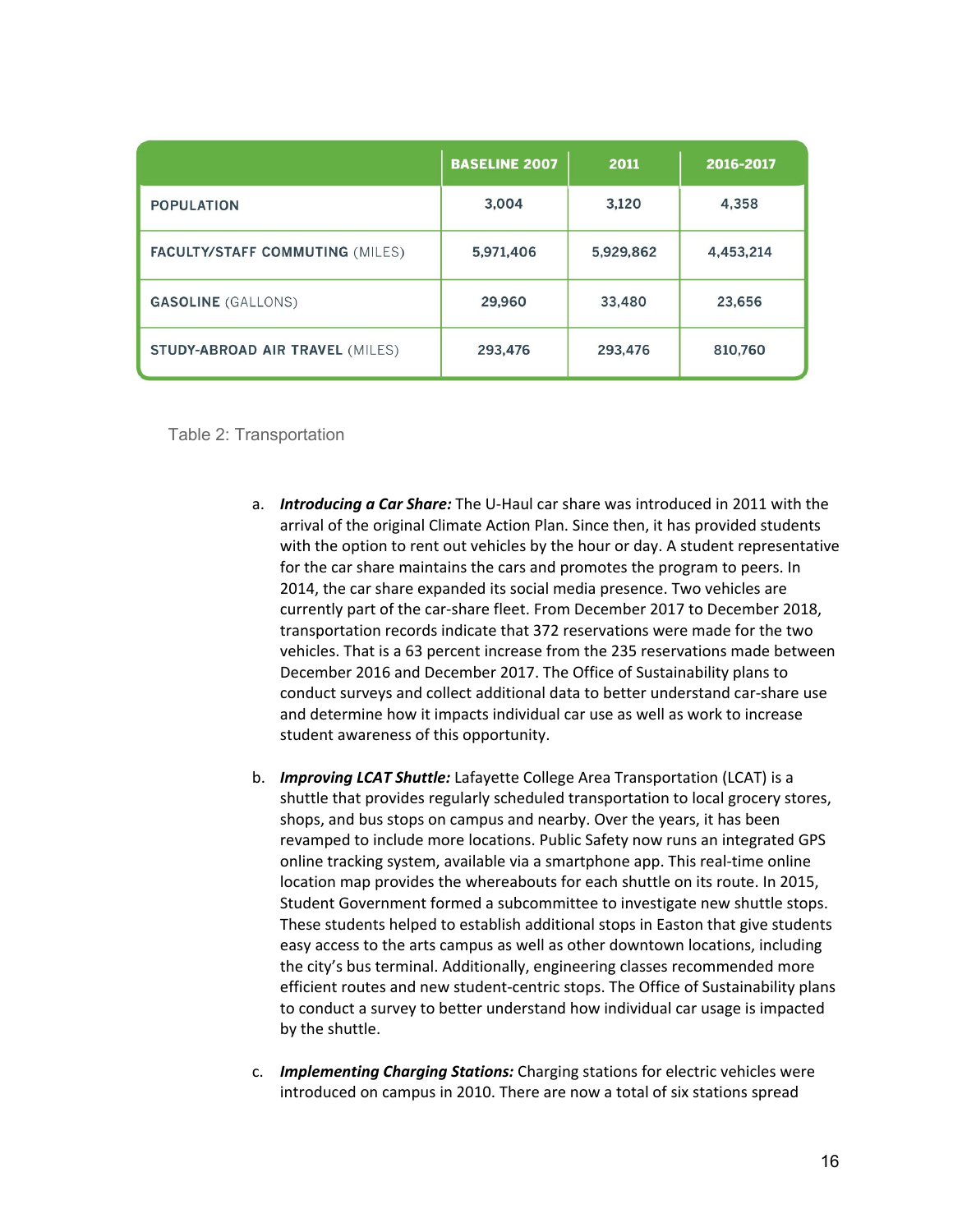|                                        | <b>BASELINE 2007</b> | 2011      | 2016-2017 |
|----------------------------------------|----------------------|-----------|-----------|
| <b>POPULATION</b>                      | 3,004                | 3,120     | 4,358     |
| <b>FACULTY/STAFF COMMUTING (MILES)</b> | 5,971,406            | 5,929,862 | 4,453,214 |
| <b>GASOLINE</b> (GALLONS)              | 29,960               | 33,480    | 23,656    |
| <b>STUDY-ABROAD AIR TRAVEL (MILES)</b> | 293,476              | 293,476   | 810,760   |

Table 2: Transportation

- a. *Introducing a Car Share:* The U-Haul car share was introduced in 2011 with the arrival of the original Climate Action Plan. Since then, it has provided students with the option to rent out vehicles by the hour or day. A student representative for the car share maintains the cars and promotes the program to peers. In 2014, the car share expanded its social media presence. Two vehicles are currently part of the car-share fleet. From December 2017 to December 2018, transportation records indicate that 372 reservations were made for the two vehicles. That is a 63 percent increase from the 235 reservations made between December 2016 and December 2017. The Office of Sustainability plans to conduct surveys and collect additional data to better understand car-share use and determine how it impacts individual car use as well as work to increase student awareness of this opportunity.
- b. *Improving LCAT Shuttle:* Lafayette College Area Transportation (LCAT) is a shuttle that provides regularly scheduled transportation to local grocery stores, shops, and bus stops on campus and nearby. Over the years, it has been revamped to include more locations. Public Safety now runs an integrated GPS online tracking system, available via a smartphone app. This real-time online location map provides the whereabouts for each shuttle on its route. In 2015, Student Government formed a subcommittee to investigate new shuttle stops. These students helped to establish additional stops in Easton that give students easy access to the arts campus as well as other downtown locations, including the city's bus terminal. Additionally, engineering classes recommended more efficient routes and new student-centric stops. The Office of Sustainability plans to conduct a survey to better understand how individual car usage is impacted by the shuttle.
- c. *Implementing Charging Stations:* Charging stations for electric vehicles were introduced on campus in 2010. There are now a total of six stations spread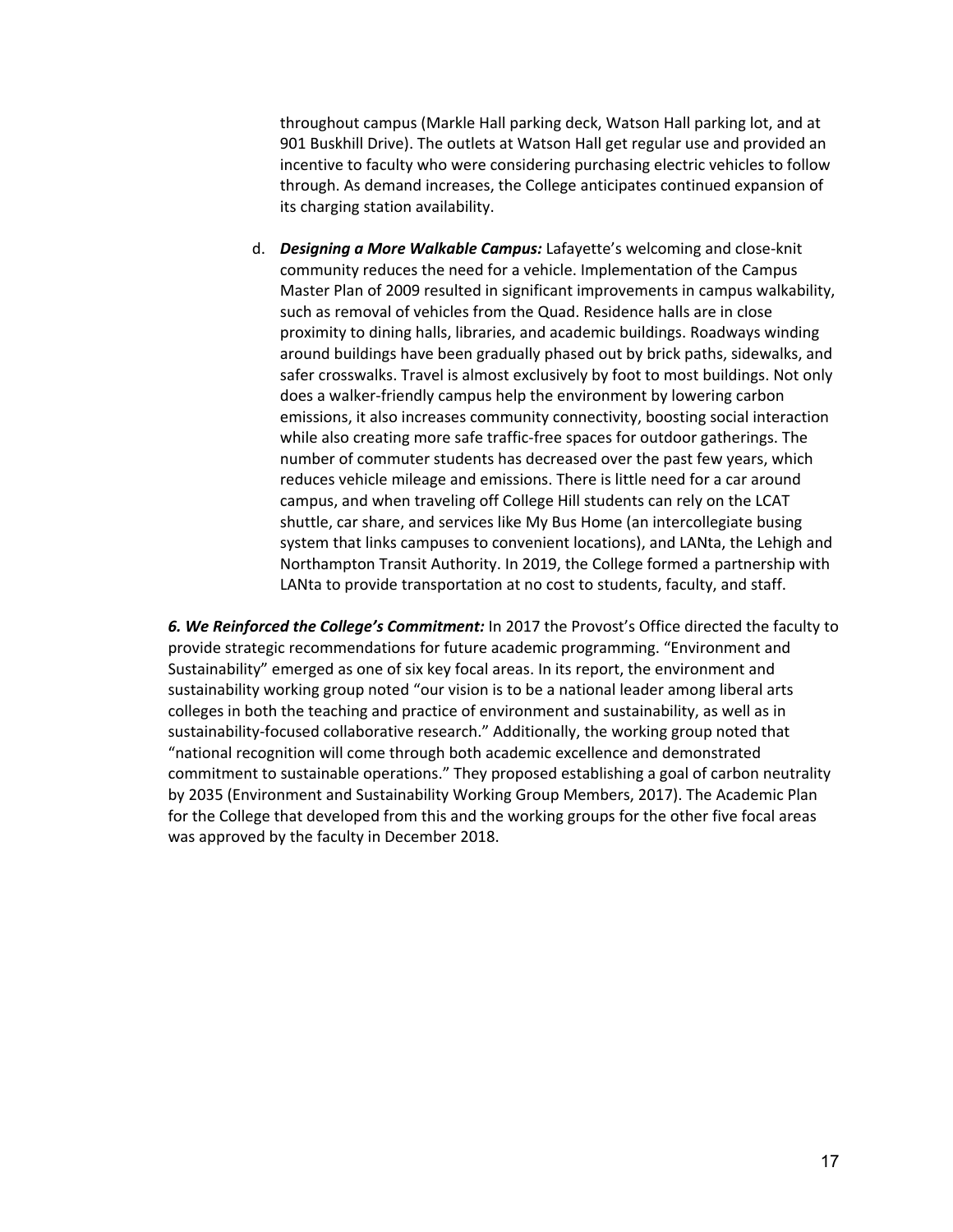throughout campus (Markle Hall parking deck, Watson Hall parking lot, and at 901 Buskhill Drive). The outlets at Watson Hall get regular use and provided an incentive to faculty who were considering purchasing electric vehicles to follow through. As demand increases, the College anticipates continued expansion of its charging station availability.

d. *Designing a More Walkable Campus:* Lafayette's welcoming and close-knit community reduces the need for a vehicle. Implementation of the Campus Master Plan of 2009 resulted in significant improvements in campus walkability, such as removal of vehicles from the Quad. Residence halls are in close proximity to dining halls, libraries, and academic buildings. Roadways winding around buildings have been gradually phased out by brick paths, sidewalks, and safer crosswalks. Travel is almost exclusively by foot to most buildings. Not only does a walker-friendly campus help the environment by lowering carbon emissions, it also increases community connectivity, boosting social interaction while also creating more safe traffic-free spaces for outdoor gatherings. The number of commuter students has decreased over the past few years, which reduces vehicle mileage and emissions. There is little need for a car around campus, and when traveling off College Hill students can rely on the LCAT shuttle, car share, and services like My Bus Home (an intercollegiate busing system that links campuses to convenient locations), and LANta, the Lehigh and Northampton Transit Authority. In 2019, the College formed a partnership with LANta to provide transportation at no cost to students, faculty, and staff.

*6. We Reinforced the College's Commitment:* In 2017 the Provost's Office directed the faculty to provide strategic recommendations for future academic programming. "Environment and Sustainability" emerged as one of six key focal areas. In its report, the environment and sustainability working group noted "our vision is to be a national leader among liberal arts colleges in both the teaching and practice of environment and sustainability, as well as in sustainability-focused collaborative research." Additionally, the working group noted that "national recognition will come through both academic excellence and demonstrated commitment to sustainable operations." They proposed establishing a goal of carbon neutrality by 2035 (Environment and Sustainability Working Group Members, 2017). The Academic Plan for the College that developed from this and the working groups for the other five focal areas was approved by the faculty in December 2018.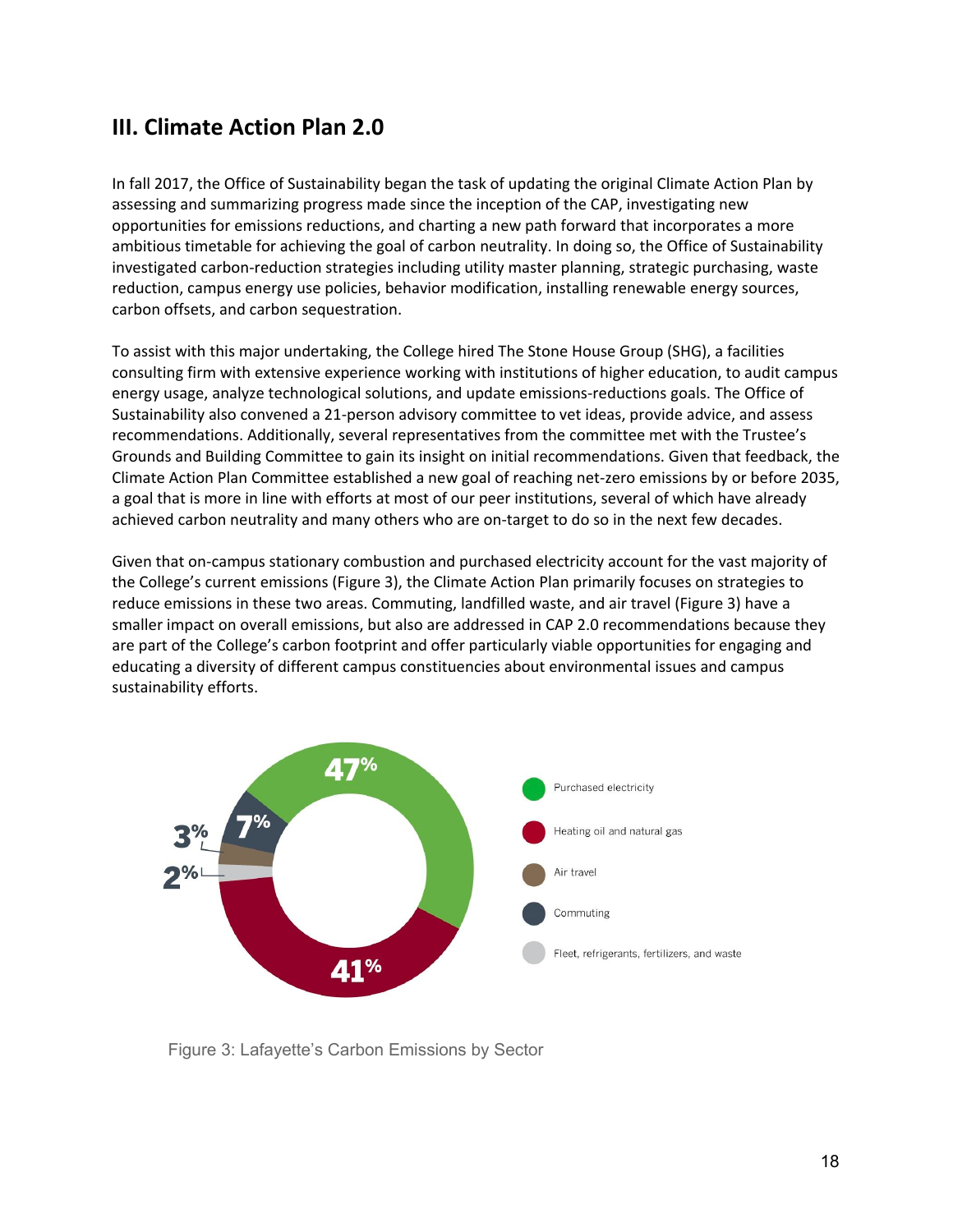# **III. Climate Action Plan 2.0**

In fall 2017, the Office of Sustainability began the task of updating the original Climate Action Plan by assessing and summarizing progress made since the inception of the CAP, investigating new opportunities for emissions reductions, and charting a new path forward that incorporates a more ambitious timetable for achieving the goal of carbon neutrality. In doing so, the Office of Sustainability investigated carbon-reduction strategies including utility master planning, strategic purchasing, waste reduction, campus energy use policies, behavior modification, installing renewable energy sources, carbon offsets, and carbon sequestration.

To assist with this major undertaking, the College hired The Stone House Group (SHG), a facilities consulting firm with extensive experience working with institutions of higher education, to audit campus energy usage, analyze technological solutions, and update emissions-reductions goals. The Office of Sustainability also convened a 21-person advisory committee to vet ideas, provide advice, and assess recommendations. Additionally, several representatives from the committee met with the Trustee's Grounds and Building Committee to gain its insight on initial recommendations. Given that feedback, the Climate Action Plan Committee established a new goal of reaching net-zero emissions by or before 2035, a goal that is more in line with efforts at most of our peer institutions, several of which have already achieved carbon neutrality and many others who are on-target to do so in the next few decades.

Given that on-campus stationary combustion and purchased electricity account for the vast majority of the College's current emissions (Figure 3), the Climate Action Plan primarily focuses on strategies to reduce emissions in these two areas. Commuting, landfilled waste, and air travel (Figure 3) have a smaller impact on overall emissions, but also are addressed in CAP 2.0 recommendations because they are part of the College's carbon footprint and offer particularly viable opportunities for engaging and educating a diversity of different campus constituencies about environmental issues and campus sustainability efforts.



Figure 3: Lafayette's Carbon Emissions by Sector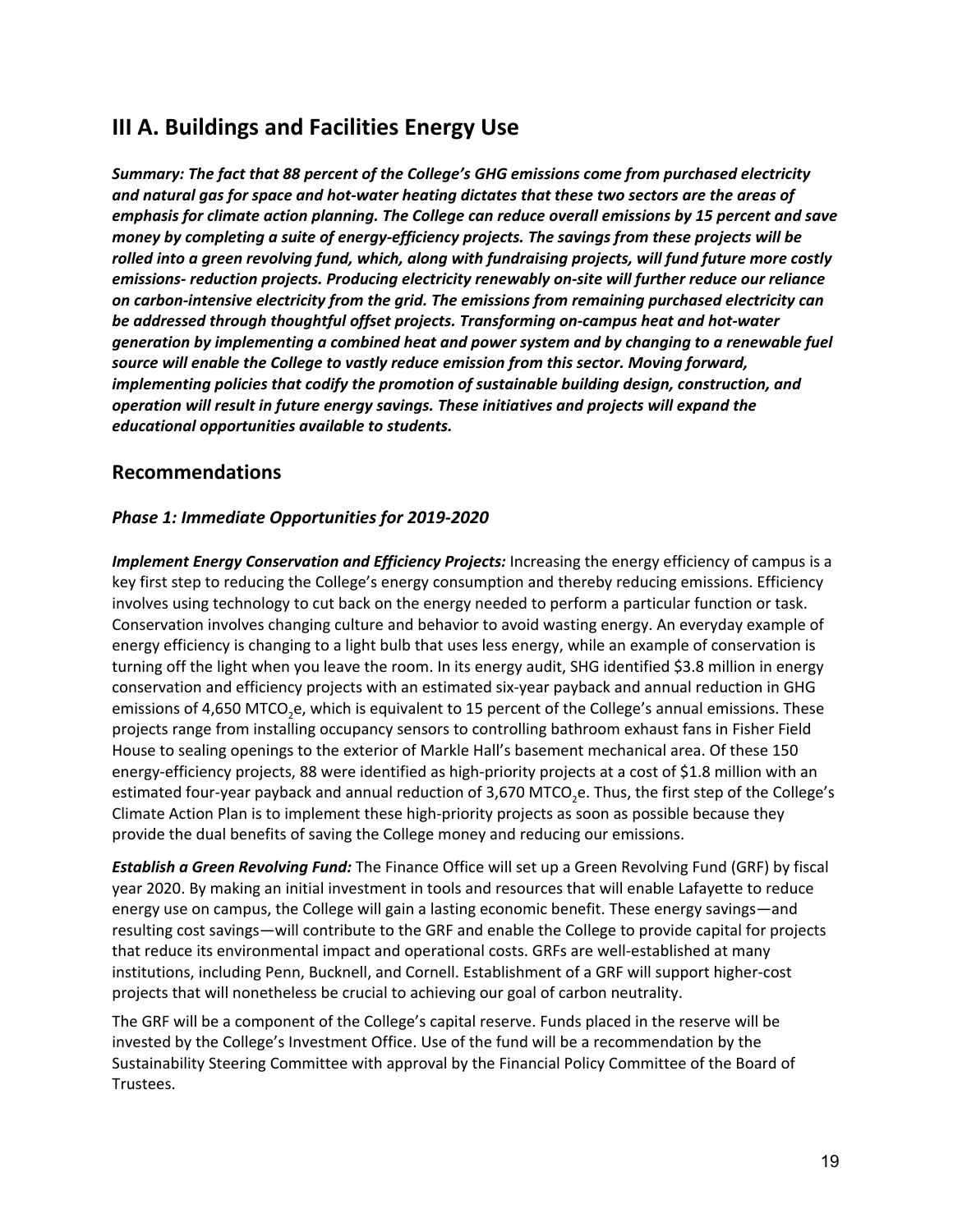# **III A. Buildings and Facilities Energy Use**

*Summary: The fact that 88 percent of the College's GHG emissions come from purchased electricity and natural gas for space and hot-water heating dictates that these two sectors are the areas of emphasis for climate action planning. The College can reduce overall emissions by 15 percent and save money by completing a suite of energy-efficiency projects. The savings from these projects will be rolled into a green revolving fund, which, along with fundraising projects, will fund future more costly emissions- reduction projects. Producing electricity renewably on-site will further reduce our reliance on carbon-intensive electricity from the grid. The emissions from remaining purchased electricity can be addressed through thoughtful offset projects. Transforming on-campus heat and hot-water generation by implementing a combined heat and power system and by changing to a renewable fuel source will enable the College to vastly reduce emission from this sector. Moving forward, implementing policies that codify the promotion of sustainable building design, construction, and operation will result in future energy savings. These initiatives and projects will expand the educational opportunities available to students.*

## **Recommendations**

## *Phase 1: Immediate Opportunities for 2019-2020*

*Implement Energy Conservation and Efficiency Projects:* Increasing the energy efficiency of campus is a key first step to reducing the College's energy consumption and thereby reducing emissions. Efficiency involves using technology to cut back on the energy needed to perform a particular function or task. Conservation involves changing culture and behavior to avoid wasting energy. An everyday example of energy efficiency is changing to a light bulb that uses less energy, while an example of conservation is turning off the light when you leave the room. In its energy audit, SHG identified \$3.8 million in energy conservation and efficiency projects with an estimated six-year payback and annual reduction in GHG emissions of 4,650 MTCO<sub>2</sub>e, which is equivalent to 15 percent of the College's annual emissions. These projects range from installing occupancy sensors to controlling bathroom exhaust fans in Fisher Field House to sealing openings to the exterior of Markle Hall's basement mechanical area. Of these 150 energy-efficiency projects, 88 were identified as high-priority projects at a cost of \$1.8 million with an estimated four-year payback and annual reduction of 3,670 MTCO<sub>2</sub>e. Thus, the first step of the College's Climate Action Plan is to implement these high-priority projects as soon as possible because they provide the dual benefits of saving the College money and reducing our emissions.

*Establish a Green Revolving Fund:* The Finance Office will set up a Green Revolving Fund (GRF) by fiscal year 2020. By making an initial investment in tools and resources that will enable Lafayette to reduce energy use on campus, the College will gain a lasting economic benefit. These energy savings—and resulting cost savings—will contribute to the GRF and enable the College to provide capital for projects that reduce its environmental impact and operational costs. GRFs are well-established at many institutions, including Penn, Bucknell, and Cornell. Establishment of a GRF will support higher-cost projects that will nonetheless be crucial to achieving our goal of carbon neutrality.

The GRF will be a component of the College's capital reserve. Funds placed in the reserve will be invested by the College's Investment Office. Use of the fund will be a recommendation by the Sustainability Steering Committee with approval by the Financial Policy Committee of the Board of Trustees.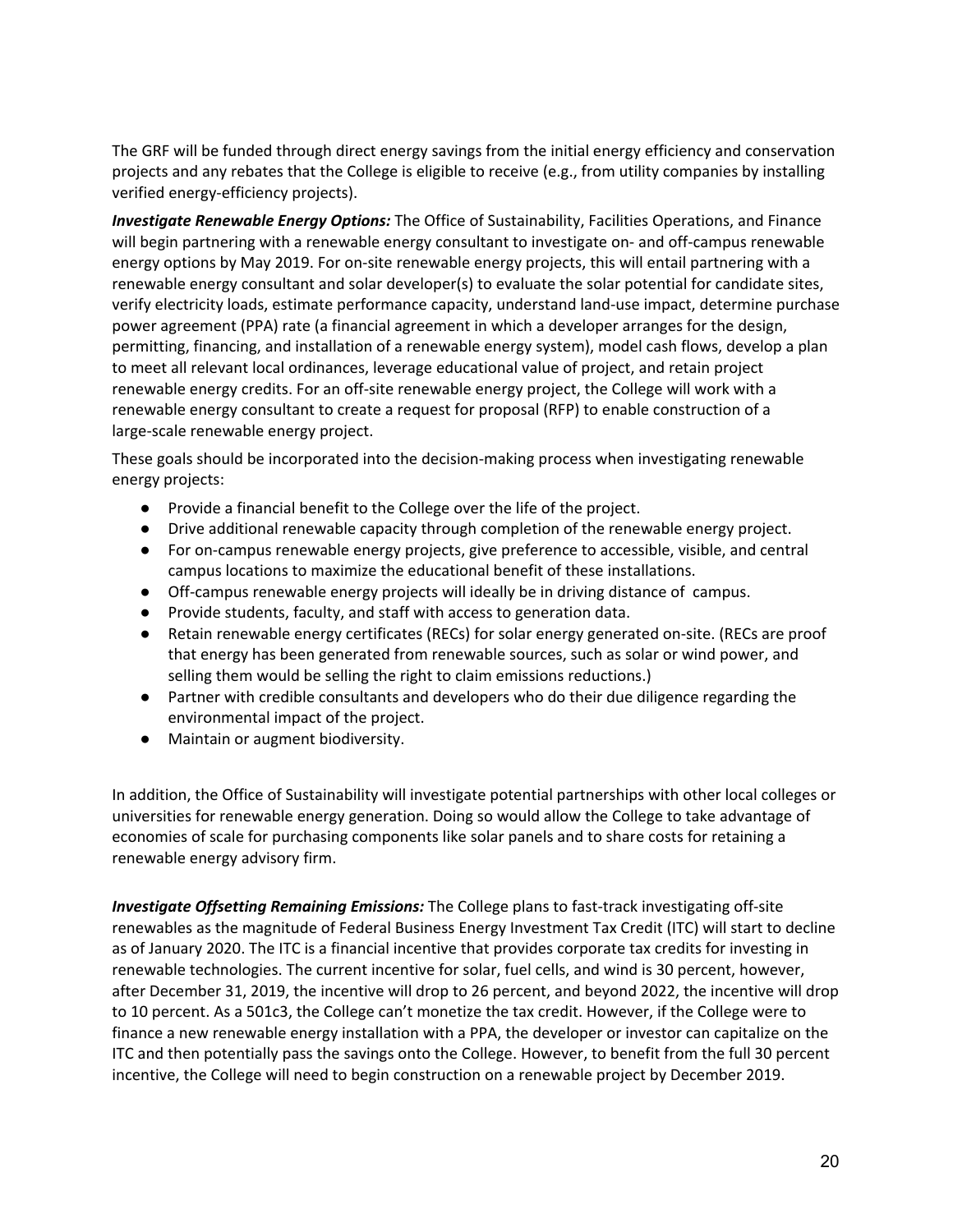The GRF will be funded through direct energy savings from the initial energy efficiency and conservation projects and any rebates that the College is eligible to receive (e.g., from utility companies by installing verified energy-efficiency projects).

*Investigate Renewable Energy Options:* The Office of Sustainability, Facilities Operations, and Finance will begin partnering with a renewable energy consultant to investigate on- and off-campus renewable energy options by May 2019. For on-site renewable energy projects, this will entail partnering with a renewable energy consultant and solar developer(s) to evaluate the solar potential for candidate sites, verify electricity loads, estimate performance capacity, understand land-use impact, determine purchase power agreement (PPA) rate (a financial agreement in which a developer arranges for the design, permitting, financing, and installation of a renewable energy system), model cash flows, develop a plan to meet all relevant local ordinances, leverage educational value of project, and retain project renewable energy credits. For an off-site renewable energy project, the College will work with a renewable energy consultant to create a request for proposal (RFP) to enable construction of a large-scale renewable energy project.

These goals should be incorporated into the decision-making process when investigating renewable energy projects:

- Provide a financial benefit to the College over the life of the project.
- Drive additional renewable capacity through completion of the renewable energy project.
- For on-campus renewable energy projects, give preference to accessible, visible, and central campus locations to maximize the educational benefit of these installations.
- Off-campus renewable energy projects will ideally be in driving distance of campus.
- Provide students, faculty, and staff with access to generation data.
- Retain renewable energy certificates (RECs) for solar energy generated on-site. (RECs are proof that energy has been generated from renewable sources, such as solar or wind power, and selling them would be selling the right to claim emissions reductions.)
- Partner with credible consultants and developers who do their due diligence regarding the environmental impact of the project.
- Maintain or augment biodiversity.

In addition, the Office of Sustainability will investigate potential partnerships with other local colleges or universities for renewable energy generation. Doing so would allow the College to take advantage of economies of scale for purchasing components like solar panels and to share costs for retaining a renewable energy advisory firm.

*Investigate Offsetting Remaining Emissions:* The College plans to fast-track investigating off-site renewables as the magnitude of Federal Business Energy Investment Tax Credit (ITC) will start to decline as of January 2020. The ITC is a financial incentive that provides corporate tax credits for investing in renewable technologies. The current incentive for solar, fuel cells, and wind is 30 percent, however, after December 31, 2019, the incentive will drop to 26 percent, and beyond 2022, the incentive will drop to 10 percent. As a 501c3, the College can't monetize the tax credit. However, if the College were to finance a new renewable energy installation with a PPA, the developer or investor can capitalize on the ITC and then potentially pass the savings onto the College. However, to benefit from the full 30 percent incentive, the College will need to begin construction on a renewable project by December 2019.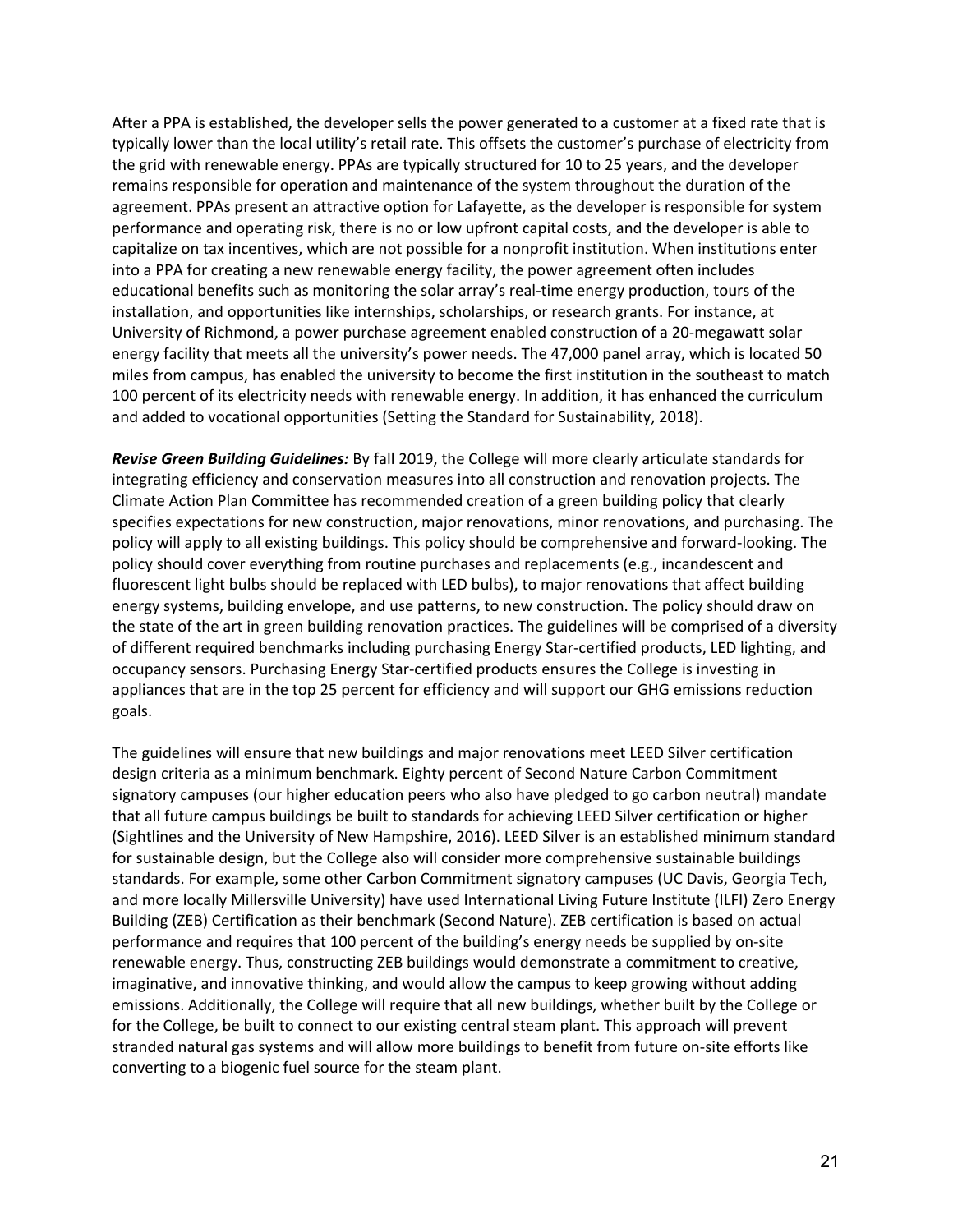After a PPA is established, the developer sells the power generated to a customer at a fixed rate that is typically lower than the local utility's retail rate. This offsets the customer's purchase of electricity from the grid with renewable energy. PPAs are typically structured for 10 to 25 years, and the developer remains responsible for operation and maintenance of the system throughout the duration of the agreement. PPAs present an attractive option for Lafayette, as the developer is responsible for system performance and operating risk, there is no or low upfront capital costs, and the developer is able to capitalize on tax incentives, which are not possible for a nonprofit institution. When institutions enter into a PPA for creating a new renewable energy facility, the power agreement often includes educational benefits such as monitoring the solar array's real-time energy production, tours of the installation, and opportunities like internships, scholarships, or research grants. For instance, at University of Richmond, a power purchase agreement enabled construction of a 20-megawatt solar energy facility that meets all the university's power needs. The 47,000 panel array, which is located 50 miles from campus, has enabled the university to become the first institution in the southeast to match 100 percent of its electricity needs with renewable energy. In addition, it has enhanced the curriculum and added to vocational opportunities (Setting the Standard for Sustainability, 2018).

*Revise Green Building Guidelines:* By fall 2019, the College will more clearly articulate standards for integrating efficiency and conservation measures into all construction and renovation projects. The Climate Action Plan Committee has recommended creation of a green building policy that clearly specifies expectations for new construction, major renovations, minor renovations, and purchasing. The policy will apply to all existing buildings. This policy should be comprehensive and forward-looking. The policy should cover everything from routine purchases and replacements (e.g., incandescent and fluorescent light bulbs should be replaced with LED bulbs), to major renovations that affect building energy systems, building envelope, and use patterns, to new construction. The policy should draw on the state of the art in green building renovation practices. The guidelines will be comprised of a diversity of different required benchmarks including purchasing Energy Star-certified products, LED lighting, and occupancy sensors. Purchasing Energy Star-certified products ensures the College is investing in appliances that are in the top 25 percent for efficiency and will support our GHG emissions reduction goals.

The guidelines will ensure that new buildings and major renovations meet LEED Silver certification design criteria as a minimum benchmark. Eighty percent of Second Nature Carbon Commitment signatory campuses (our higher education peers who also have pledged to go carbon neutral) mandate that all future campus buildings be built to standards for achieving LEED Silver certification or higher (Sightlines and the University of New Hampshire, 2016). LEED Silver is an established minimum standard for sustainable design, but the College also will consider more comprehensive sustainable buildings standards. For example, some other Carbon Commitment signatory campuses (UC Davis, Georgia Tech, and more locally Millersville University) have used International Living Future Institute (ILFI) Zero Energy Building (ZEB) Certification as their benchmark (Second Nature). ZEB certification is based on actual performance and requires that 100 percent of the building's energy needs be supplied by on-site renewable energy. Thus, constructing ZEB buildings would demonstrate a commitment to creative, imaginative, and innovative thinking, and would allow the campus to keep growing without adding emissions. Additionally, the College will require that all new buildings, whether built by the College or for the College, be built to connect to our existing central steam plant. This approach will prevent stranded natural gas systems and will allow more buildings to benefit from future on-site efforts like converting to a biogenic fuel source for the steam plant.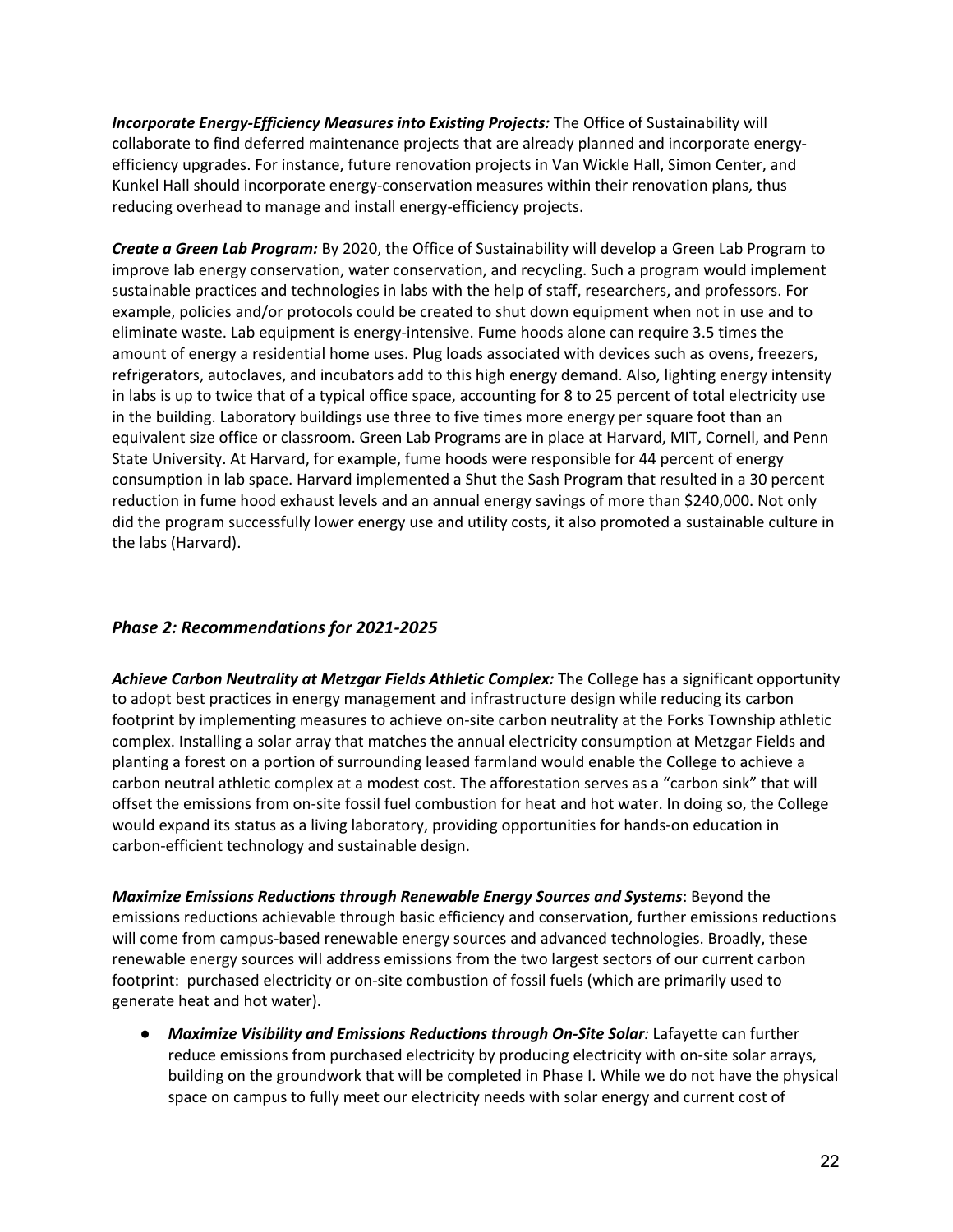*Incorporate Energy-Efficiency Measures into Existing Projects:* The Office of Sustainability will collaborate to find deferred maintenance projects that are already planned and incorporate energyefficiency upgrades. For instance, future renovation projects in Van Wickle Hall, Simon Center, and Kunkel Hall should incorporate energy-conservation measures within their renovation plans, thus reducing overhead to manage and install energy-efficiency projects.

*Create a Green Lab Program:* By 2020, the Office of Sustainability will develop a Green Lab Program to improve lab energy conservation, water conservation, and recycling. Such a program would implement sustainable practices and technologies in labs with the help of staff, researchers, and professors. For example, policies and/or protocols could be created to shut down equipment when not in use and to eliminate waste. Lab equipment is energy-intensive. Fume hoods alone can require 3.5 times the amount of energy a residential home uses. Plug loads associated with devices such as ovens, freezers, refrigerators, autoclaves, and incubators add to this high energy demand. Also, lighting energy intensity in labs is up to twice that of a typical office space, accounting for 8 to 25 percent of total electricity use in the building. Laboratory buildings use three to five times more energy per square foot than an equivalent size office or classroom. Green Lab Programs are in place at Harvard, MIT, Cornell, and Penn State University. At Harvard, for example, fume hoods were responsible for 44 percent of energy consumption in lab space. Harvard implemented a Shut the Sash Program that resulted in a 30 percent reduction in fume hood exhaust levels and an annual energy savings of more than \$240,000. Not only did the program successfully lower energy use and utility costs, it also promoted a sustainable culture in the labs (Harvard).

## *Phase 2: Recommendations for 2021-2025*

*Achieve Carbon Neutrality at Metzgar Fields Athletic Complex:* The College has a significant opportunity to adopt best practices in energy management and infrastructure design while reducing its carbon footprint by implementing measures to achieve on-site carbon neutrality at the Forks Township athletic complex. Installing a solar array that matches the annual electricity consumption at Metzgar Fields and planting a forest on a portion of surrounding leased farmland would enable the College to achieve a carbon neutral athletic complex at a modest cost. The afforestation serves as a "carbon sink" that will offset the emissions from on-site fossil fuel combustion for heat and hot water. In doing so, the College would expand its status as a living laboratory, providing opportunities for hands-on education in carbon-efficient technology and sustainable design.

*Maximize Emissions Reductions through Renewable Energy Sources and Systems*: Beyond the emissions reductions achievable through basic efficiency and conservation, further emissions reductions will come from campus-based renewable energy sources and advanced technologies. Broadly, these renewable energy sources will address emissions from the two largest sectors of our current carbon footprint: purchased electricity or on-site combustion of fossil fuels (which are primarily used to generate heat and hot water).

● *Maximize Visibility and Emissions Reductions through On-Site Solar:* Lafayette can further reduce emissions from purchased electricity by producing electricity with on-site solar arrays, building on the groundwork that will be completed in Phase I. While we do not have the physical space on campus to fully meet our electricity needs with solar energy and current cost of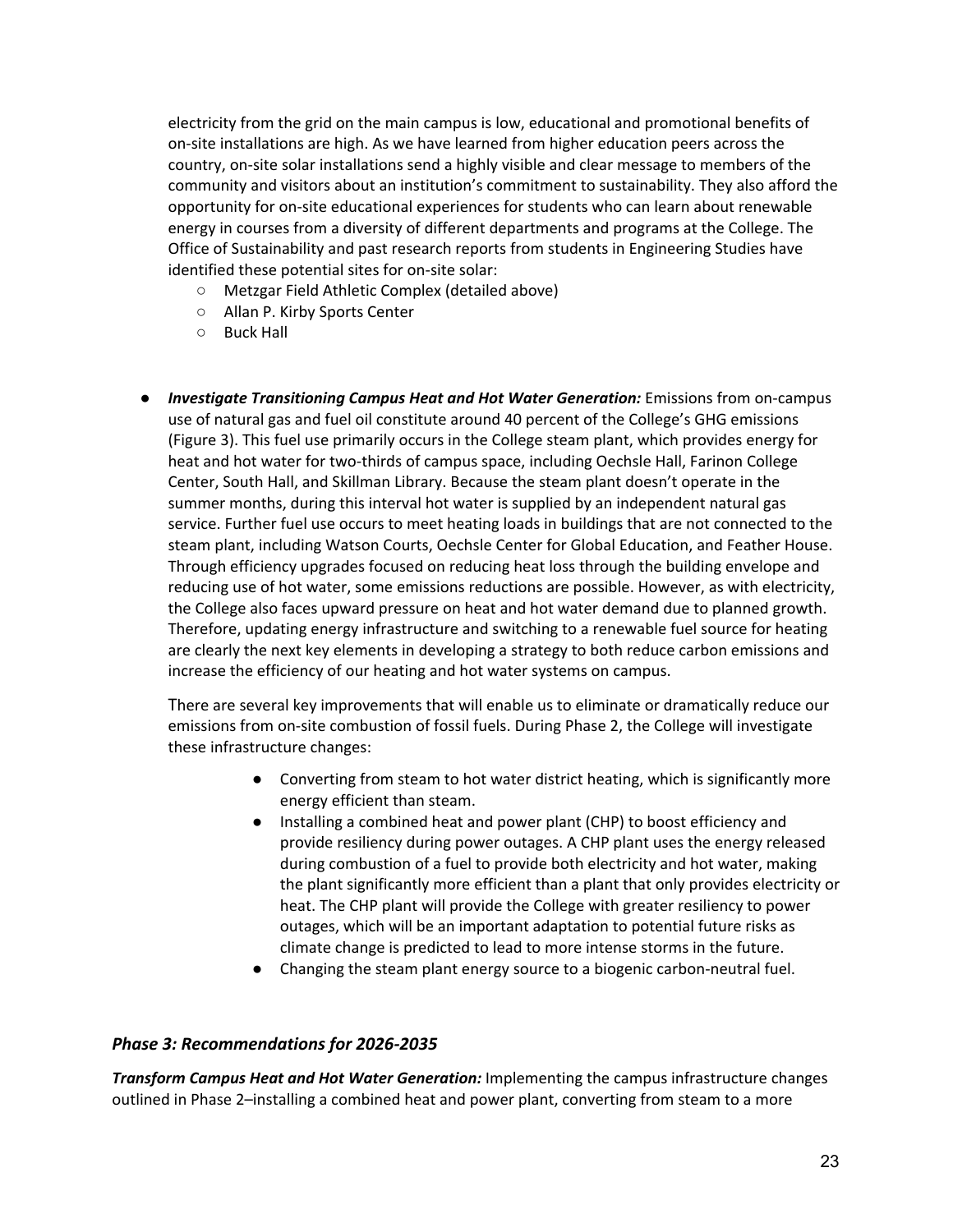electricity from the grid on the main campus is low, educational and promotional benefits of on-site installations are high. As we have learned from higher education peers across the country, on-site solar installations send a highly visible and clear message to members of the community and visitors about an institution's commitment to sustainability. They also afford the opportunity for on-site educational experiences for students who can learn about renewable energy in courses from a diversity of different departments and programs at the College. The Office of Sustainability and past research reports from students in Engineering Studies have identified these potential sites for on-site solar:

- Metzgar Field Athletic Complex (detailed above)
- Allan P. Kirby Sports Center
- Buck Hall
- *Investigate Transitioning Campus Heat and Hot Water Generation:* Emissions from on-campus use of natural gas and fuel oil constitute around 40 percent of the College's GHG emissions (Figure 3). This fuel use primarily occurs in the College steam plant, which provides energy for heat and hot water for two-thirds of campus space, including Oechsle Hall, Farinon College Center, South Hall, and Skillman Library. Because the steam plant doesn't operate in the summer months, during this interval hot water is supplied by an independent natural gas service. Further fuel use occurs to meet heating loads in buildings that are not connected to the steam plant, including Watson Courts, Oechsle Center for Global Education, and Feather House. Through efficiency upgrades focused on reducing heat loss through the building envelope and reducing use of hot water, some emissions reductions are possible. However, as with electricity, the College also faces upward pressure on heat and hot water demand due to planned growth. Therefore, updating energy infrastructure and switching to a renewable fuel source for heating are clearly the next key elements in developing a strategy to both reduce carbon emissions and increase the efficiency of our heating and hot water systems on campus.

There are several key improvements that will enable us to eliminate or dramatically reduce our emissions from on-site combustion of fossil fuels. During Phase 2, the College will investigate these infrastructure changes:

- Converting from steam to hot water district heating, which is significantly more energy efficient than steam.
- Installing a combined heat and power plant (CHP) to boost efficiency and provide resiliency during power outages. A CHP plant uses the energy released during combustion of a fuel to provide both electricity and hot water, making the plant significantly more efficient than a plant that only provides electricity or heat. The CHP plant will provide the College with greater resiliency to power outages, which will be an important adaptation to potential future risks as climate change is predicted to lead to more intense storms in the future.
- Changing the steam plant energy source to a biogenic carbon-neutral fuel.

## *Phase 3: Recommendations for 2026-2035*

*Transform Campus Heat and Hot Water Generation:* Implementing the campus infrastructure changes outlined in Phase 2–installing a combined heat and power plant, converting from steam to a more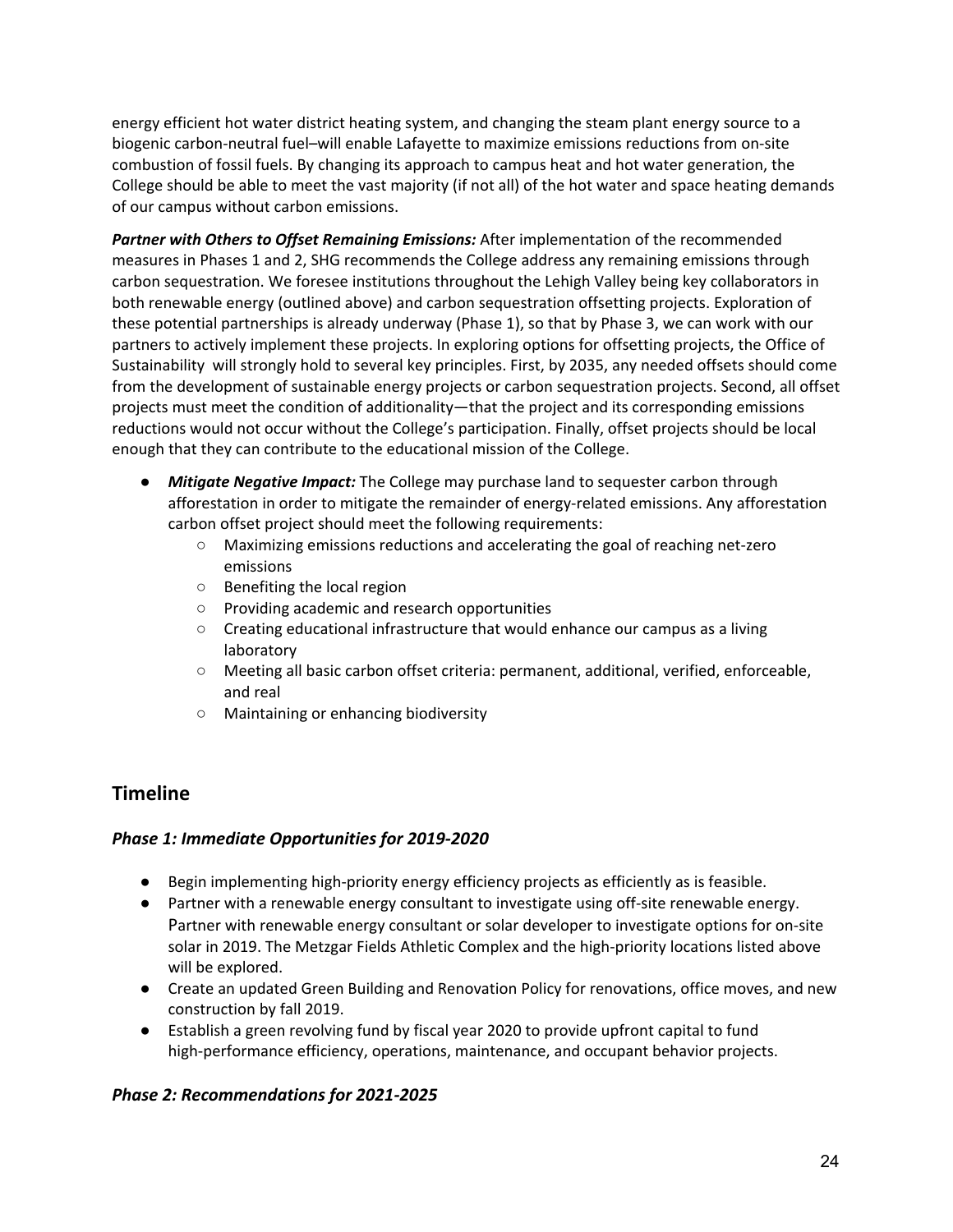energy efficient hot water district heating system, and changing the steam plant energy source to a biogenic carbon-neutral fuel–will enable Lafayette to maximize emissions reductions from on-site combustion of fossil fuels. By changing its approach to campus heat and hot water generation, the College should be able to meet the vast majority (if not all) of the hot water and space heating demands of our campus without carbon emissions.

*Partner with Others to Offset Remaining Emissions:* After implementation of the recommended measures in Phases 1 and 2, SHG recommends the College address any remaining emissions through carbon sequestration. We foresee institutions throughout the Lehigh Valley being key collaborators in both renewable energy (outlined above) and carbon sequestration offsetting projects. Exploration of these potential partnerships is already underway (Phase 1), so that by Phase 3, we can work with our partners to actively implement these projects. In exploring options for offsetting projects, the Office of Sustainability will strongly hold to several key principles. First, by 2035, any needed offsets should come from the development of sustainable energy projects or carbon sequestration projects. Second, all offset projects must meet the condition of additionality—that the project and its corresponding emissions reductions would not occur without the College's participation. Finally, offset projects should be local enough that they can contribute to the educational mission of the College.

- *Mitigate Negative Impact:* The College may purchase land to sequester carbon through afforestation in order to mitigate the remainder of energy-related emissions. Any afforestation carbon offset project should meet the following requirements:
	- Maximizing emissions reductions and accelerating the goal of reaching net-zero emissions
	- Benefiting the local region
	- Providing academic and research opportunities
	- Creating educational infrastructure that would enhance our campus as a living laboratory
	- Meeting all basic carbon offset criteria: permanent, additional, verified, enforceable, and real
	- Maintaining or enhancing biodiversity

## **Timeline**

## *Phase 1: Immediate Opportunities for 2019-2020*

- Begin implementing high-priority energy efficiency projects as efficiently as is feasible.
- Partner with a renewable energy consultant to investigate using off-site renewable energy. Partner with renewable energy consultant or solar developer to investigate options for on-site solar in 2019. The Metzgar Fields Athletic Complex and the high-priority locations listed above will be explored.
- Create an updated Green Building and Renovation Policy for renovations, office moves, and new construction by fall 2019.
- Establish a green revolving fund by fiscal year 2020 to provide upfront capital to fund high-performance efficiency, operations, maintenance, and occupant behavior projects.

## *Phase 2: Recommendations for 2021-2025*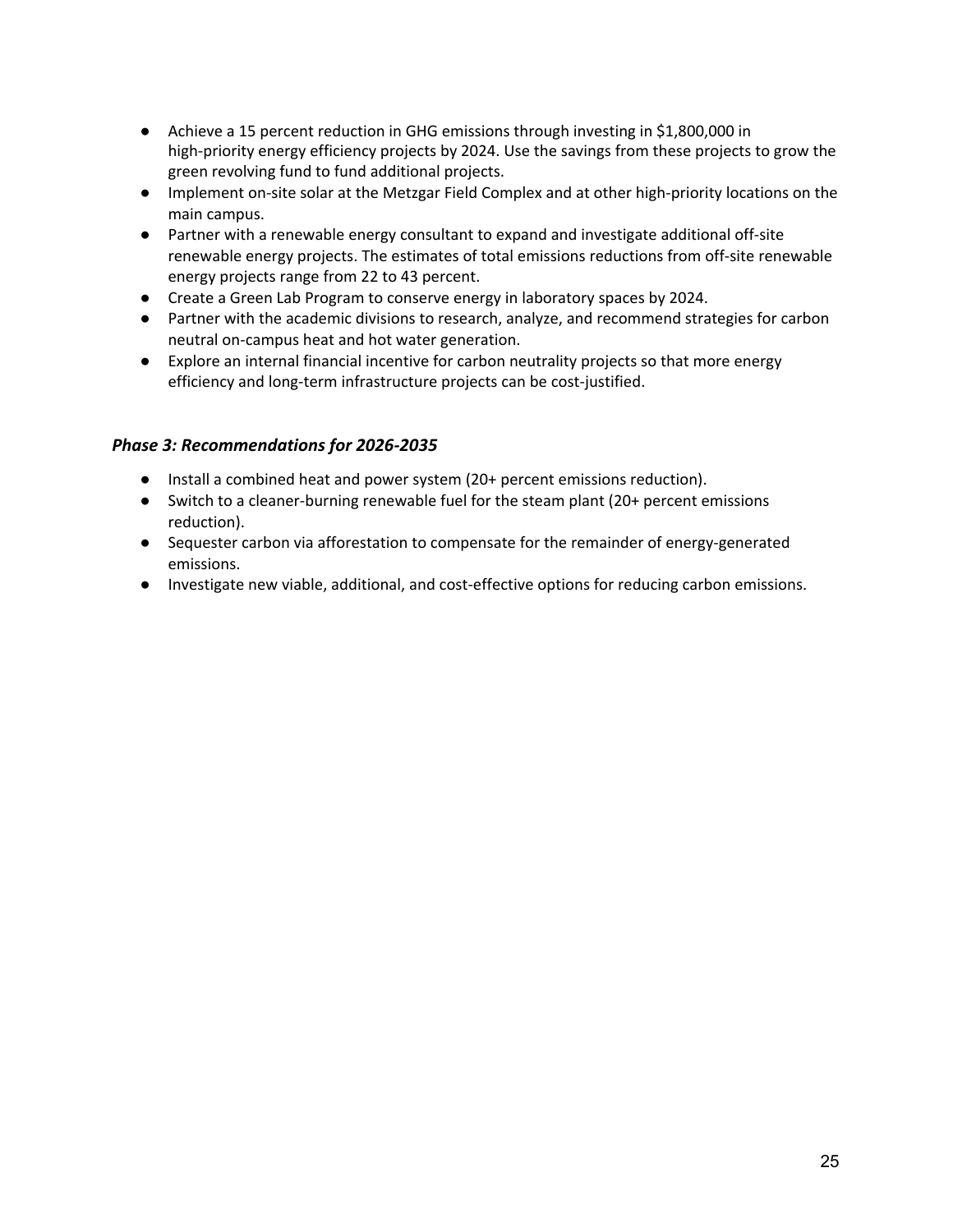- Achieve a 15 percent reduction in GHG emissions through investing in \$1,800,000 in high-priority energy efficiency projects by 2024. Use the savings from these projects to grow the green revolving fund to fund additional projects.
- Implement on-site solar at the Metzgar Field Complex and at other high-priority locations on the main campus.
- Partner with a renewable energy consultant to expand and investigate additional off-site renewable energy projects. The estimates of total emissions reductions from off-site renewable energy projects range from 22 to 43 percent.
- Create a Green Lab Program to conserve energy in laboratory spaces by 2024.
- Partner with the academic divisions to research, analyze, and recommend strategies for carbon neutral on-campus heat and hot water generation.
- Explore an internal financial incentive for carbon neutrality projects so that more energy efficiency and long-term infrastructure projects can be cost-justified.

## *Phase 3: Recommendations for 2026-2035*

- Install a combined heat and power system (20+ percent emissions reduction).
- Switch to a cleaner-burning renewable fuel for the steam plant (20+ percent emissions reduction).
- Sequester carbon via afforestation to compensate for the remainder of energy-generated emissions.
- Investigate new viable, additional, and cost-effective options for reducing carbon emissions.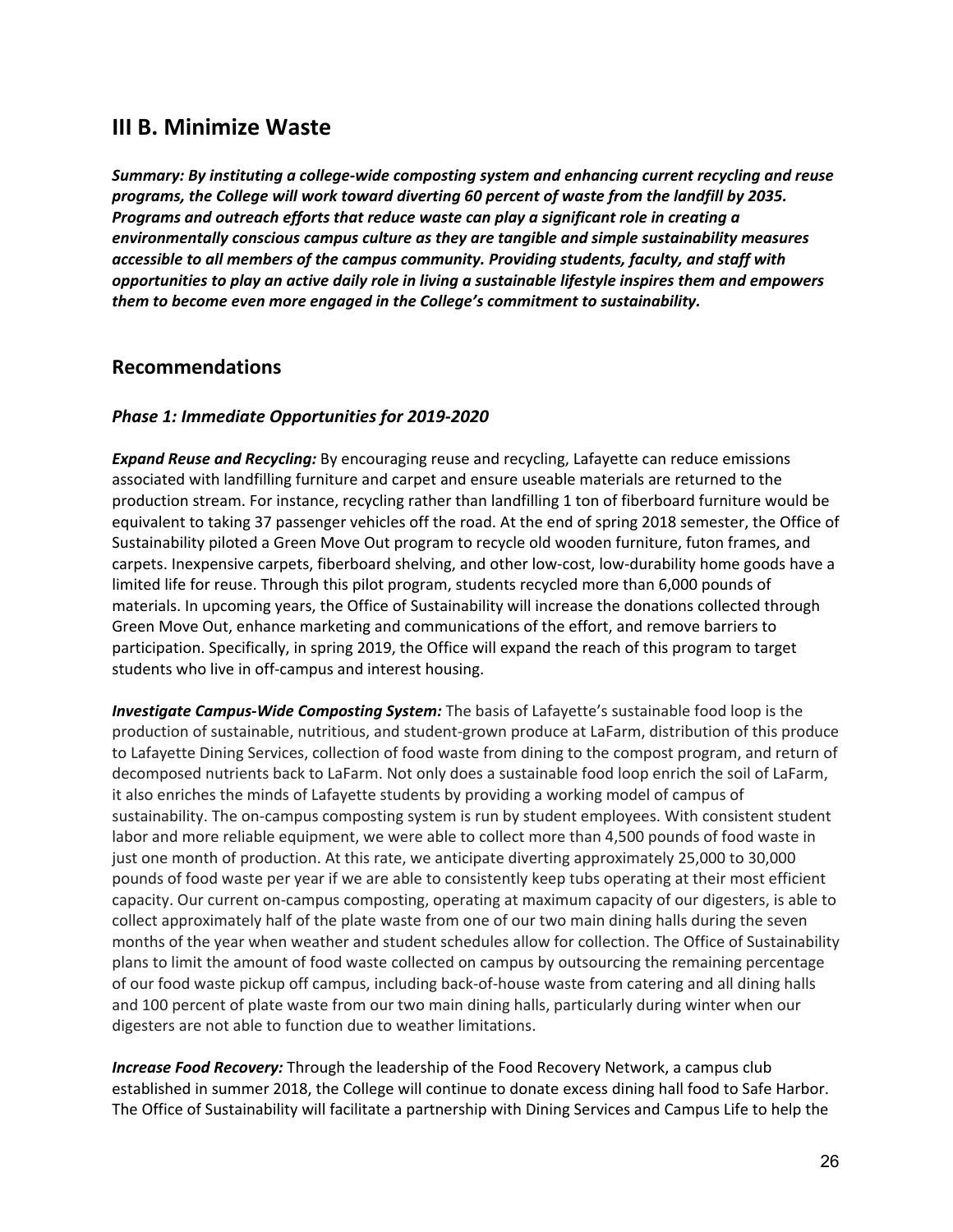## **III B. Minimize Waste**

*Summary: By instituting a college-wide composting system and enhancing current recycling and reuse programs, the College will work toward diverting 60 percent of waste from the landfill by 2035. Programs and outreach efforts that reduce waste can play a significant role in creating a environmentally conscious campus culture as they are tangible and simple sustainability measures accessible to all members of the campus community. Providing students, faculty, and staff with opportunities to play an active daily role in living a sustainable lifestyle inspires them and empowers them to become even more engaged in the College's commitment to sustainability.*

## **Recommendations**

## *Phase 1: Immediate Opportunities for 2019-2020*

*Expand Reuse and Recycling:* By encouraging reuse and recycling, Lafayette can reduce emissions associated with landfilling furniture and carpet and ensure useable materials are returned to the production stream. For instance, recycling rather than landfilling 1 ton of fiberboard furniture would be equivalent to taking 37 passenger vehicles off the road. At the end of spring 2018 semester, the Office of Sustainability piloted a Green Move Out program to recycle old wooden furniture, futon frames, and carpets. Inexpensive carpets, fiberboard shelving, and other low-cost, low-durability home goods have a limited life for reuse. Through this pilot program, students recycled more than 6,000 pounds of materials. In upcoming years, the Office of Sustainability will increase the donations collected through Green Move Out, enhance marketing and communications of the effort, and remove barriers to participation. Specifically, in spring 2019, the Office will expand the reach of this program to target students who live in off-campus and interest housing.

*Investigate Campus-Wide Composting System:* The basis of Lafayette's sustainable food loop is the production of sustainable, nutritious, and student-grown produce at LaFarm, distribution of this produce to Lafayette Dining Services, collection of food waste from dining to the compost program, and return of decomposed nutrients back to LaFarm. Not only does a sustainable food loop enrich the soil of LaFarm, it also enriches the minds of Lafayette students by providing a working model of campus of sustainability. The on-campus composting system is run by student employees. With consistent student labor and more reliable equipment, we were able to collect more than 4,500 pounds of food waste in just one month of production. At this rate, we anticipate diverting approximately 25,000 to 30,000 pounds of food waste per year if we are able to consistently keep tubs operating at their most efficient capacity. Our current on-campus composting, operating at maximum capacity of our digesters, is able to collect approximately half of the plate waste from one of our two main dining halls during the seven months of the year when weather and student schedules allow for collection. The Office of Sustainability plans to limit the amount of food waste collected on campus by outsourcing the remaining percentage of our food waste pickup off campus, including back-of-house waste from catering and all dining halls and 100 percent of plate waste from our two main dining halls, particularly during winter when our digesters are not able to function due to weather limitations.

*Increase Food Recovery:* Through the leadership of the Food Recovery Network, a campus club established in summer 2018, the College will continue to donate excess dining hall food to Safe Harbor. The Office of Sustainability will facilitate a partnership with Dining Services and Campus Life to help the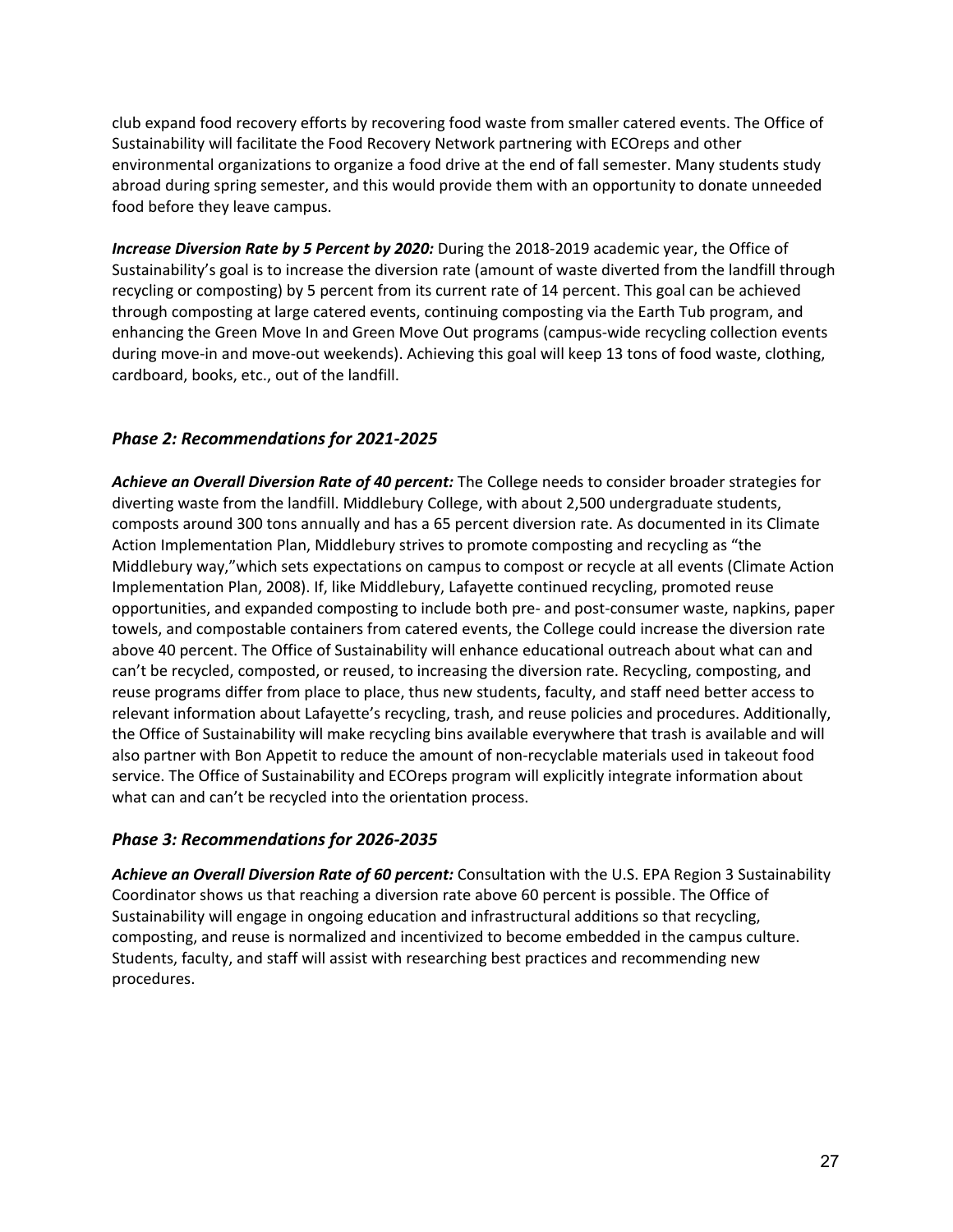club expand food recovery efforts by recovering food waste from smaller catered events. The Office of Sustainability will facilitate the Food Recovery Network partnering with ECOreps and other environmental organizations to organize a food drive at the end of fall semester. Many students study abroad during spring semester, and this would provide them with an opportunity to donate unneeded food before they leave campus.

*Increase Diversion Rate by 5 Percent by 2020:* During the 2018-2019 academic year, the Office of Sustainability's goal is to increase the diversion rate (amount of waste diverted from the landfill through recycling or composting) by 5 percent from its current rate of 14 percent. This goal can be achieved through composting at large catered events, continuing composting via the Earth Tub program, and enhancing the Green Move In and Green Move Out programs (campus-wide recycling collection events during move-in and move-out weekends). Achieving this goal will keep 13 tons of food waste, clothing, cardboard, books, etc., out of the landfill.

## *Phase 2: Recommendations for 2021-2025*

*Achieve an Overall Diversion Rate of 40 percent:* The College needs to consider broader strategies for diverting waste from the landfill. Middlebury College, with about 2,500 undergraduate students, composts around 300 tons annually and has a 65 percent diversion rate. As documented in its Climate Action Implementation Plan, Middlebury strives to promote composting and recycling as "the Middlebury way,"which sets expectations on campus to compost or recycle at all events (Climate Action Implementation Plan, 2008). If, like Middlebury, Lafayette continued recycling, promoted reuse opportunities, and expanded composting to include both pre- and post-consumer waste, napkins, paper towels, and compostable containers from catered events, the College could increase the diversion rate above 40 percent. The Office of Sustainability will enhance educational outreach about what can and can't be recycled, composted, or reused, to increasing the diversion rate. Recycling, composting, and reuse programs differ from place to place, thus new students, faculty, and staff need better access to relevant information about Lafayette's recycling, trash, and reuse policies and procedures. Additionally, the Office of Sustainability will make recycling bins available everywhere that trash is available and will also partner with Bon Appetit to reduce the amount of non-recyclable materials used in takeout food service. The Office of Sustainability and ECOreps program will explicitly integrate information about what can and can't be recycled into the orientation process.

## *Phase 3: Recommendations for 2026-2035*

*Achieve an Overall Diversion Rate of 60 percent:* Consultation with the U.S. EPA Region 3 Sustainability Coordinator shows us that reaching a diversion rate above 60 percent is possible. The Office of Sustainability will engage in ongoing education and infrastructural additions so that recycling, composting, and reuse is normalized and incentivized to become embedded in the campus culture. Students, faculty, and staff will assist with researching best practices and recommending new procedures.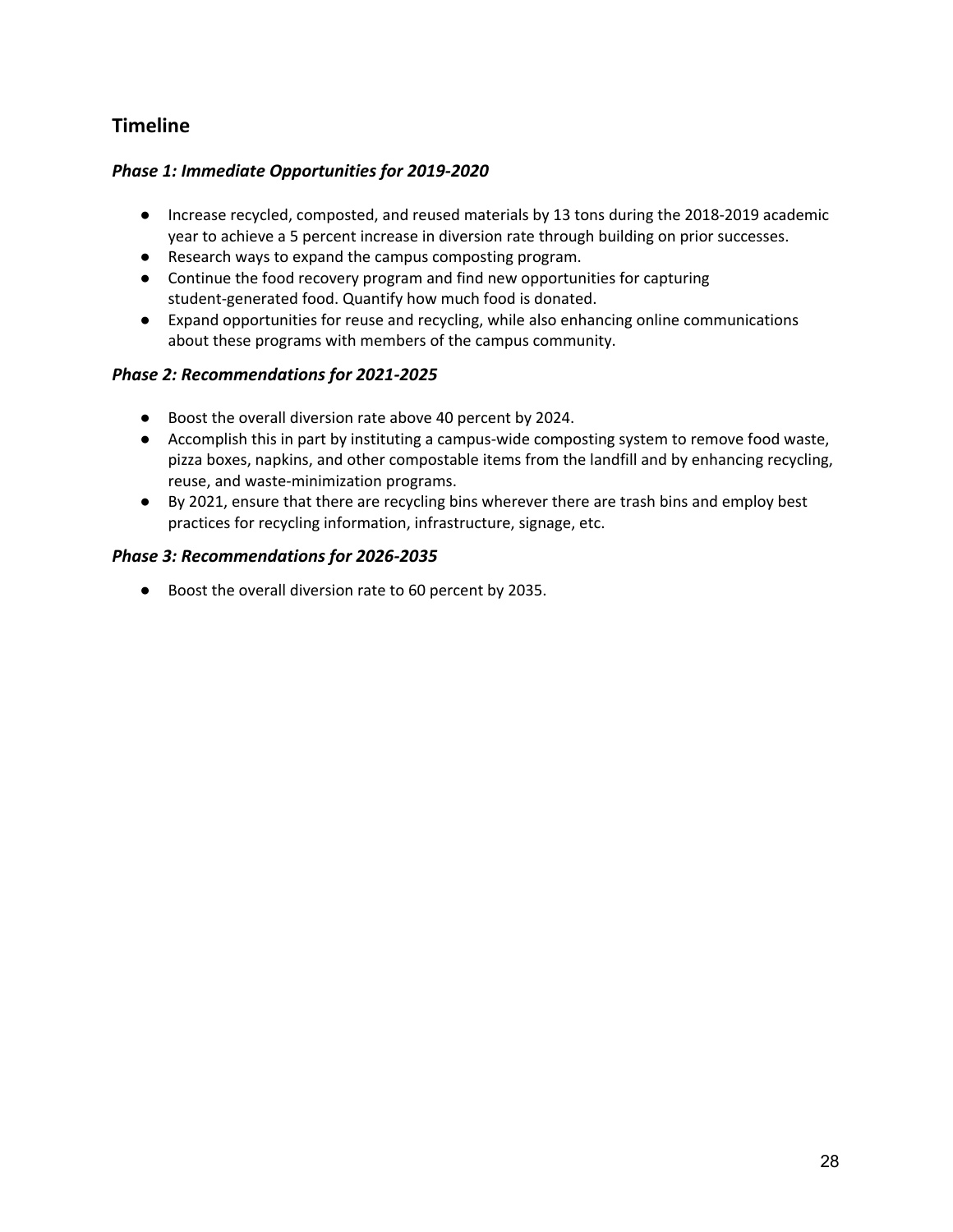## **Timeline**

## *Phase 1: Immediate Opportunities for 2019-2020*

- Increase recycled, composted, and reused materials by 13 tons during the 2018-2019 academic year to achieve a 5 percent increase in diversion rate through building on prior successes.
- **●** Research ways to expand the campus composting program.
- **●** Continue the food recovery program and find new opportunities for capturing student-generated food. Quantify how much food is donated.
- **●** Expand opportunities for reuse and recycling, while also enhancing online communications about these programs with members of the campus community.

## *Phase 2: Recommendations for 2021-2025*

- Boost the overall diversion rate above 40 percent by 2024.
- Accomplish this in part by instituting a campus-wide composting system to remove food waste, pizza boxes, napkins, and other compostable items from the landfill and by enhancing recycling, reuse, and waste-minimization programs.
- By 2021, ensure that there are recycling bins wherever there are trash bins and employ best practices for recycling information, infrastructure, signage, etc.

## *Phase 3: Recommendations for 2026-2035*

● Boost the overall diversion rate to 60 percent by 2035.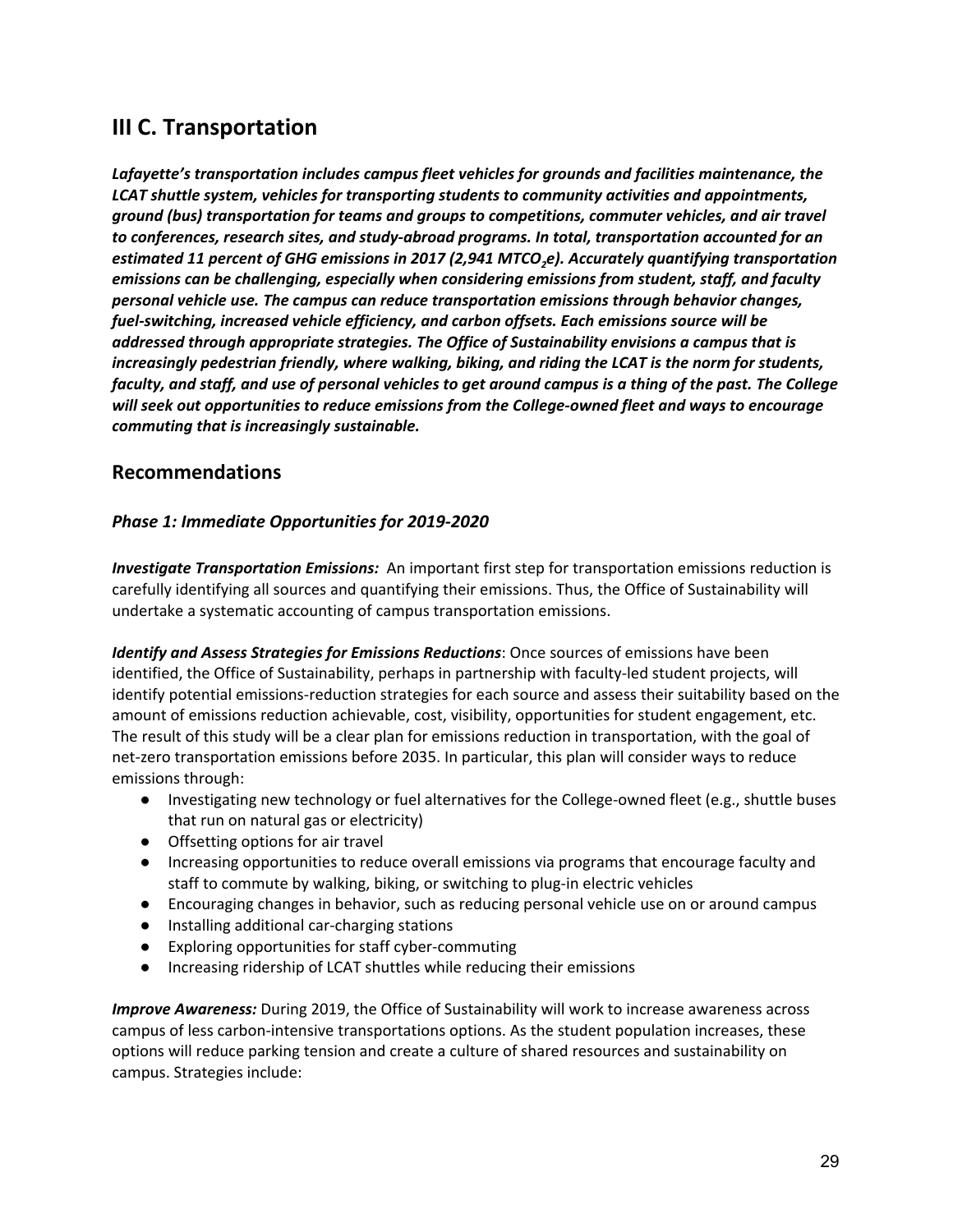# **III C. Transportation**

*Lafayette's transportation includes campus fleet vehicles for grounds and facilities maintenance, the LCAT shuttle system, vehicles for transporting students to community activities and appointments, ground (bus) transportation for teams and groups to competitions, commuter vehicles, and air travel to conferences, research sites, and study-abroad programs. In total, transportation accounted for an estimated 11 percent of GHG emissions in 2017 (2,941 MTCO2e). Accurately quantifying transportation emissions can be challenging, especially when considering emissions from student, staff, and faculty personal vehicle use. The campus can reduce transportation emissions through behavior changes, fuel-switching, increased vehicle efficiency, and carbon offsets. Each emissions source will be addressed through appropriate strategies. The Office of Sustainability envisions a campus that is increasingly pedestrian friendly, where walking, biking, and riding the LCAT is the norm for students,* faculty, and staff, and use of personal vehicles to get around campus is a thing of the past. The College *will seek out opportunities to reduce emissions from the College-owned fleet and ways to encourage commuting that is increasingly sustainable.*

## **Recommendations**

## *Phase 1: Immediate Opportunities for 2019-2020*

*Investigate Transportation Emissions:* An important first step for transportation emissions reduction is carefully identifying all sources and quantifying their emissions. Thus, the Office of Sustainability will undertake a systematic accounting of campus transportation emissions.

*Identify and Assess Strategies for Emissions Reductions*: Once sources of emissions have been identified, the Office of Sustainability, perhaps in partnership with faculty-led student projects, will identify potential emissions-reduction strategies for each source and assess their suitability based on the amount of emissions reduction achievable, cost, visibility, opportunities for student engagement, etc. The result of this study will be a clear plan for emissions reduction in transportation, with the goal of net-zero transportation emissions before 2035. In particular, this plan will consider ways to reduce emissions through:

- Investigating new technology or fuel alternatives for the College-owned fleet (e.g., shuttle buses that run on natural gas or electricity)
- Offsetting options for air travel
- Increasing opportunities to reduce overall emissions via programs that encourage faculty and staff to commute by walking, biking, or switching to plug-in electric vehicles
- Encouraging changes in behavior, such as reducing personal vehicle use on or around campus
- Installing additional car-charging stations
- Exploring opportunities for staff cyber-commuting
- Increasing ridership of LCAT shuttles while reducing their emissions

*Improve Awareness:* During 2019, the Office of Sustainability will work to increase awareness across campus of less carbon-intensive transportations options. As the student population increases, these options will reduce parking tension and create a culture of shared resources and sustainability on campus. Strategies include: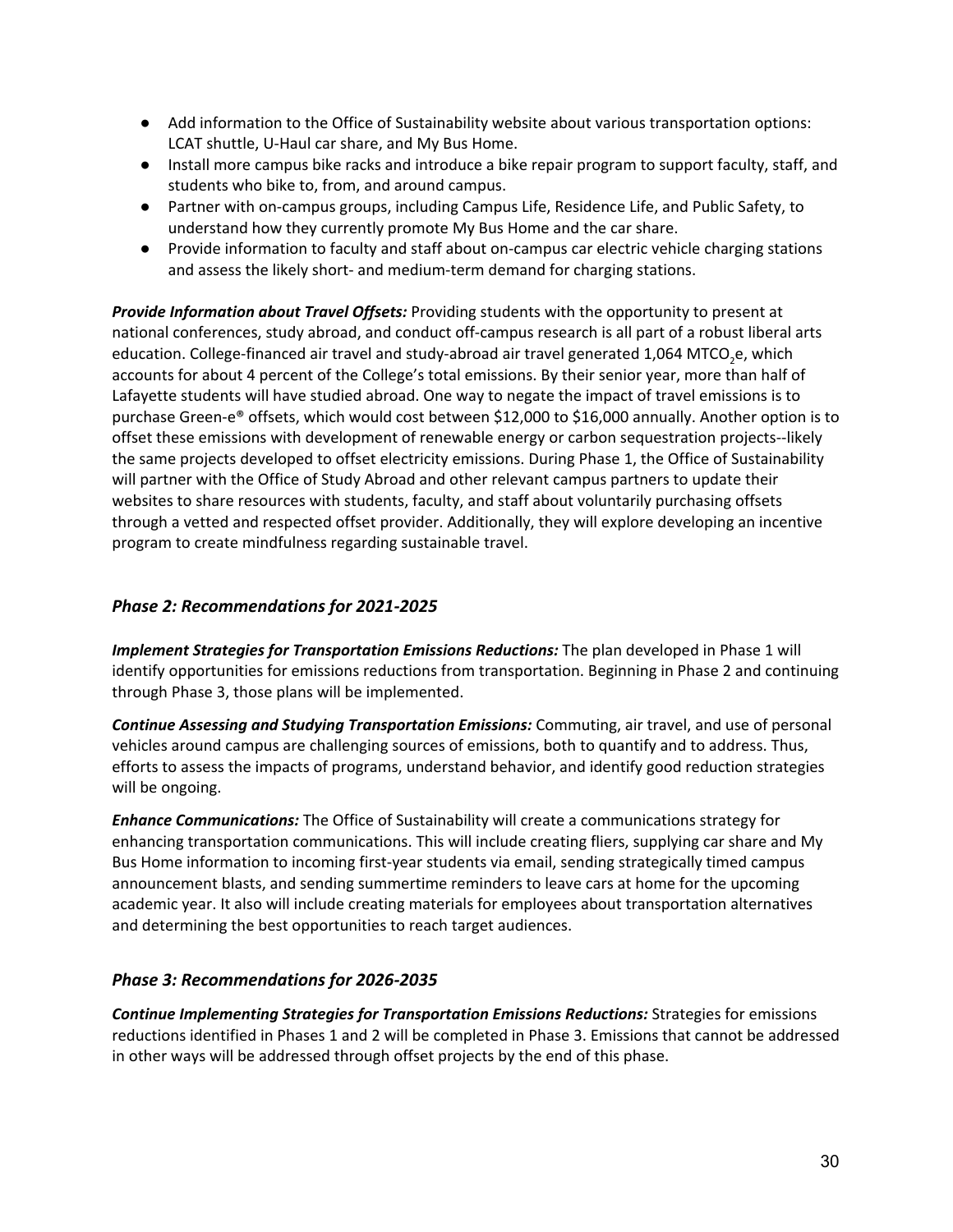- Add information to the Office of Sustainability website about various transportation options: LCAT shuttle, U-Haul car share, and My Bus Home.
- Install more campus bike racks and introduce a bike repair program to support faculty, staff, and students who bike to, from, and around campus.
- Partner with on-campus groups, including Campus Life, Residence Life, and Public Safety, to understand how they currently promote My Bus Home and the car share.
- Provide information to faculty and staff about on-campus car electric vehicle charging stations and assess the likely short- and medium-term demand for charging stations.

*Provide Information about Travel Offsets:* Providing students with the opportunity to present at national conferences, study abroad, and conduct off-campus research is all part of a robust liberal arts education. College-financed air travel and study-abroad air travel generated 1,064 MTCO<sub>2</sub>e, which accounts for about 4 percent of the College's total emissions. By their senior year, more than half of Lafayette students will have studied abroad. One way to negate the impact of travel emissions is to purchase Green-e® offsets, which would cost between \$12,000 to \$16,000 annually. Another option is to offset these emissions with development of renewable energy or carbon sequestration projects--likely the same projects developed to offset electricity emissions. During Phase 1, the Office of Sustainability will partner with the Office of Study Abroad and other relevant campus partners to update their websites to share resources with students, faculty, and staff about voluntarily purchasing offsets through a vetted and respected offset provider. Additionally, they will explore developing an incentive program to create mindfulness regarding sustainable travel.

## *Phase 2: Recommendations for 2021-2025*

*Implement Strategies for Transportation Emissions Reductions:* The plan developed in Phase 1 will identify opportunities for emissions reductions from transportation. Beginning in Phase 2 and continuing through Phase 3, those plans will be implemented.

*Continue Assessing and Studying Transportation Emissions:* Commuting, air travel, and use of personal vehicles around campus are challenging sources of emissions, both to quantify and to address. Thus, efforts to assess the impacts of programs, understand behavior, and identify good reduction strategies will be ongoing.

*Enhance Communications:* The Office of Sustainability will create a communications strategy for enhancing transportation communications. This will include creating fliers, supplying car share and My Bus Home information to incoming first-year students via email, sending strategically timed campus announcement blasts, and sending summertime reminders to leave cars at home for the upcoming academic year. It also will include creating materials for employees about transportation alternatives and determining the best opportunities to reach target audiences.

## *Phase 3: Recommendations for 2026-2035*

*Continue Implementing Strategies for Transportation Emissions Reductions:* Strategies for emissions reductions identified in Phases 1 and 2 will be completed in Phase 3. Emissions that cannot be addressed in other ways will be addressed through offset projects by the end of this phase.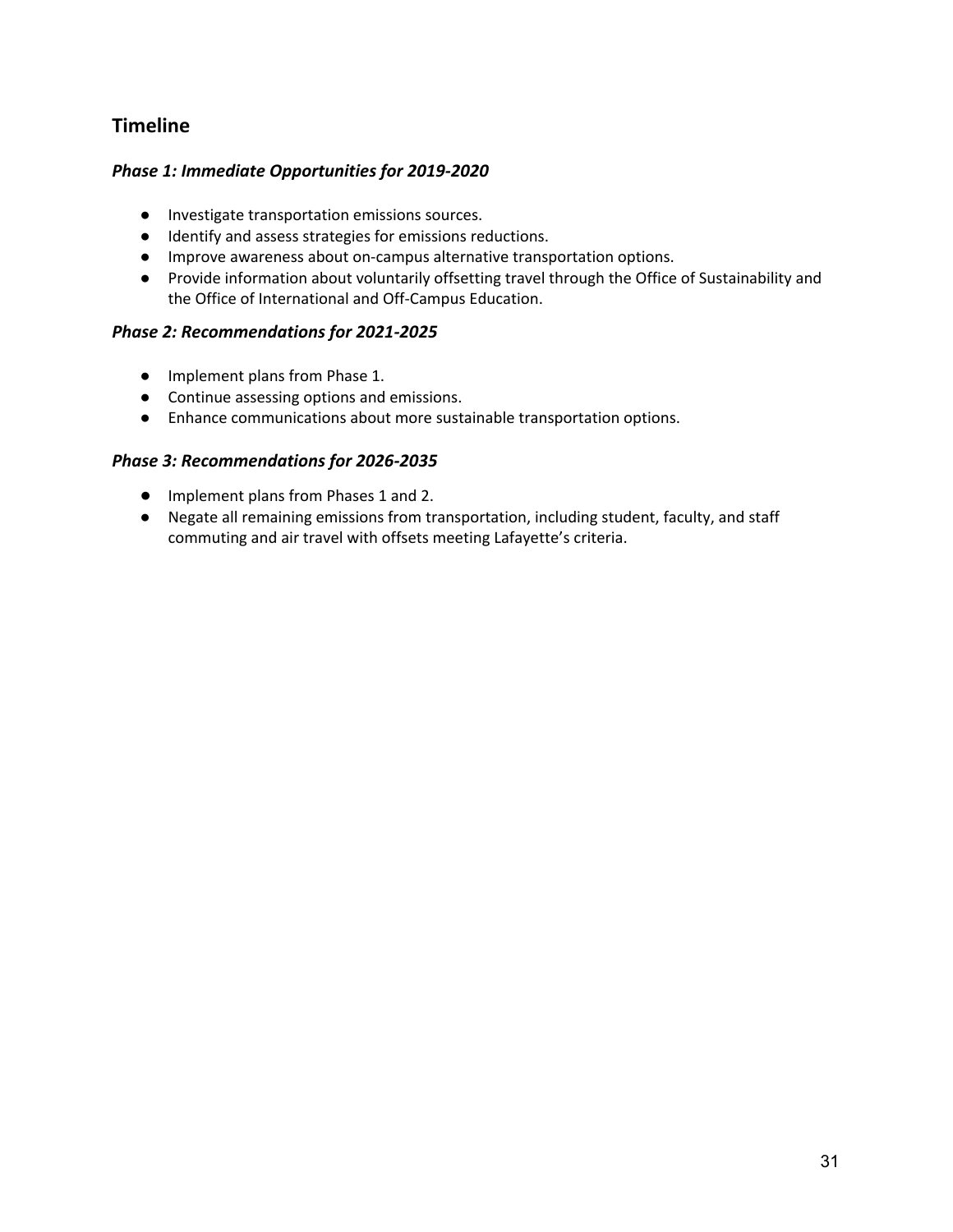## **Timeline**

## *Phase 1: Immediate Opportunities for 2019-2020*

- **●** Investigate transportation emissions sources.
- Identify and assess strategies for emissions reductions.
- Improve awareness about on-campus alternative transportation options.
- Provide information about voluntarily offsetting travel through the Office of Sustainability and the Office of International and Off-Campus Education.

## *Phase 2: Recommendations for 2021-2025*

- Implement plans from Phase 1.
- Continue assessing options and emissions.
- Enhance communications about more sustainable transportation options.

## *Phase 3: Recommendations for 2026-2035*

- Implement plans from Phases 1 and 2.
- Negate all remaining emissions from transportation, including student, faculty, and staff commuting and air travel with offsets meeting Lafayette's criteria.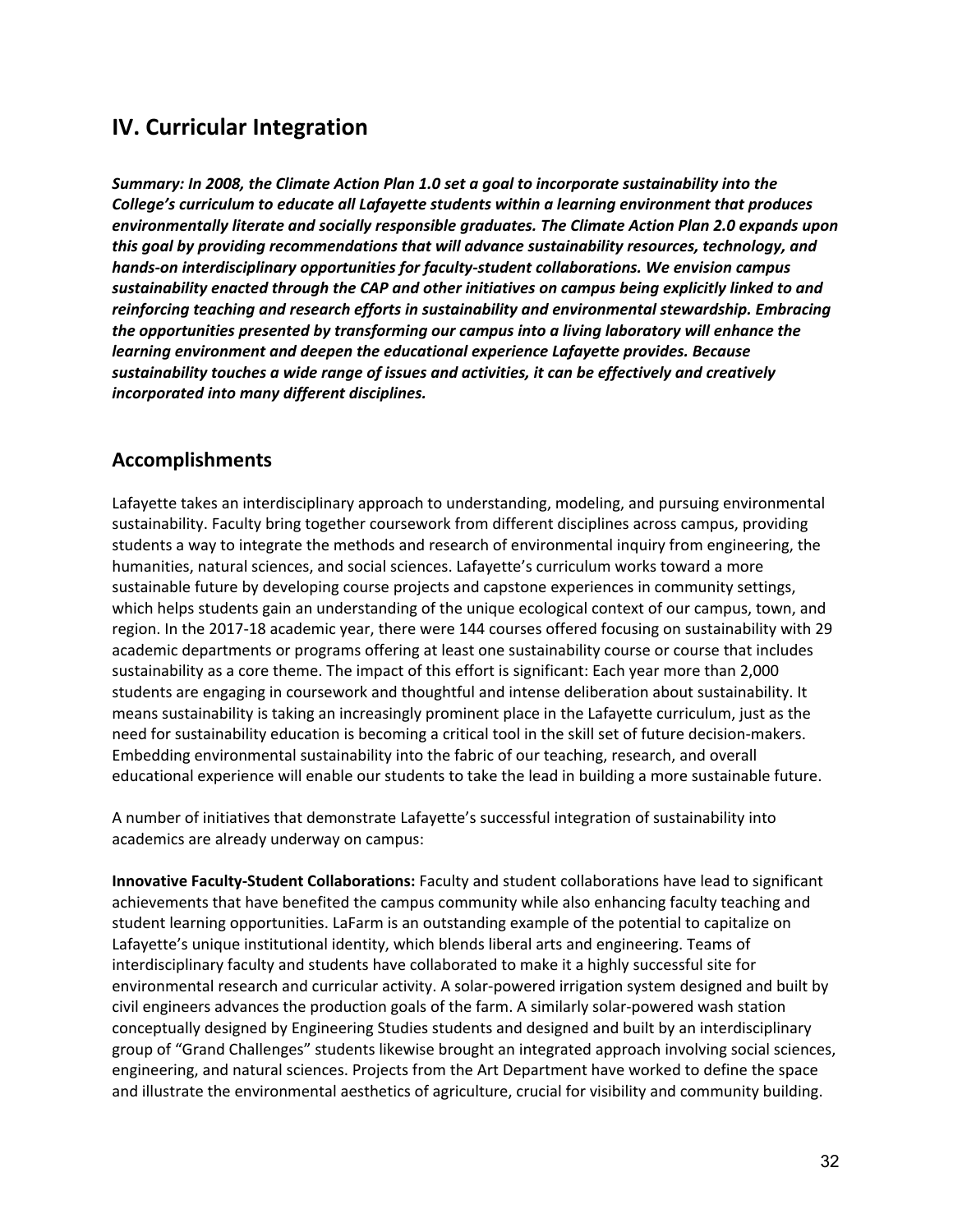# **IV. Curricular Integration**

*Summary: In 2008, the Climate Action Plan 1.0 set a goal to incorporate sustainability into the College's curriculum to educate all Lafayette students within a learning environment that produces environmentally literate and socially responsible graduates. The Climate Action Plan 2.0 expands upon this goal by providing recommendations that will advance sustainability resources, technology, and hands-on interdisciplinary opportunities for faculty-student collaborations. We envision campus sustainability enacted through the CAP and other initiatives on campus being explicitly linked to and reinforcing teaching and research efforts in sustainability and environmental stewardship. Embracing the opportunities presented by transforming our campus into a living laboratory will enhance the learning environment and deepen the educational experience Lafayette provides. Because sustainability touches a wide range of issues and activities, it can be effectively and creatively incorporated into many different disciplines.*

## **Accomplishments**

Lafayette takes an interdisciplinary approach to understanding, modeling, and pursuing environmental sustainability. Faculty bring together coursework from different disciplines across campus, providing students a way to integrate the methods and research of environmental inquiry from engineering, the humanities, natural sciences, and social sciences. Lafayette's curriculum works toward a more sustainable future by developing course projects and capstone experiences in community settings, which helps students gain an understanding of the unique ecological context of our campus, town, and region. In the 2017-18 academic year, there were 144 courses offered focusing on sustainability with 29 academic departments or programs offering at least one sustainability course or course that includes sustainability as a core theme. The impact of this effort is significant: Each year more than 2,000 students are engaging in coursework and thoughtful and intense deliberation about sustainability. It means sustainability is taking an increasingly prominent place in the Lafayette curriculum, just as the need for sustainability education is becoming a critical tool in the skill set of future decision-makers. Embedding environmental sustainability into the fabric of our teaching, research, and overall educational experience will enable our students to take the lead in building a more sustainable future.

A number of initiatives that demonstrate Lafayette's successful integration of sustainability into academics are already underway on campus:

**Innovative Faculty-Student Collaborations:** Faculty and student collaborations have lead to significant achievements that have benefited the campus community while also enhancing faculty teaching and student learning opportunities. LaFarm is an outstanding example of the potential to capitalize on Lafayette's unique institutional identity, which blends liberal arts and engineering. Teams of interdisciplinary faculty and students have collaborated to make it a highly successful site for environmental research and curricular activity. A solar-powered irrigation system designed and built by civil engineers advances the production goals of the farm. A similarly solar-powered wash station conceptually designed by Engineering Studies students and designed and built by an interdisciplinary group of "Grand Challenges" students likewise brought an integrated approach involving social sciences, engineering, and natural sciences. Projects from the Art Department have worked to define the space and illustrate the environmental aesthetics of agriculture, crucial for visibility and community building.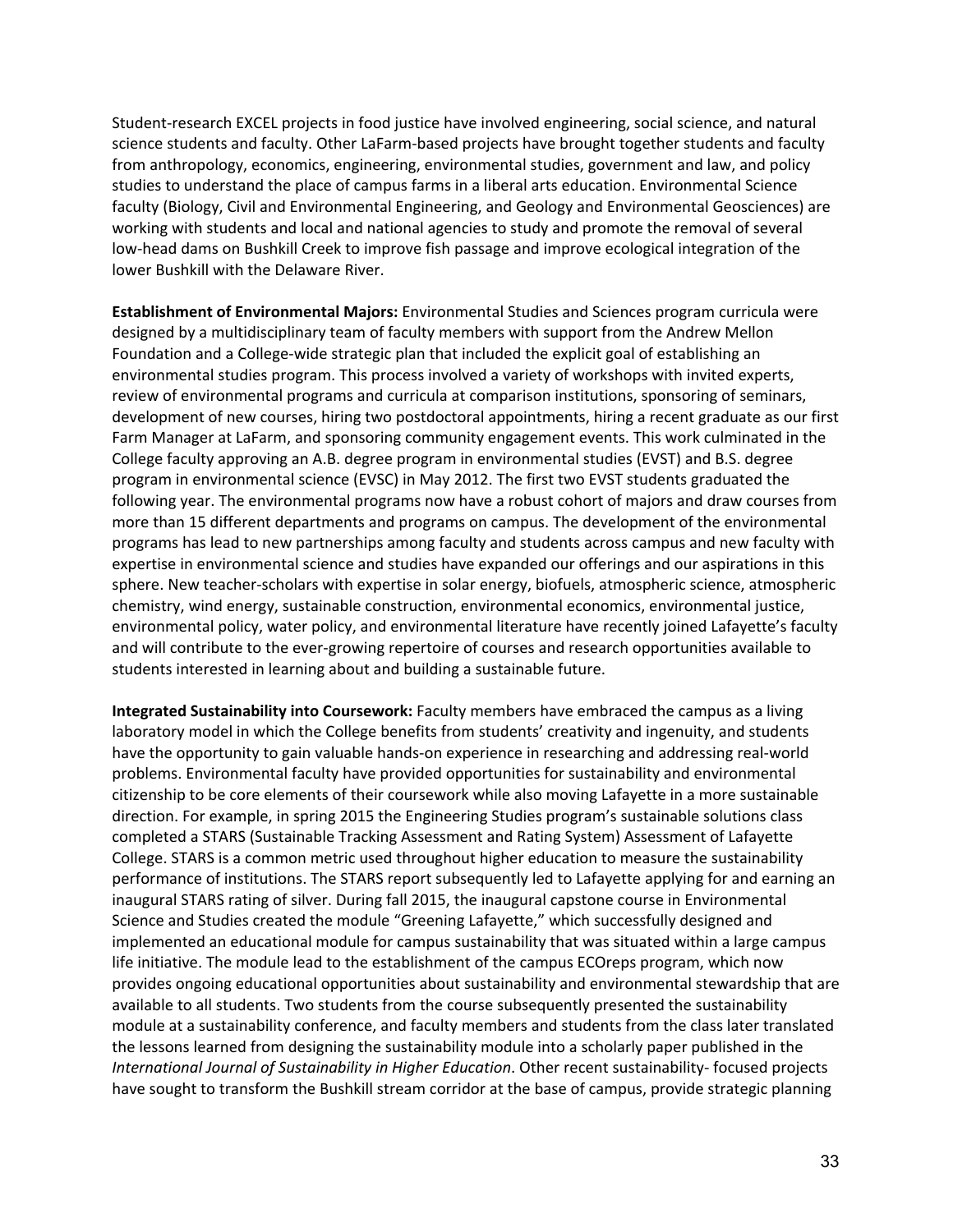Student-research EXCEL projects in food justice have involved engineering, social science, and natural science students and faculty. Other LaFarm-based projects have brought together students and faculty from anthropology, economics, engineering, environmental studies, government and law, and policy studies to understand the place of campus farms in a liberal arts education. Environmental Science faculty (Biology, Civil and Environmental Engineering, and Geology and Environmental Geosciences) are working with students and local and national agencies to study and promote the removal of several low-head dams on Bushkill Creek to improve fish passage and improve ecological integration of the lower Bushkill with the Delaware River.

**Establishment of Environmental Majors:** Environmental Studies and Sciences program curricula were designed by a multidisciplinary team of faculty members with support from the Andrew Mellon Foundation and a College-wide strategic plan that included the explicit goal of establishing an environmental studies program. This process involved a variety of workshops with invited experts, review of environmental programs and curricula at comparison institutions, sponsoring of seminars, development of new courses, hiring two postdoctoral appointments, hiring a recent graduate as our first Farm Manager at LaFarm, and sponsoring community engagement events. This work culminated in the College faculty approving an A.B. degree program in environmental studies (EVST) and B.S. degree program in environmental science (EVSC) in May 2012. The first two EVST students graduated the following year. The environmental programs now have a robust cohort of majors and draw courses from more than 15 different departments and programs on campus. The development of the environmental programs has lead to new partnerships among faculty and students across campus and new faculty with expertise in environmental science and studies have expanded our offerings and our aspirations in this sphere. New teacher-scholars with expertise in solar energy, biofuels, atmospheric science, atmospheric chemistry, wind energy, sustainable construction, environmental economics, environmental justice, environmental policy, water policy, and environmental literature have recently joined Lafayette's faculty and will contribute to the ever-growing repertoire of courses and research opportunities available to students interested in learning about and building a sustainable future.

**Integrated Sustainability into Coursework:** Faculty members have embraced the campus as a living laboratory model in which the College benefits from students' creativity and ingenuity, and students have the opportunity to gain valuable hands-on experience in researching and addressing real-world problems. Environmental faculty have provided opportunities for sustainability and environmental citizenship to be core elements of their coursework while also moving Lafayette in a more sustainable direction. For example, in spring 2015 the Engineering Studies program's sustainable solutions class completed a STARS (Sustainable Tracking Assessment and Rating System) Assessment of Lafayette College. STARS is a common metric used throughout higher education to measure the sustainability performance of institutions. The STARS report subsequently led to Lafayette applying for and earning an inaugural STARS rating of silver. During fall 2015, the inaugural capstone course in Environmental Science and Studies created the module "Greening Lafayette," which successfully designed and implemented an educational module for campus sustainability that was situated within a large campus life initiative. The module lead to the establishment of the campus ECOreps program, which now provides ongoing educational opportunities about sustainability and environmental stewardship that are available to all students. Two students from the course subsequently presented the sustainability module at a sustainability conference, and faculty members and students from the class later translated the lessons learned from designing the sustainability module into a scholarly paper published in the *International Journal of Sustainability in Higher Education*. Other recent sustainability- focused projects have sought to transform the Bushkill stream corridor at the base of campus, provide strategic planning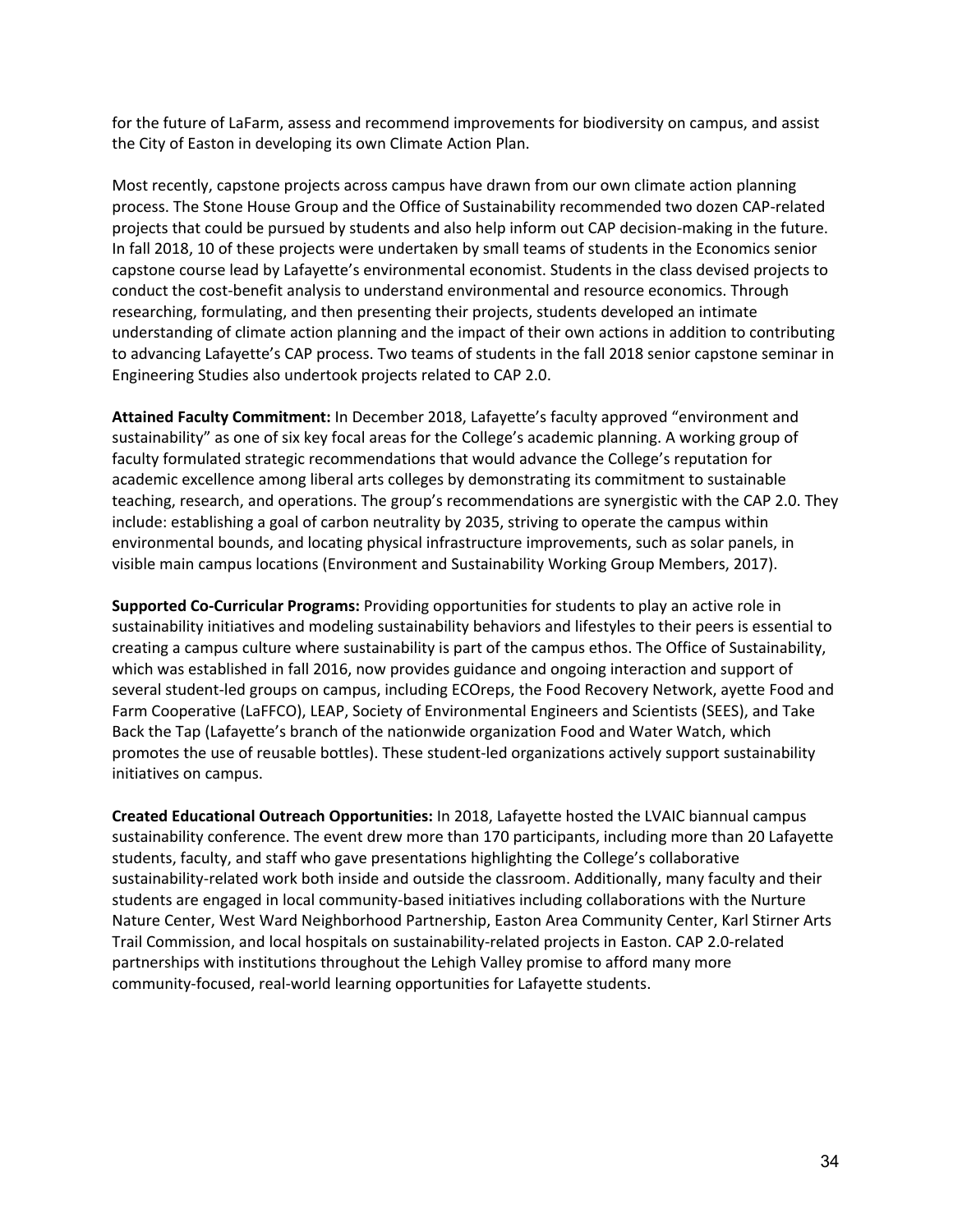for the future of LaFarm, assess and recommend improvements for biodiversity on campus, and assist the City of Easton in developing its own Climate Action Plan.

Most recently, capstone projects across campus have drawn from our own climate action planning process. The Stone House Group and the Office of Sustainability recommended two dozen CAP-related projects that could be pursued by students and also help inform out CAP decision-making in the future. In fall 2018, 10 of these projects were undertaken by small teams of students in the Economics senior capstone course lead by Lafayette's environmental economist. Students in the class devised projects to conduct the cost-benefit analysis to understand environmental and resource economics. Through researching, formulating, and then presenting their projects, students developed an intimate understanding of climate action planning and the impact of their own actions in addition to contributing to advancing Lafayette's CAP process. Two teams of students in the fall 2018 senior capstone seminar in Engineering Studies also undertook projects related to CAP 2.0.

**Attained Faculty Commitment:** In December 2018, Lafayette's faculty approved "environment and sustainability" as one of six key focal areas for the College's academic planning. A working group of faculty formulated strategic recommendations that would advance the College's reputation for academic excellence among liberal arts colleges by demonstrating its commitment to sustainable teaching, research, and operations. The group's recommendations are synergistic with the CAP 2.0. They include: establishing a goal of carbon neutrality by 2035, striving to operate the campus within environmental bounds, and locating physical infrastructure improvements, such as solar panels, in visible main campus locations (Environment and Sustainability Working Group Members, 2017).

**Supported Co-Curricular Programs:** Providing opportunities for students to play an active role in sustainability initiatives and modeling sustainability behaviors and lifestyles to their peers is essential to creating a campus culture where sustainability is part of the campus ethos. The Office of Sustainability, which was established in fall 2016, now provides guidance and ongoing interaction and support of several student-led groups on campus, including ECOreps, the Food Recovery Network, ayette Food and Farm Cooperative (LaFFCO), LEAP, Society of Environmental Engineers and Scientists (SEES), and Take Back the Tap (Lafayette's branch of the nationwide organization Food and Water Watch, which promotes the use of reusable bottles). These student-led organizations actively support sustainability initiatives on campus.

**Created Educational Outreach Opportunities:** In 2018, Lafayette hosted the LVAIC biannual campus sustainability conference. The event drew more than 170 participants, including more than 20 Lafayette students, faculty, and staff who gave presentations highlighting the College's collaborative sustainability-related work both inside and outside the classroom. Additionally, many faculty and their students are engaged in local community-based initiatives including collaborations with the Nurture Nature Center, West Ward Neighborhood Partnership, Easton Area Community Center, Karl Stirner Arts Trail Commission, and local hospitals on sustainability-related projects in Easton. CAP 2.0-related partnerships with institutions throughout the Lehigh Valley promise to afford many more community-focused, real-world learning opportunities for Lafayette students.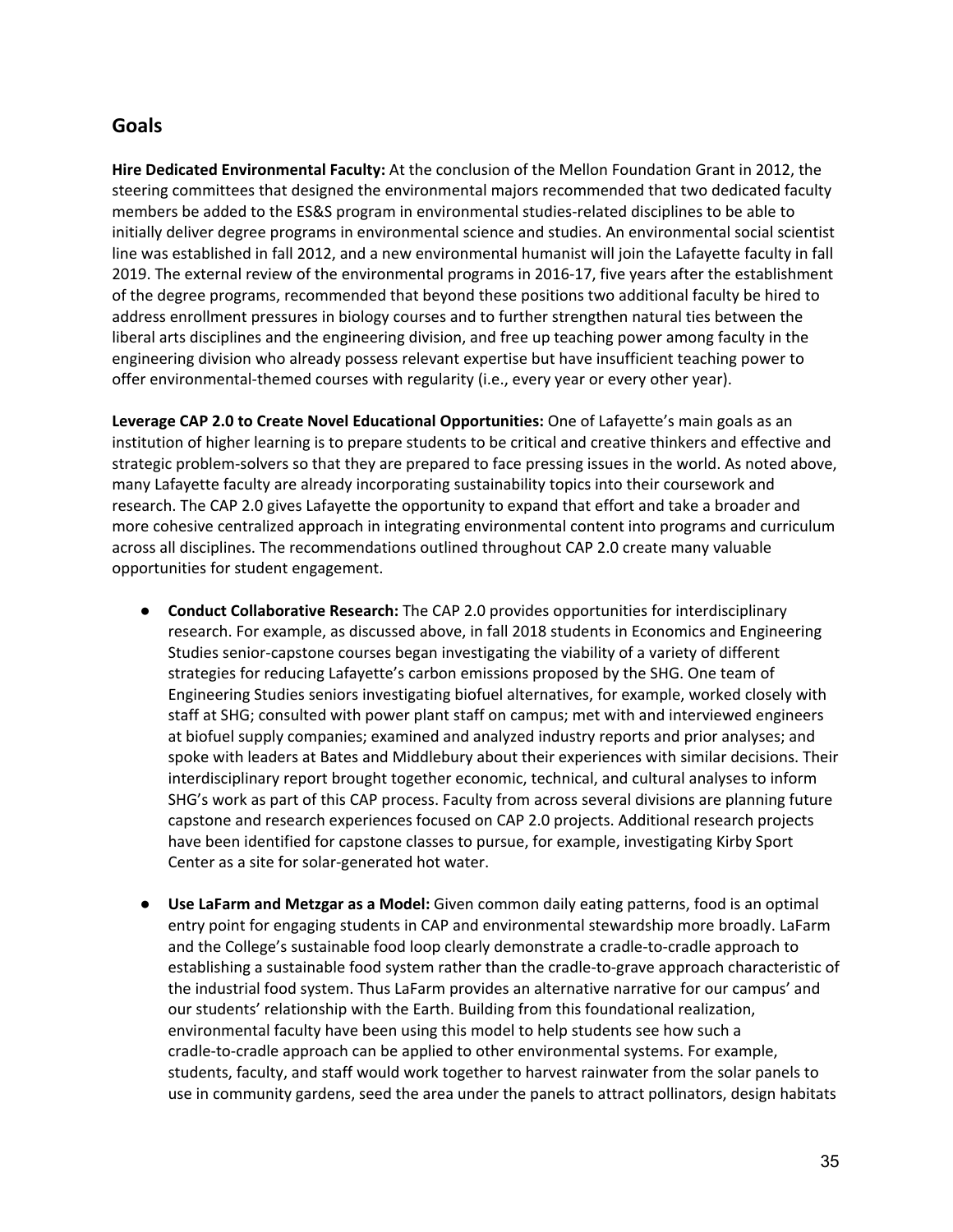## **Goals**

**Hire Dedicated Environmental Faculty:** At the conclusion of the Mellon Foundation Grant in 2012, the steering committees that designed the environmental majors recommended that two dedicated faculty members be added to the ES&S program in environmental studies-related disciplines to be able to initially deliver degree programs in environmental science and studies. An environmental social scientist line was established in fall 2012, and a new environmental humanist will join the Lafayette faculty in fall 2019. The external review of the environmental programs in 2016-17, five years after the establishment of the degree programs, recommended that beyond these positions two additional faculty be hired to address enrollment pressures in biology courses and to further strengthen natural ties between the liberal arts disciplines and the engineering division, and free up teaching power among faculty in the engineering division who already possess relevant expertise but have insufficient teaching power to offer environmental-themed courses with regularity (i.e., every year or every other year).

**Leverage CAP 2.0 to Create Novel Educational Opportunities:** One of Lafayette's main goals as an institution of higher learning is to prepare students to be critical and creative thinkers and effective and strategic problem-solvers so that they are prepared to face pressing issues in the world. As noted above, many Lafayette faculty are already incorporating sustainability topics into their coursework and research. The CAP 2.0 gives Lafayette the opportunity to expand that effort and take a broader and more cohesive centralized approach in integrating environmental content into programs and curriculum across all disciplines. The recommendations outlined throughout CAP 2.0 create many valuable opportunities for student engagement.

- **Conduct Collaborative Research:** The CAP 2.0 provides opportunities for interdisciplinary research. For example, as discussed above, in fall 2018 students in Economics and Engineering Studies senior-capstone courses began investigating the viability of a variety of different strategies for reducing Lafayette's carbon emissions proposed by the SHG. One team of Engineering Studies seniors investigating biofuel alternatives, for example, worked closely with staff at SHG; consulted with power plant staff on campus; met with and interviewed engineers at biofuel supply companies; examined and analyzed industry reports and prior analyses; and spoke with leaders at Bates and Middlebury about their experiences with similar decisions. Their interdisciplinary report brought together economic, technical, and cultural analyses to inform SHG's work as part of this CAP process. Faculty from across several divisions are planning future capstone and research experiences focused on CAP 2.0 projects. Additional research projects have been identified for capstone classes to pursue, for example, investigating Kirby Sport Center as a site for solar-generated hot water.
- **Use LaFarm and Metzgar as a Model:** Given common daily eating patterns, food is an optimal entry point for engaging students in CAP and environmental stewardship more broadly. LaFarm and the College's sustainable food loop clearly demonstrate a cradle-to-cradle approach to establishing a sustainable food system rather than the cradle-to-grave approach characteristic of the industrial food system. Thus LaFarm provides an alternative narrative for our campus' and our students' relationship with the Earth. Building from this foundational realization, environmental faculty have been using this model to help students see how such a cradle-to-cradle approach can be applied to other environmental systems. For example, students, faculty, and staff would work together to harvest rainwater from the solar panels to use in community gardens, seed the area under the panels to attract pollinators, design habitats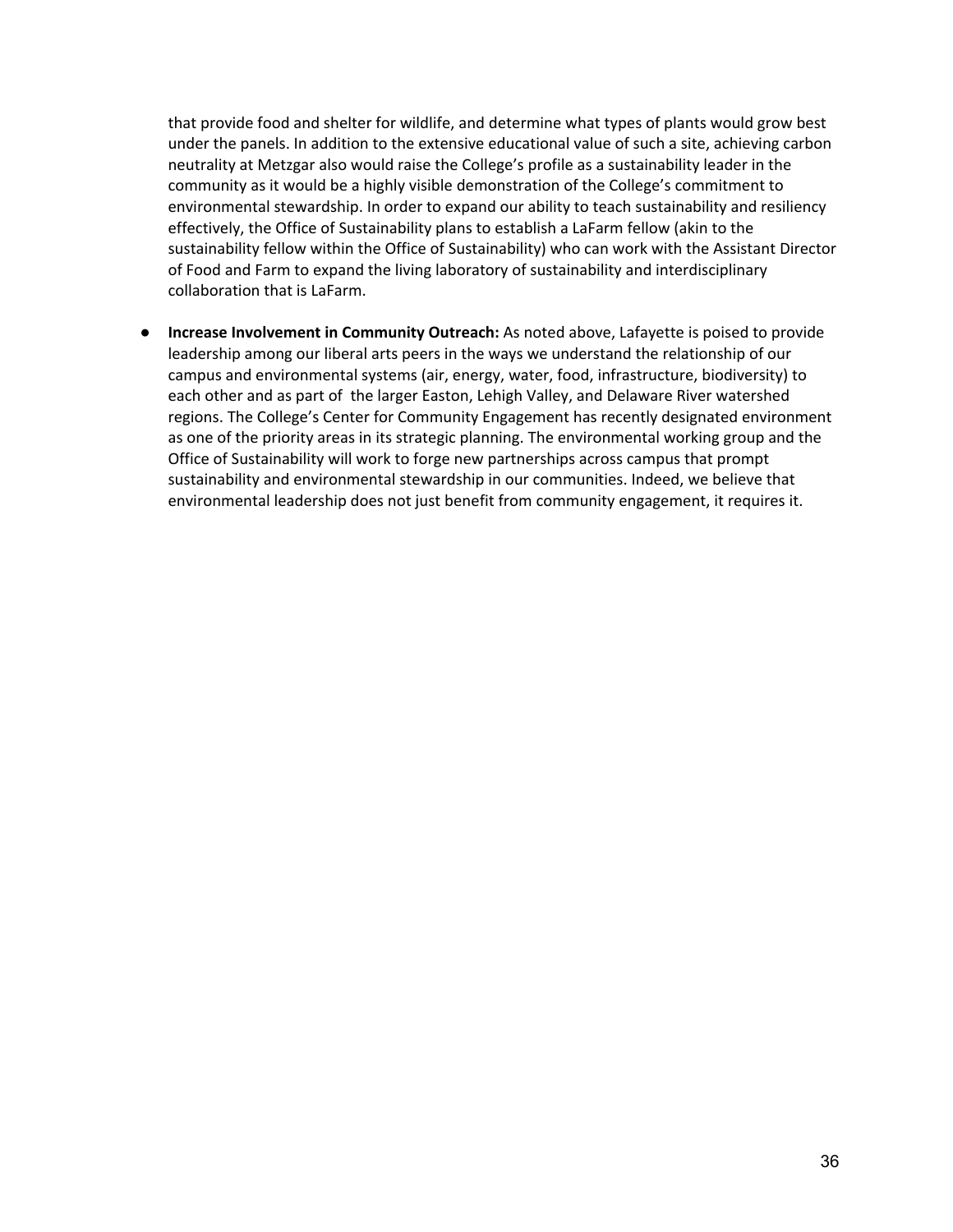that provide food and shelter for wildlife, and determine what types of plants would grow best under the panels. In addition to the extensive educational value of such a site, achieving carbon neutrality at Metzgar also would raise the College's profile as a sustainability leader in the community as it would be a highly visible demonstration of the College's commitment to environmental stewardship. In order to expand our ability to teach sustainability and resiliency effectively, the Office of Sustainability plans to establish a LaFarm fellow (akin to the sustainability fellow within the Office of Sustainability) who can work with the Assistant Director of Food and Farm to expand the living laboratory of sustainability and interdisciplinary collaboration that is LaFarm.

● **Increase Involvement in Community Outreach:** As noted above, Lafayette is poised to provide leadership among our liberal arts peers in the ways we understand the relationship of our campus and environmental systems (air, energy, water, food, infrastructure, biodiversity) to each other and as part of the larger Easton, Lehigh Valley, and Delaware River watershed regions. The College's Center for Community Engagement has recently designated environment as one of the priority areas in its strategic planning. The environmental working group and the Office of Sustainability will work to forge new partnerships across campus that prompt sustainability and environmental stewardship in our communities. Indeed, we believe that environmental leadership does not just benefit from community engagement, it requires it.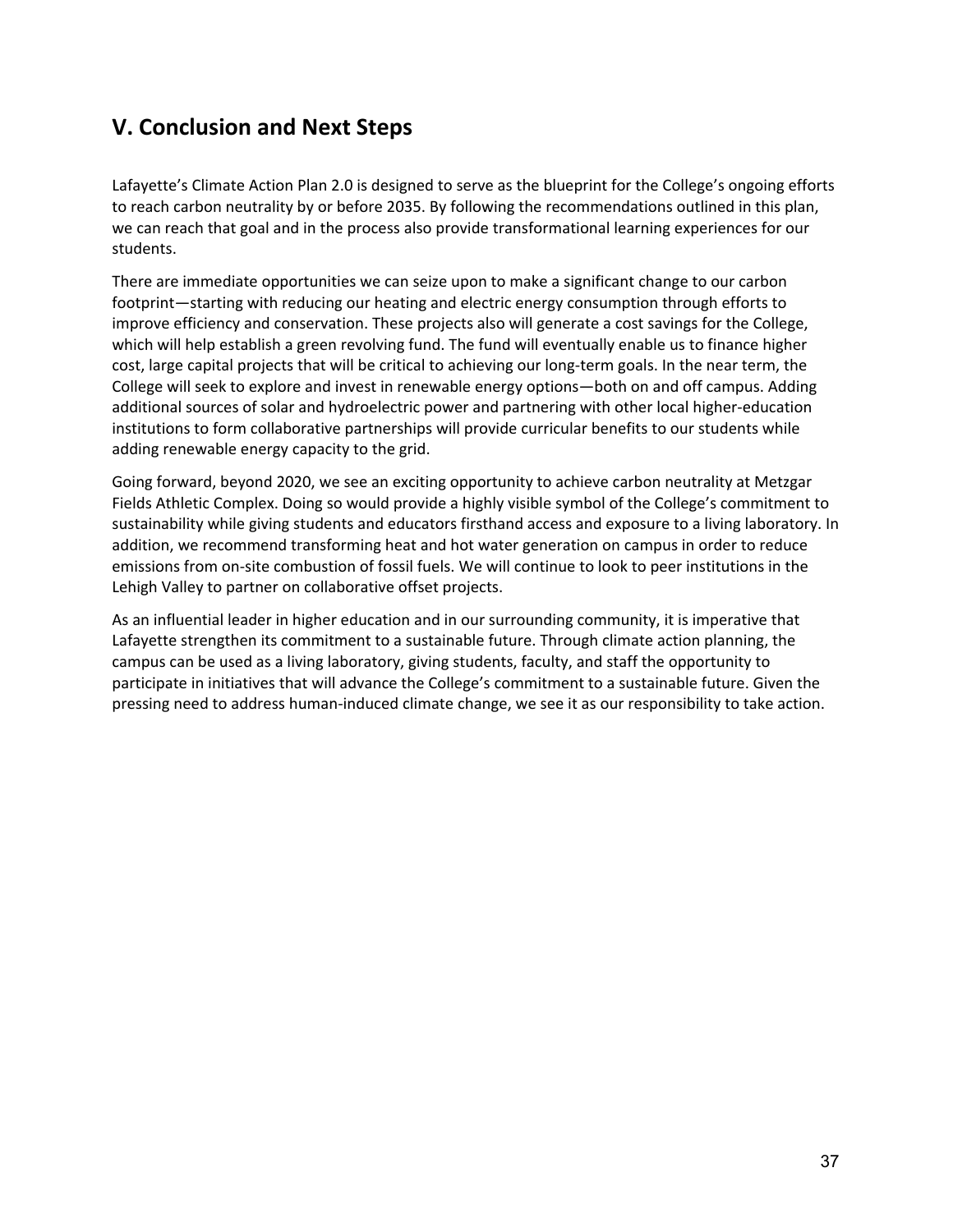# **V. Conclusion and Next Steps**

Lafayette's Climate Action Plan 2.0 is designed to serve as the blueprint for the College's ongoing efforts to reach carbon neutrality by or before 2035. By following the recommendations outlined in this plan, we can reach that goal and in the process also provide transformational learning experiences for our students.

There are immediate opportunities we can seize upon to make a significant change to our carbon footprint—starting with reducing our heating and electric energy consumption through efforts to improve efficiency and conservation. These projects also will generate a cost savings for the College, which will help establish a green revolving fund. The fund will eventually enable us to finance higher cost, large capital projects that will be critical to achieving our long-term goals. In the near term, the College will seek to explore and invest in renewable energy options—both on and off campus. Adding additional sources of solar and hydroelectric power and partnering with other local higher-education institutions to form collaborative partnerships will provide curricular benefits to our students while adding renewable energy capacity to the grid.

Going forward, beyond 2020, we see an exciting opportunity to achieve carbon neutrality at Metzgar Fields Athletic Complex. Doing so would provide a highly visible symbol of the College's commitment to sustainability while giving students and educators firsthand access and exposure to a living laboratory. In addition, we recommend transforming heat and hot water generation on campus in order to reduce emissions from on-site combustion of fossil fuels. We will continue to look to peer institutions in the Lehigh Valley to partner on collaborative offset projects.

As an influential leader in higher education and in our surrounding community, it is imperative that Lafayette strengthen its commitment to a sustainable future. Through climate action planning, the campus can be used as a living laboratory, giving students, faculty, and staff the opportunity to participate in initiatives that will advance the College's commitment to a sustainable future. Given the pressing need to address human-induced climate change, we see it as our responsibility to take action.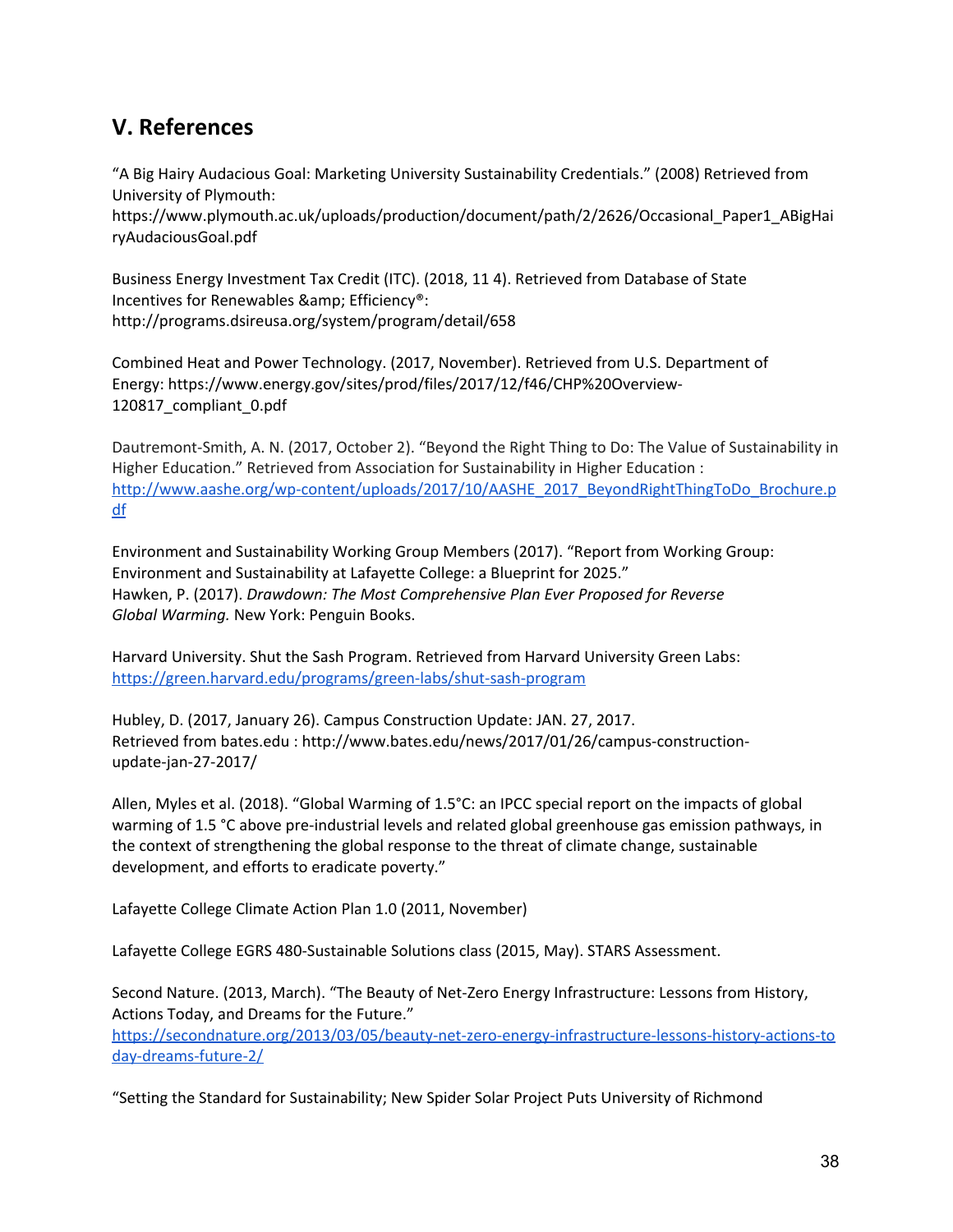# **V. References**

"A Big Hairy Audacious Goal: Marketing University Sustainability Credentials." (2008) Retrieved from University of Plymouth:

https://www.plymouth.ac.uk/uploads/production/document/path/2/2626/Occasional\_Paper1\_ABigHai ryAudaciousGoal.pdf

Business Energy Investment Tax Credit (ITC). (2018, 11 4). Retrieved from Database of State Incentives for Renewables & amp; Efficiency®: http://programs.dsireusa.org/system/program/detail/658

Combined Heat and Power Technology. (2017, November). Retrieved from U.S. Department of Energy: https://www.energy.gov/sites/prod/files/2017/12/f46/CHP%20Overview-120817\_compliant\_0.pdf

Dautremont-Smith, A. N. (2017, October 2). "Beyond the Right Thing to Do: The Value of Sustainability in Higher Education." Retrieved from Association for Sustainability in Higher Education : [http://www.aashe.org/wp-content/uploads/2017/10/AASHE\\_2017\\_BeyondRightThingToDo\\_Brochure.p](http://www.aashe.org/wp-content/uploads/2017/10/AASHE_2017_BeyondRightThingToDo_Brochure.pdf) [df](http://www.aashe.org/wp-content/uploads/2017/10/AASHE_2017_BeyondRightThingToDo_Brochure.pdf)

Environment and Sustainability Working Group Members (2017). "Report from Working Group: Environment and Sustainability at Lafayette College: a Blueprint for 2025." Hawken, P. (2017). *Drawdown: The Most Comprehensive Plan Ever Proposed for Reverse Global Warming.* New York: Penguin Books.

Harvard University. Shut the Sash Program. Retrieved from Harvard University Green Labs: <https://green.harvard.edu/programs/green-labs/shut-sash-program>

Hubley, D. (2017, January 26). Campus Construction Update: JAN. 27, 2017. Retrieved from bates.edu : http://www.bates.edu/news/2017/01/26/campus-constructionupdate-jan-27-2017/

Allen, Myles et al. (2018). "Global Warming of 1.5°C: an IPCC special report on the impacts of global warming of 1.5 °C above pre-industrial levels and related global greenhouse gas emission pathways, in the context of strengthening the global response to the threat of climate change, sustainable development, and efforts to eradicate poverty."

Lafayette College Climate Action Plan 1.0 (2011, November)

Lafayette College EGRS 480-Sustainable Solutions class (2015, May). STARS Assessment.

Second Nature. (2013, March). "The Beauty of Net-Zero Energy Infrastructure: Lessons from History, Actions Today, and Dreams for the Future." [https://secondnature.org/2013/03/05/beauty-net-zero-energy-infrastructure-lessons-history-actions-to](https://secondnature.org/2013/03/05/beauty-net-zero-energy-infrastructure-lessons-history-actions-today-dreams-future-2/) [day-dreams-future-2/](https://secondnature.org/2013/03/05/beauty-net-zero-energy-infrastructure-lessons-history-actions-today-dreams-future-2/)

"Setting the Standard for Sustainability; New Spider Solar Project Puts University of Richmond